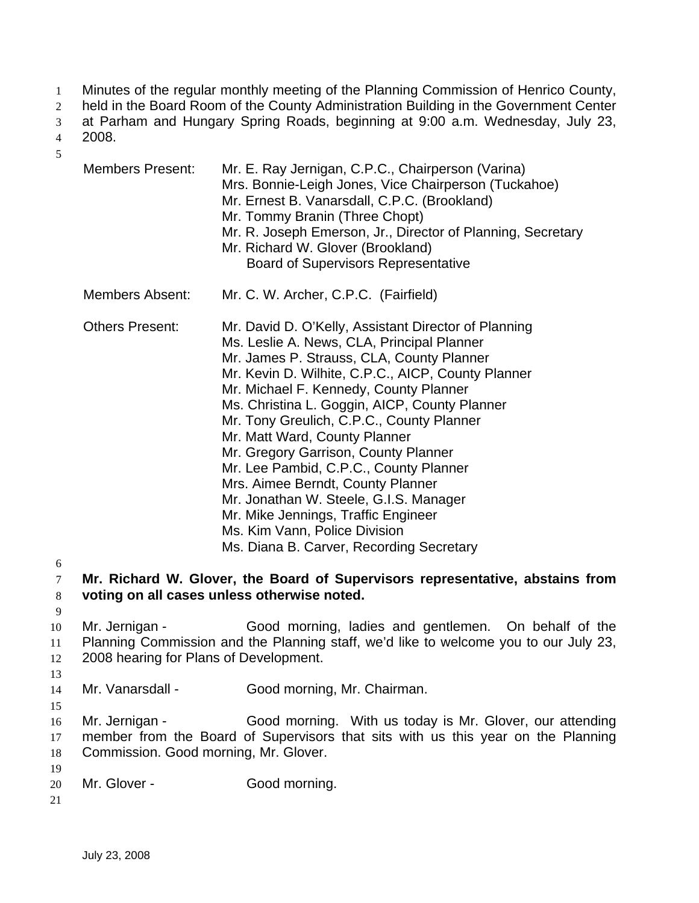- Minutes of the regular monthly meeting of the Planning Commission of Henrico County, 1
- held in the Board Room of the County Administration Building in the Government Center 2
- at Parham and Hungary Spring Roads, beginning at 9:00 a.m. Wednesday, July 23, 3
- 2008. 4

| <b>Members Present:</b>                                  | Mr. E. Ray Jernigan, C.P.C., Chairperson (Varina)<br>Mrs. Bonnie-Leigh Jones, Vice Chairperson (Tuckahoe)<br>Mr. Ernest B. Vanarsdall, C.P.C. (Brookland)<br>Mr. Tommy Branin (Three Chopt)<br>Mr. R. Joseph Emerson, Jr., Director of Planning, Secretary<br>Mr. Richard W. Glover (Brookland)<br><b>Board of Supervisors Representative</b>                                                                                                                                                                                                                                                                                                                       |
|----------------------------------------------------------|---------------------------------------------------------------------------------------------------------------------------------------------------------------------------------------------------------------------------------------------------------------------------------------------------------------------------------------------------------------------------------------------------------------------------------------------------------------------------------------------------------------------------------------------------------------------------------------------------------------------------------------------------------------------|
| <b>Members Absent:</b>                                   | Mr. C. W. Archer, C.P.C. (Fairfield)                                                                                                                                                                                                                                                                                                                                                                                                                                                                                                                                                                                                                                |
| <b>Others Present:</b>                                   | Mr. David D. O'Kelly, Assistant Director of Planning<br>Ms. Leslie A. News, CLA, Principal Planner<br>Mr. James P. Strauss, CLA, County Planner<br>Mr. Kevin D. Wilhite, C.P.C., AICP, County Planner<br>Mr. Michael F. Kennedy, County Planner<br>Ms. Christina L. Goggin, AICP, County Planner<br>Mr. Tony Greulich, C.P.C., County Planner<br>Mr. Matt Ward, County Planner<br>Mr. Gregory Garrison, County Planner<br>Mr. Lee Pambid, C.P.C., County Planner<br>Mrs. Aimee Berndt, County Planner<br>Mr. Jonathan W. Steele, G.I.S. Manager<br>Mr. Mike Jennings, Traffic Engineer<br>Ms. Kim Vann, Police Division<br>Ms. Diana B. Carver, Recording Secretary |
|                                                          | Mr. Richard W. Glover, the Board of Supervisors representative, abstains from<br>voting on all cases unless otherwise noted.                                                                                                                                                                                                                                                                                                                                                                                                                                                                                                                                        |
| Mr. Jernigan -<br>2008 hearing for Plans of Development. | Good morning, ladies and gentlemen. On behalf of the<br>Planning Commission and the Planning staff, we'd like to welcome you to our July 23,                                                                                                                                                                                                                                                                                                                                                                                                                                                                                                                        |
| Mr. Vanarsdall -                                         | Good morning, Mr. Chairman.                                                                                                                                                                                                                                                                                                                                                                                                                                                                                                                                                                                                                                         |

16 17 18 Mr. Jernigan - Good morning. With us today is Mr. Glover, our attending member from the Board of Supervisors that sits with us this year on the Planning Commission. Good morning, Mr. Glover.

- 20 Mr. Glover - Good morning.
- 21

19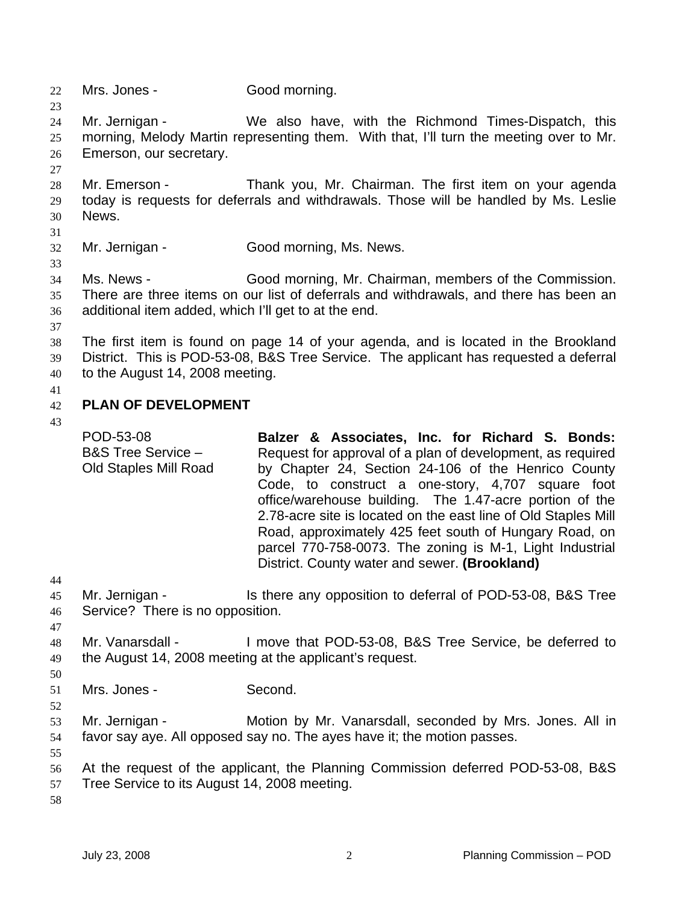- 22 Mrs. Jones Good morning.
- 24 25 26 Mr. Jernigan - We also have, with the Richmond Times-Dispatch, this morning, Melody Martin representing them. With that, I'll turn the meeting over to Mr. Emerson, our secretary.
- 28 29 30 Mr. Emerson - Thank you, Mr. Chairman. The first item on your agenda today is requests for deferrals and withdrawals. Those will be handled by Ms. Leslie News.
- 31

23

27

- 32 Mr. Jernigan - Good morning, Ms. News.
- 34 35 36 Ms. News - Good morning, Mr. Chairman, members of the Commission. There are three items on our list of deferrals and withdrawals, and there has been an additional item added, which I'll get to at the end.
- 37
- 38 39 40 The first item is found on page 14 of your agenda, and is located in the Brookland District. This is POD-53-08, B&S Tree Service. The applicant has requested a deferral to the August 14, 2008 meeting.
- 41
- 42 **PLAN OF DEVELOPMENT**
- 43

POD-53-08 B&S Tree Service – Old Staples Mill Road **Balzer & Associates, Inc. for Richard S. Bonds:**  Request for approval of a plan of development, as required by Chapter 24, Section 24-106 of the Henrico County Code, to construct a one-story, 4,707 square foot office/warehouse building. The 1.47-acre portion of the 2.78-acre site is located on the east line of Old Staples Mill Road, approximately 425 feet south of Hungary Road, on parcel 770-758-0073. The zoning is M-1, Light Industrial District. County water and sewer. **(Brookland)** 

- 44
- 45 46 Mr. Jernigan - Is there any opposition to deferral of POD-53-08, B&S Tree Service? There is no opposition.
- 47
- 48 49 Mr. Vanarsdall - I move that POD-53-08, B&S Tree Service, be deferred to the August 14, 2008 meeting at the applicant's request.
- 51 Mrs. Jones - Second.
- 52

- 53 54 Mr. Jernigan - **Motion by Mr. Vanarsdall, seconded by Mrs. Jones. All in** favor say aye. All opposed say no. The ayes have it; the motion passes.
- 55
- 56 57 At the request of the applicant, the Planning Commission deferred POD-53-08, B&S Tree Service to its August 14, 2008 meeting.
- 58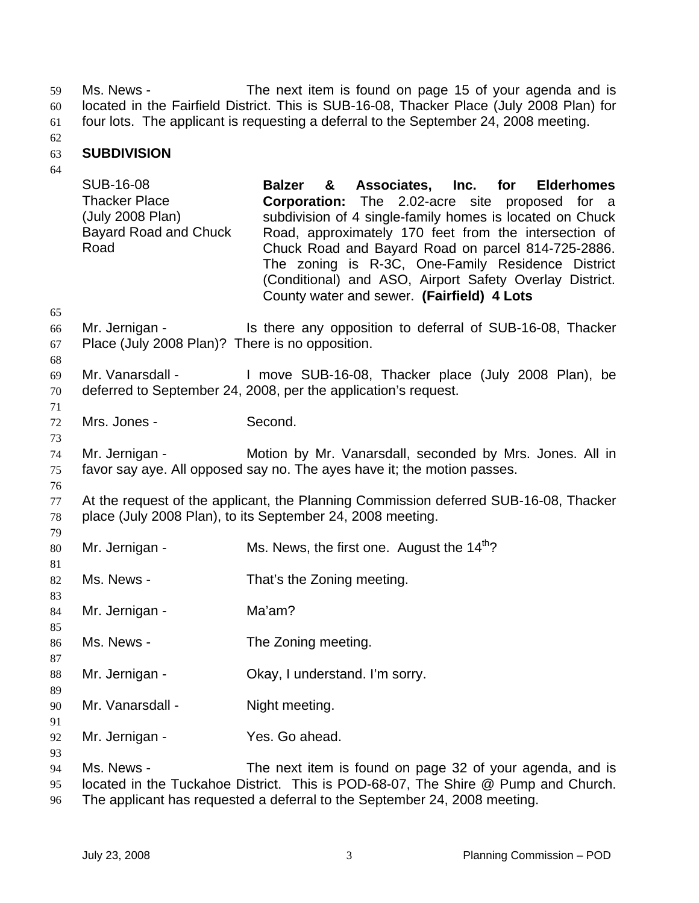Ms. News - The next item is found on page 15 of your agenda and is located in the Fairfield District. This is SUB-16-08, Thacker Place (July 2008 Plan) for four lots. The applicant is requesting a deferral to the September 24, 2008 meeting. 59 60 61

62

#### 63 **SUBDIVISION**

| 64                   | SUB-16-08<br><b>Thacker Place</b><br>(July 2008 Plan)<br><b>Bayard Road and Chuck</b><br>Road | <b>Balzer</b><br>Associates, Inc. for<br><b>Elderhomes</b><br>&<br>Corporation: The 2.02-acre site proposed for a<br>subdivision of 4 single-family homes is located on Chuck<br>Road, approximately 170 feet from the intersection of<br>Chuck Road and Bayard Road on parcel 814-725-2886.<br>The zoning is R-3C, One-Family Residence District<br>(Conditional) and ASO, Airport Safety Overlay District.<br>County water and sewer. (Fairfield) 4 Lots |
|----------------------|-----------------------------------------------------------------------------------------------|------------------------------------------------------------------------------------------------------------------------------------------------------------------------------------------------------------------------------------------------------------------------------------------------------------------------------------------------------------------------------------------------------------------------------------------------------------|
| 65<br>66<br>67<br>68 | Place (July 2008 Plan)? There is no opposition.                                               | Mr. Jernigan - Is there any opposition to deferral of SUB-16-08, Thacker                                                                                                                                                                                                                                                                                                                                                                                   |
| 69<br>70<br>71       | Mr. Vanarsdall -                                                                              | I move SUB-16-08, Thacker place (July 2008 Plan), be<br>deferred to September 24, 2008, per the application's request.                                                                                                                                                                                                                                                                                                                                     |
| 72<br>73             | Mrs. Jones -                                                                                  | Second.                                                                                                                                                                                                                                                                                                                                                                                                                                                    |
| 74<br>75             | Mr. Jernigan -                                                                                | Motion by Mr. Vanarsdall, seconded by Mrs. Jones. All in<br>favor say aye. All opposed say no. The ayes have it; the motion passes.                                                                                                                                                                                                                                                                                                                        |
| 76<br>77<br>78       |                                                                                               | At the request of the applicant, the Planning Commission deferred SUB-16-08, Thacker<br>place (July 2008 Plan), to its September 24, 2008 meeting.                                                                                                                                                                                                                                                                                                         |
| 79<br>80             | Mr. Jernigan -                                                                                | Ms. News, the first one. August the 14 <sup>th</sup> ?                                                                                                                                                                                                                                                                                                                                                                                                     |
| 81<br>82<br>83       | Ms. News -                                                                                    | That's the Zoning meeting.                                                                                                                                                                                                                                                                                                                                                                                                                                 |
| 84<br>85             | Mr. Jernigan -                                                                                | Ma'am?                                                                                                                                                                                                                                                                                                                                                                                                                                                     |
| 86<br>87             | Ms. News -                                                                                    | The Zoning meeting.                                                                                                                                                                                                                                                                                                                                                                                                                                        |
| 88<br>89             | Mr. Jernigan -                                                                                | Okay, I understand. I'm sorry.                                                                                                                                                                                                                                                                                                                                                                                                                             |
| 90<br>91             | Mr. Vanarsdall -                                                                              | Night meeting.                                                                                                                                                                                                                                                                                                                                                                                                                                             |
| 92<br>93             | Mr. Jernigan -                                                                                | Yes. Go ahead.                                                                                                                                                                                                                                                                                                                                                                                                                                             |
| 94<br>95             | Ms. News -                                                                                    | The next item is found on page 32 of your agenda, and is<br>located in the Tuckahoe District. This is POD-68-07, The Shire @ Pump and Church.                                                                                                                                                                                                                                                                                                              |

96 The applicant has requested a deferral to the September 24, 2008 meeting.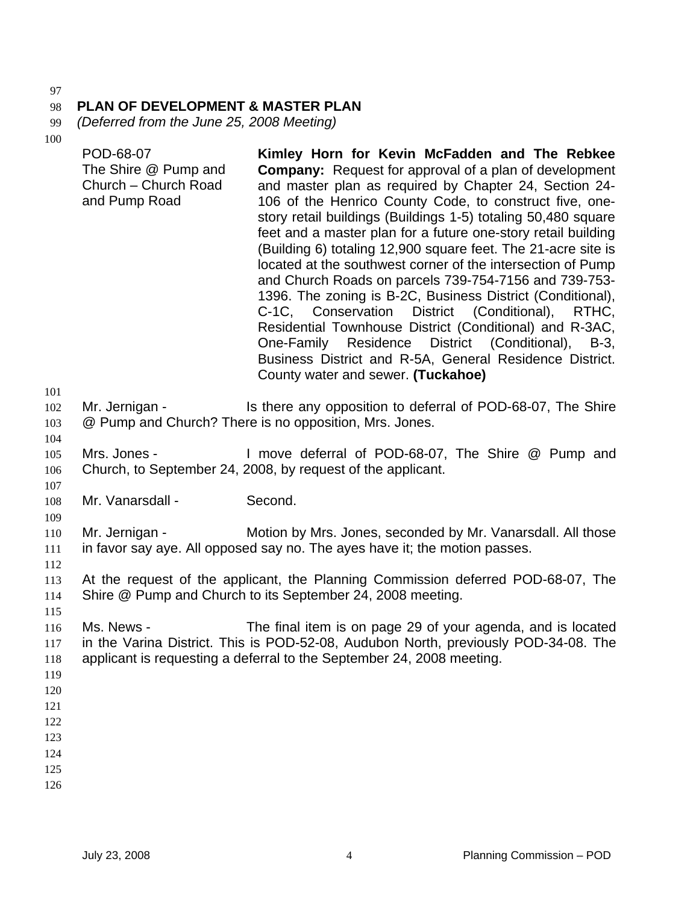### 98 **PLAN OF DEVELOPMENT & MASTER PLAN**

99 *(Deferred from the June 25, 2008 Meeting)* 

| 101                                           | POD-68-07<br>The Shire @ Pump and<br>Church - Church Road<br>and Pump Road | Kimley Horn for Kevin McFadden and The Rebkee<br><b>Company:</b> Request for approval of a plan of development<br>and master plan as required by Chapter 24, Section 24-<br>106 of the Henrico County Code, to construct five, one-<br>story retail buildings (Buildings 1-5) totaling 50,480 square<br>feet and a master plan for a future one-story retail building<br>(Building 6) totaling 12,900 square feet. The 21-acre site is<br>located at the southwest corner of the intersection of Pump<br>and Church Roads on parcels 739-754-7156 and 739-753-<br>1396. The zoning is B-2C, Business District (Conditional),<br>C-1C, Conservation District (Conditional),<br>RTHC,<br>Residential Townhouse District (Conditional) and R-3AC,<br>One-Family Residence District (Conditional), B-3,<br>Business District and R-5A, General Residence District.<br>County water and sewer. (Tuckahoe) |
|-----------------------------------------------|----------------------------------------------------------------------------|------------------------------------------------------------------------------------------------------------------------------------------------------------------------------------------------------------------------------------------------------------------------------------------------------------------------------------------------------------------------------------------------------------------------------------------------------------------------------------------------------------------------------------------------------------------------------------------------------------------------------------------------------------------------------------------------------------------------------------------------------------------------------------------------------------------------------------------------------------------------------------------------------|
| 102<br>103<br>104                             | Mr. Jernigan -                                                             | Is there any opposition to deferral of POD-68-07, The Shire<br>@ Pump and Church? There is no opposition, Mrs. Jones.                                                                                                                                                                                                                                                                                                                                                                                                                                                                                                                                                                                                                                                                                                                                                                                |
| 105<br>106<br>107                             | Mrs. Jones -                                                               | I move deferral of POD-68-07, The Shire @ Pump and<br>Church, to September 24, 2008, by request of the applicant.                                                                                                                                                                                                                                                                                                                                                                                                                                                                                                                                                                                                                                                                                                                                                                                    |
| 108<br>109                                    | Mr. Vanarsdall -                                                           | Second.                                                                                                                                                                                                                                                                                                                                                                                                                                                                                                                                                                                                                                                                                                                                                                                                                                                                                              |
| 110<br>111<br>112                             | Mr. Jernigan -                                                             | Motion by Mrs. Jones, seconded by Mr. Vanarsdall. All those<br>in favor say aye. All opposed say no. The ayes have it; the motion passes.                                                                                                                                                                                                                                                                                                                                                                                                                                                                                                                                                                                                                                                                                                                                                            |
| 113<br>114                                    |                                                                            | At the request of the applicant, the Planning Commission deferred POD-68-07, The<br>Shire @ Pump and Church to its September 24, 2008 meeting.                                                                                                                                                                                                                                                                                                                                                                                                                                                                                                                                                                                                                                                                                                                                                       |
| 115<br>116<br>117<br>118<br>119               | Ms. News -                                                                 | The final item is on page 29 of your agenda, and is located<br>in the Varina District. This is POD-52-08, Audubon North, previously POD-34-08. The<br>applicant is requesting a deferral to the September 24, 2008 meeting.                                                                                                                                                                                                                                                                                                                                                                                                                                                                                                                                                                                                                                                                          |
| 120<br>121<br>122<br>123<br>124<br>125<br>126 |                                                                            |                                                                                                                                                                                                                                                                                                                                                                                                                                                                                                                                                                                                                                                                                                                                                                                                                                                                                                      |
|                                               |                                                                            |                                                                                                                                                                                                                                                                                                                                                                                                                                                                                                                                                                                                                                                                                                                                                                                                                                                                                                      |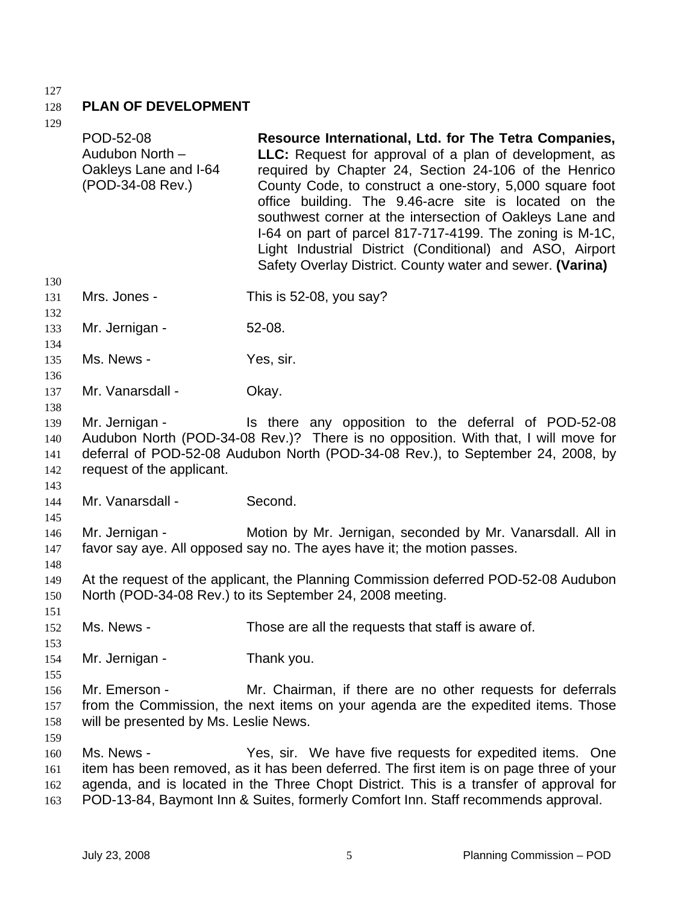### 128 **PLAN OF DEVELOPMENT**

| 149                             | POD-52-08<br>Audubon North -<br>Oakleys Lane and I-64<br>(POD-34-08 Rev.)                                                                                                                                                                                                    | Resource International, Ltd. for The Tetra Companies,<br><b>LLC:</b> Request for approval of a plan of development, as<br>required by Chapter 24, Section 24-106 of the Henrico<br>County Code, to construct a one-story, 5,000 square foot<br>office building. The 9.46-acre site is located on the<br>southwest corner at the intersection of Oakleys Lane and<br>I-64 on part of parcel 817-717-4199. The zoning is M-1C,<br>Light Industrial District (Conditional) and ASO, Airport<br>Safety Overlay District. County water and sewer. (Varina) |  |
|---------------------------------|------------------------------------------------------------------------------------------------------------------------------------------------------------------------------------------------------------------------------------------------------------------------------|-------------------------------------------------------------------------------------------------------------------------------------------------------------------------------------------------------------------------------------------------------------------------------------------------------------------------------------------------------------------------------------------------------------------------------------------------------------------------------------------------------------------------------------------------------|--|
| 130<br>131<br>132               | Mrs. Jones -                                                                                                                                                                                                                                                                 | This is 52-08, you say?                                                                                                                                                                                                                                                                                                                                                                                                                                                                                                                               |  |
| 133<br>134                      | Mr. Jernigan -                                                                                                                                                                                                                                                               | 52-08.                                                                                                                                                                                                                                                                                                                                                                                                                                                                                                                                                |  |
| 135<br>136                      | Ms. News -                                                                                                                                                                                                                                                                   | Yes, sir.                                                                                                                                                                                                                                                                                                                                                                                                                                                                                                                                             |  |
| 137<br>138                      | Mr. Vanarsdall -                                                                                                                                                                                                                                                             | Okay.                                                                                                                                                                                                                                                                                                                                                                                                                                                                                                                                                 |  |
| 139<br>140<br>141<br>142<br>143 | Mr. Jernigan -<br>Is there any opposition to the deferral of POD-52-08<br>Audubon North (POD-34-08 Rev.)? There is no opposition. With that, I will move for<br>deferral of POD-52-08 Audubon North (POD-34-08 Rev.), to September 24, 2008, by<br>request of the applicant. |                                                                                                                                                                                                                                                                                                                                                                                                                                                                                                                                                       |  |
| 144<br>145                      | Mr. Vanarsdall -                                                                                                                                                                                                                                                             | Second.                                                                                                                                                                                                                                                                                                                                                                                                                                                                                                                                               |  |
| 146<br>147<br>148               | Mr. Jernigan -                                                                                                                                                                                                                                                               | Motion by Mr. Jernigan, seconded by Mr. Vanarsdall. All in<br>favor say aye. All opposed say no. The ayes have it; the motion passes.                                                                                                                                                                                                                                                                                                                                                                                                                 |  |
| 149<br>150<br>151               |                                                                                                                                                                                                                                                                              | At the request of the applicant, the Planning Commission deferred POD-52-08 Audubon<br>North (POD-34-08 Rev.) to its September 24, 2008 meeting.                                                                                                                                                                                                                                                                                                                                                                                                      |  |
| 152<br>153                      | Ms. News -                                                                                                                                                                                                                                                                   | Those are all the requests that staff is aware of.                                                                                                                                                                                                                                                                                                                                                                                                                                                                                                    |  |
| 154<br>155                      | Mr. Jernigan -                                                                                                                                                                                                                                                               | Thank you.                                                                                                                                                                                                                                                                                                                                                                                                                                                                                                                                            |  |
| 156<br>157<br>158<br>159        | Mr. Emerson -<br>will be presented by Ms. Leslie News.                                                                                                                                                                                                                       | Mr. Chairman, if there are no other requests for deferrals<br>from the Commission, the next items on your agenda are the expedited items. Those                                                                                                                                                                                                                                                                                                                                                                                                       |  |
| 160<br>161<br>162<br>163        | Ms. News -                                                                                                                                                                                                                                                                   | Yes, sir. We have five requests for expedited items. One<br>item has been removed, as it has been deferred. The first item is on page three of your<br>agenda, and is located in the Three Chopt District. This is a transfer of approval for<br>POD-13-84, Baymont Inn & Suites, formerly Comfort Inn. Staff recommends approval.                                                                                                                                                                                                                    |  |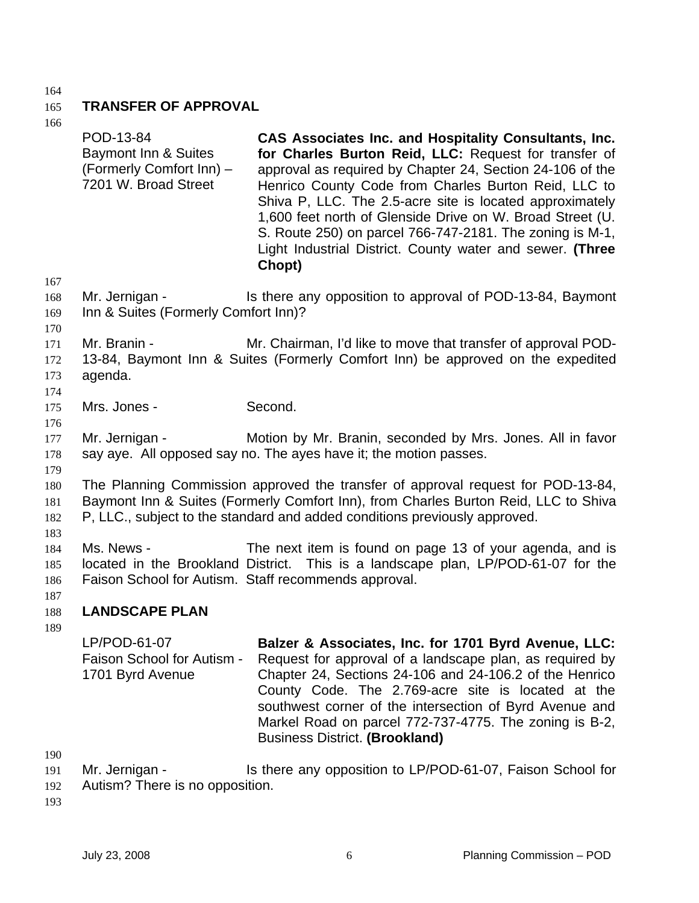### 165 **TRANSFER OF APPROVAL**

166

|                                 | POD-13-84<br>Baymont Inn & Suites<br>(Formerly Comfort Inn) -<br>7201 W. Broad Street | CAS Associates Inc. and Hospitality Consultants, Inc.<br>for Charles Burton Reid, LLC: Request for transfer of<br>approval as required by Chapter 24, Section 24-106 of the<br>Henrico County Code from Charles Burton Reid, LLC to<br>Shiva P, LLC. The 2.5-acre site is located approximately<br>1,600 feet north of Glenside Drive on W. Broad Street (U.<br>S. Route 250) on parcel 766-747-2181. The zoning is M-1,<br>Light Industrial District. County water and sewer. (Three<br>Chopt) |
|---------------------------------|---------------------------------------------------------------------------------------|-------------------------------------------------------------------------------------------------------------------------------------------------------------------------------------------------------------------------------------------------------------------------------------------------------------------------------------------------------------------------------------------------------------------------------------------------------------------------------------------------|
| 167<br>168<br>169<br>170        | Mr. Jernigan -<br>Inn & Suites (Formerly Comfort Inn)?                                | Is there any opposition to approval of POD-13-84, Baymont                                                                                                                                                                                                                                                                                                                                                                                                                                       |
| 171<br>172<br>173<br>174        | Mr. Branin -<br>agenda.                                                               | Mr. Chairman, I'd like to move that transfer of approval POD-<br>13-84, Baymont Inn & Suites (Formerly Comfort Inn) be approved on the expedited                                                                                                                                                                                                                                                                                                                                                |
| 175<br>176                      | Mrs. Jones -                                                                          | Second.                                                                                                                                                                                                                                                                                                                                                                                                                                                                                         |
| 177<br>178                      | Mr. Jernigan -                                                                        | Motion by Mr. Branin, seconded by Mrs. Jones. All in favor<br>say aye. All opposed say no. The ayes have it; the motion passes.                                                                                                                                                                                                                                                                                                                                                                 |
| 179<br>180<br>181<br>182<br>183 |                                                                                       | The Planning Commission approved the transfer of approval request for POD-13-84,<br>Baymont Inn & Suites (Formerly Comfort Inn), from Charles Burton Reid, LLC to Shiva<br>P, LLC., subject to the standard and added conditions previously approved.                                                                                                                                                                                                                                           |
| 184<br>185<br>186<br>187        | Ms. News -                                                                            | The next item is found on page 13 of your agenda, and is<br>located in the Brookland District. This is a landscape plan, LP/POD-61-07 for the<br>Faison School for Autism. Staff recommends approval.                                                                                                                                                                                                                                                                                           |
| 188<br>189                      | <b>LANDSCAPE PLAN</b>                                                                 |                                                                                                                                                                                                                                                                                                                                                                                                                                                                                                 |
|                                 | LP/POD-61-07<br>Faison School for Autism -<br>1701 Byrd Avenue                        | Balzer & Associates, Inc. for 1701 Byrd Avenue, LLC:<br>Request for approval of a landscape plan, as required by<br>Chapter 24, Sections 24-106 and 24-106.2 of the Henrico<br>County Code. The 2.769-acre site is located at the<br>southwest corner of the intersection of Byrd Avenue and<br>Markel Road on parcel 772-737-4775. The zoning is B-2,<br><b>Business District. (Brookland)</b>                                                                                                 |
| 190                             |                                                                                       |                                                                                                                                                                                                                                                                                                                                                                                                                                                                                                 |

191 Mr. Jernigan - Is there any opposition to LP/POD-61-07, Faison School for

192 Autism? There is no opposition.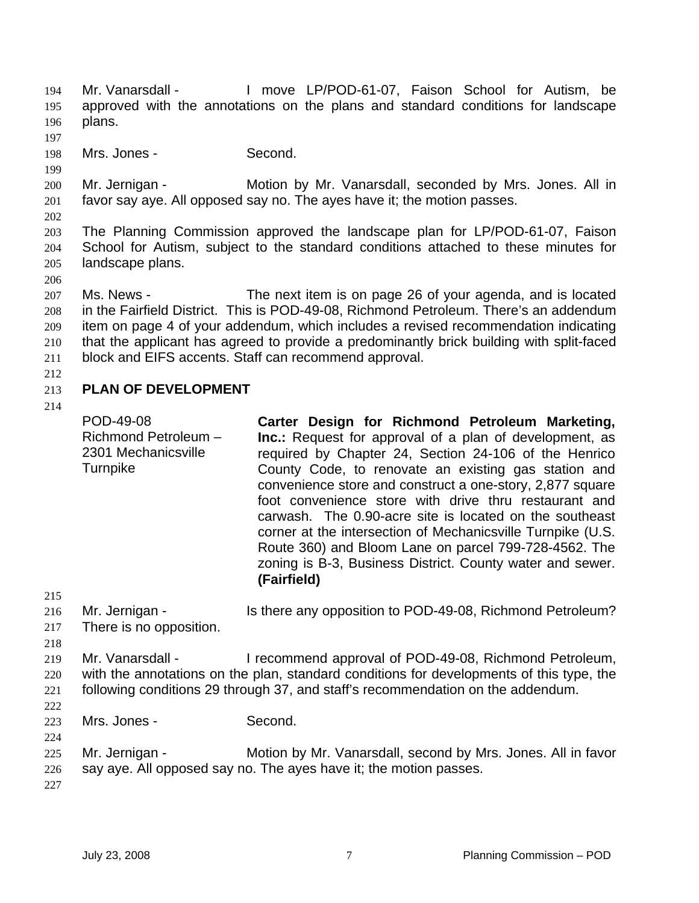- Mr. Vanarsdall I move LP/POD-61-07, Faison School for Autism, be approved with the annotations on the plans and standard conditions for landscape plans. 194 195 196
- 197
- 198 Mrs. Jones - Second.
- 200 201 Mr. Jernigan - **Motion by Mr. Vanarsdall, seconded by Mrs. Jones. All in** favor say aye. All opposed say no. The ayes have it; the motion passes.
- 202

199

203 204 205 The Planning Commission approved the landscape plan for LP/POD-61-07, Faison School for Autism, subject to the standard conditions attached to these minutes for landscape plans.

207 208 209 210 211 Ms. News - The next item is on page 26 of your agenda, and is located in the Fairfield District. This is POD-49-08, Richmond Petroleum. There's an addendum item on page 4 of your addendum, which includes a revised recommendation indicating that the applicant has agreed to provide a predominantly brick building with split-faced block and EIFS accents. Staff can recommend approval.

212

### 213 **PLAN OF DEVELOPMENT**

| 214                      | POD-49-08<br>Richmond Petroleum -<br>2301 Mechanicsville<br>Turnpike | Carter Design for Richmond Petroleum Marketing,<br>Inc.: Request for approval of a plan of development, as<br>required by Chapter 24, Section 24-106 of the Henrico<br>County Code, to renovate an existing gas station and<br>convenience store and construct a one-story, 2,877 square<br>foot convenience store with drive thru restaurant and<br>carwash. The 0.90-acre site is located on the southeast<br>corner at the intersection of Mechanicsville Turnpike (U.S.<br>Route 360) and Bloom Lane on parcel 799-728-4562. The<br>zoning is B-3, Business District. County water and sewer.<br>(Fairfield) |
|--------------------------|----------------------------------------------------------------------|------------------------------------------------------------------------------------------------------------------------------------------------------------------------------------------------------------------------------------------------------------------------------------------------------------------------------------------------------------------------------------------------------------------------------------------------------------------------------------------------------------------------------------------------------------------------------------------------------------------|
| 215                      |                                                                      |                                                                                                                                                                                                                                                                                                                                                                                                                                                                                                                                                                                                                  |
| 216<br>217<br>218        | Mr. Jernigan -<br>There is no opposition.                            | Is there any opposition to POD-49-08, Richmond Petroleum?                                                                                                                                                                                                                                                                                                                                                                                                                                                                                                                                                        |
| 219<br>220<br>221<br>222 | Mr. Vanarsdall -                                                     | I recommend approval of POD-49-08, Richmond Petroleum,<br>with the annotations on the plan, standard conditions for developments of this type, the<br>following conditions 29 through 37, and staff's recommendation on the addendum.                                                                                                                                                                                                                                                                                                                                                                            |
| 223<br>224               | Mrs. Jones -                                                         | Second.                                                                                                                                                                                                                                                                                                                                                                                                                                                                                                                                                                                                          |
| 225<br>226<br>227        | Mr. Jernigan -                                                       | Motion by Mr. Vanarsdall, second by Mrs. Jones. All in favor<br>say aye. All opposed say no. The ayes have it; the motion passes.                                                                                                                                                                                                                                                                                                                                                                                                                                                                                |
|                          |                                                                      |                                                                                                                                                                                                                                                                                                                                                                                                                                                                                                                                                                                                                  |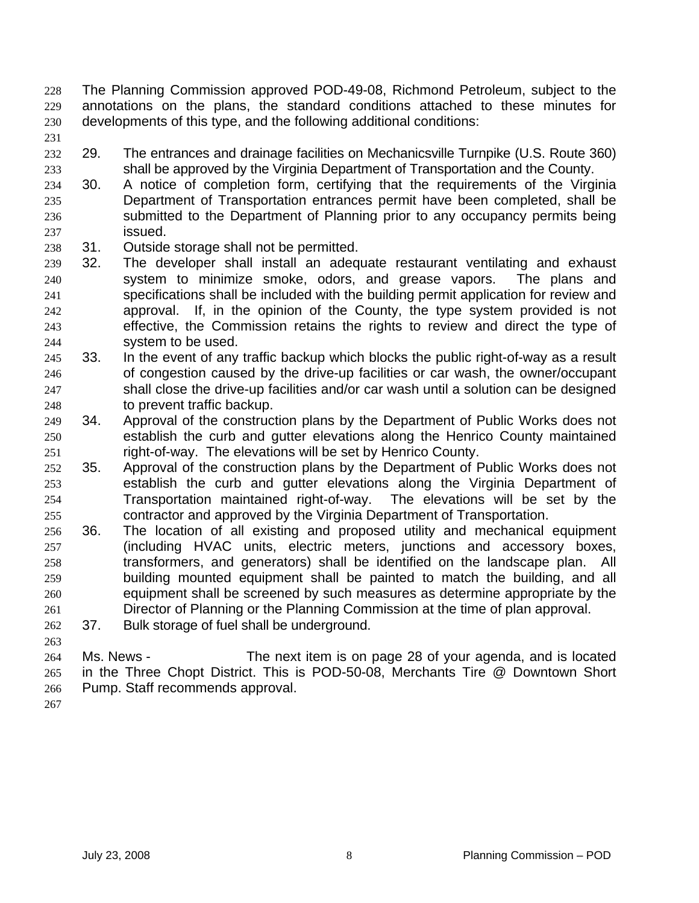- The Planning Commission approved POD-49-08, Richmond Petroleum, subject to the annotations on the plans, the standard conditions attached to these minutes for developments of this type, and the following additional conditions: 228 229 230
- 231
- 232 233 29. The entrances and drainage facilities on Mechanicsville Turnpike (U.S. Route 360) shall be approved by the Virginia Department of Transportation and the County.
- 234 235 236 237 30. A notice of completion form, certifying that the requirements of the Virginia Department of Transportation entrances permit have been completed, shall be submitted to the Department of Planning prior to any occupancy permits being issued.
- 238 31. Outside storage shall not be permitted.
- 239 240 241 242 243 244 32. The developer shall install an adequate restaurant ventilating and exhaust system to minimize smoke, odors, and grease vapors. The plans and specifications shall be included with the building permit application for review and approval. If, in the opinion of the County, the type system provided is not effective, the Commission retains the rights to review and direct the type of system to be used.
- 245 246 247 248 33. In the event of any traffic backup which blocks the public right-of-way as a result of congestion caused by the drive-up facilities or car wash, the owner/occupant shall close the drive-up facilities and/or car wash until a solution can be designed to prevent traffic backup.
- 249 250 251 34. Approval of the construction plans by the Department of Public Works does not establish the curb and gutter elevations along the Henrico County maintained right-of-way. The elevations will be set by Henrico County.
- 252 253 254 255 35. Approval of the construction plans by the Department of Public Works does not establish the curb and gutter elevations along the Virginia Department of Transportation maintained right-of-way. The elevations will be set by the contractor and approved by the Virginia Department of Transportation.
- 256 257 258 259 260 261 36. The location of all existing and proposed utility and mechanical equipment (including HVAC units, electric meters, junctions and accessory boxes, transformers, and generators) shall be identified on the landscape plan. All building mounted equipment shall be painted to match the building, and all equipment shall be screened by such measures as determine appropriate by the Director of Planning or the Planning Commission at the time of plan approval.
- 262 37. Bulk storage of fuel shall be underground.
- 264 265 266 Ms. News - The next item is on page 28 of your agenda, and is located in the Three Chopt District. This is POD-50-08, Merchants Tire @ Downtown Short Pump. Staff recommends approval.
- 267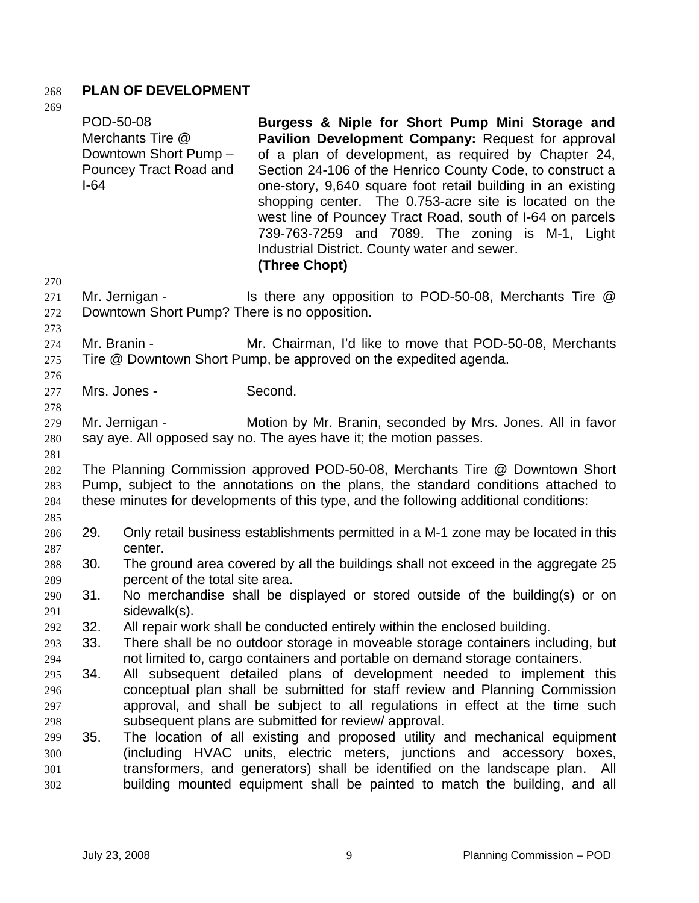### 268 **PLAN OF DEVELOPMENT**

| ×<br>i |  |
|--------|--|

| 269<br>270               | $I-64$                                                                                                                                            | POD-50-08<br>Merchants Tire @<br>Downtown Short Pump -<br>Pouncey Tract Road and                                                                                                                                                                           | Burgess & Niple for Short Pump Mini Storage and<br>Pavilion Development Company: Request for approval<br>of a plan of development, as required by Chapter 24,<br>Section 24-106 of the Henrico County Code, to construct a<br>one-story, 9,640 square foot retail building in an existing<br>shopping center. The 0.753-acre site is located on the<br>west line of Pouncey Tract Road, south of I-64 on parcels<br>739-763-7259 and 7089. The zoning is M-1, Light<br>Industrial District. County water and sewer.<br>(Three Chopt) |  |
|--------------------------|---------------------------------------------------------------------------------------------------------------------------------------------------|------------------------------------------------------------------------------------------------------------------------------------------------------------------------------------------------------------------------------------------------------------|--------------------------------------------------------------------------------------------------------------------------------------------------------------------------------------------------------------------------------------------------------------------------------------------------------------------------------------------------------------------------------------------------------------------------------------------------------------------------------------------------------------------------------------|--|
| 271<br>272<br>273        |                                                                                                                                                   | Mr. Jernigan -<br>Downtown Short Pump? There is no opposition.                                                                                                                                                                                             | Is there any opposition to POD-50-08, Merchants Tire @                                                                                                                                                                                                                                                                                                                                                                                                                                                                               |  |
| 274<br>275<br>276        |                                                                                                                                                   | Mr. Branin -                                                                                                                                                                                                                                               | Mr. Chairman, I'd like to move that POD-50-08, Merchants<br>Tire @ Downtown Short Pump, be approved on the expedited agenda.                                                                                                                                                                                                                                                                                                                                                                                                         |  |
| 277                      |                                                                                                                                                   | Mrs. Jones -                                                                                                                                                                                                                                               | Second.                                                                                                                                                                                                                                                                                                                                                                                                                                                                                                                              |  |
| 278<br>279<br>280<br>281 | Mr. Jernigan -<br>Motion by Mr. Branin, seconded by Mrs. Jones. All in favor<br>say aye. All opposed say no. The ayes have it; the motion passes. |                                                                                                                                                                                                                                                            |                                                                                                                                                                                                                                                                                                                                                                                                                                                                                                                                      |  |
| 282<br>283<br>284        |                                                                                                                                                   | The Planning Commission approved POD-50-08, Merchants Tire @ Downtown Short<br>Pump, subject to the annotations on the plans, the standard conditions attached to<br>these minutes for developments of this type, and the following additional conditions: |                                                                                                                                                                                                                                                                                                                                                                                                                                                                                                                                      |  |
| 285<br>286<br>287        | 29.                                                                                                                                               | center.                                                                                                                                                                                                                                                    | Only retail business establishments permitted in a M-1 zone may be located in this                                                                                                                                                                                                                                                                                                                                                                                                                                                   |  |
| 288<br>289               | 30.                                                                                                                                               | percent of the total site area.                                                                                                                                                                                                                            | The ground area covered by all the buildings shall not exceed in the aggregate 25                                                                                                                                                                                                                                                                                                                                                                                                                                                    |  |
| 290<br>291               | 31.                                                                                                                                               | No merchandise shall be displayed or stored outside of the building(s) or on<br>sidewalk(s).                                                                                                                                                               |                                                                                                                                                                                                                                                                                                                                                                                                                                                                                                                                      |  |
| 292                      | 32.                                                                                                                                               |                                                                                                                                                                                                                                                            | All repair work shall be conducted entirely within the enclosed building.                                                                                                                                                                                                                                                                                                                                                                                                                                                            |  |
| 293                      | 33.                                                                                                                                               |                                                                                                                                                                                                                                                            | There shall be no outdoor storage in moveable storage containers including, but                                                                                                                                                                                                                                                                                                                                                                                                                                                      |  |
| 294                      |                                                                                                                                                   |                                                                                                                                                                                                                                                            | not limited to, cargo containers and portable on demand storage containers.                                                                                                                                                                                                                                                                                                                                                                                                                                                          |  |
| 295                      | 34.                                                                                                                                               |                                                                                                                                                                                                                                                            | All subsequent detailed plans of development needed to implement this                                                                                                                                                                                                                                                                                                                                                                                                                                                                |  |
| 296                      |                                                                                                                                                   |                                                                                                                                                                                                                                                            | conceptual plan shall be submitted for staff review and Planning Commission                                                                                                                                                                                                                                                                                                                                                                                                                                                          |  |
| 297                      |                                                                                                                                                   |                                                                                                                                                                                                                                                            | approval, and shall be subject to all regulations in effect at the time such                                                                                                                                                                                                                                                                                                                                                                                                                                                         |  |
| 298                      |                                                                                                                                                   |                                                                                                                                                                                                                                                            | subsequent plans are submitted for review/ approval.                                                                                                                                                                                                                                                                                                                                                                                                                                                                                 |  |
| 299                      | 35.                                                                                                                                               |                                                                                                                                                                                                                                                            | The location of all existing and proposed utility and mechanical equipment                                                                                                                                                                                                                                                                                                                                                                                                                                                           |  |
| 300                      |                                                                                                                                                   |                                                                                                                                                                                                                                                            | (including HVAC units, electric meters, junctions and accessory boxes,                                                                                                                                                                                                                                                                                                                                                                                                                                                               |  |
| 301                      |                                                                                                                                                   |                                                                                                                                                                                                                                                            | transformers, and generators) shall be identified on the landscape plan.<br>All                                                                                                                                                                                                                                                                                                                                                                                                                                                      |  |
| 302                      |                                                                                                                                                   |                                                                                                                                                                                                                                                            | building mounted equipment shall be painted to match the building, and all                                                                                                                                                                                                                                                                                                                                                                                                                                                           |  |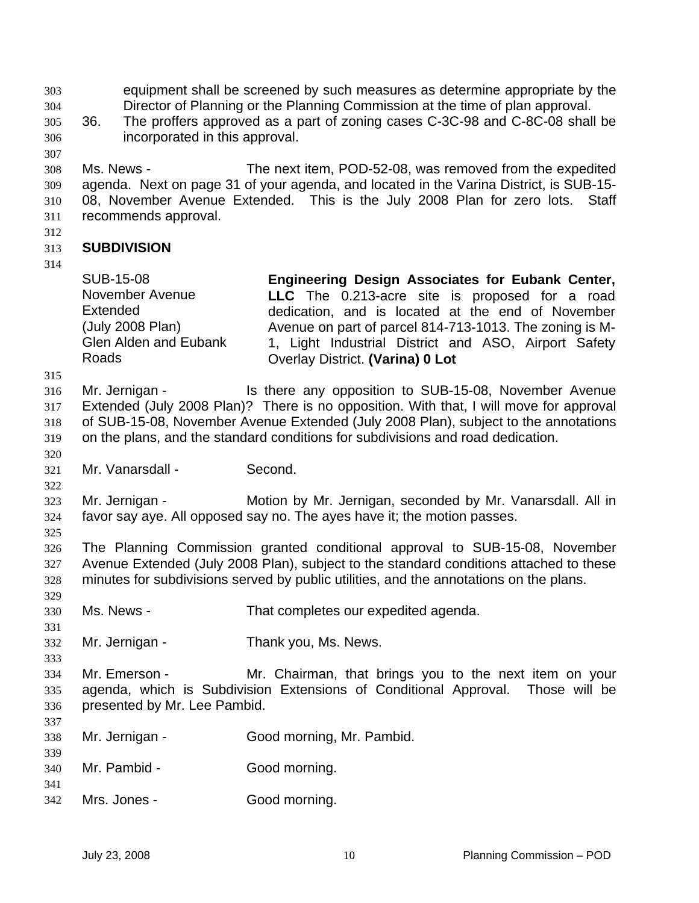equipment shall be screened by such measures as determine appropriate by the Director of Planning or the Planning Commission at the time of plan approval. 303 304

- 305 306 36. The proffers approved as a part of zoning cases C-3C-98 and C-8C-08 shall be incorporated in this approval.
- 307

308 309 310 311 Ms. News - The next item, POD-52-08, was removed from the expedited agenda. Next on page 31 of your agenda, and located in the Varina District, is SUB-15- 08, November Avenue Extended. This is the July 2008 Plan for zero lots. Staff recommends approval.

312

#### 313 **SUBDIVISION**

314

| <b>SUB-15-08</b>             | Engineering Design Associates for Eubank Center,        |
|------------------------------|---------------------------------------------------------|
| November Avenue              | LLC The 0.213-acre site is proposed for a road          |
| <b>Extended</b>              | dedication, and is located at the end of November       |
| (July 2008 Plan)             | Avenue on part of parcel 814-713-1013. The zoning is M- |
| <b>Glen Alden and Eubank</b> | 1, Light Industrial District and ASO, Airport Safety    |
| Roads                        | Overlay District. (Varina) 0 Lot                        |

315

316 317 318 319 Mr. Jernigan - The Is there any opposition to SUB-15-08, November Avenue Extended (July 2008 Plan)? There is no opposition. With that, I will move for approval of SUB-15-08, November Avenue Extended (July 2008 Plan), subject to the annotations on the plans, and the standard conditions for subdivisions and road dedication.

320 321

322

331

333

337

339

Mr. Vanarsdall - Second.

323 324 Mr. Jernigan - **Motion by Mr. Jernigan, seconded by Mr. Vanarsdall.** All in favor say aye. All opposed say no. The ayes have it; the motion passes.

325 326 327 328 329 The Planning Commission granted conditional approval to SUB-15-08, November Avenue Extended (July 2008 Plan), subject to the standard conditions attached to these minutes for subdivisions served by public utilities, and the annotations on the plans.

- 330 Ms. News - That completes our expedited agenda.
- 332 Mr. Jernigan - Thank you, Ms. News.
- 334 335 336 Mr. Emerson - Mr. Chairman, that brings you to the next item on your agenda, which is Subdivision Extensions of Conditional Approval. Those will be presented by Mr. Lee Pambid.
- 338 Mr. Jernigan - Good morning, Mr. Pambid.
- 340 Mr. Pambid - Good morning.
- 341
- 342 Mrs. Jones - Good morning.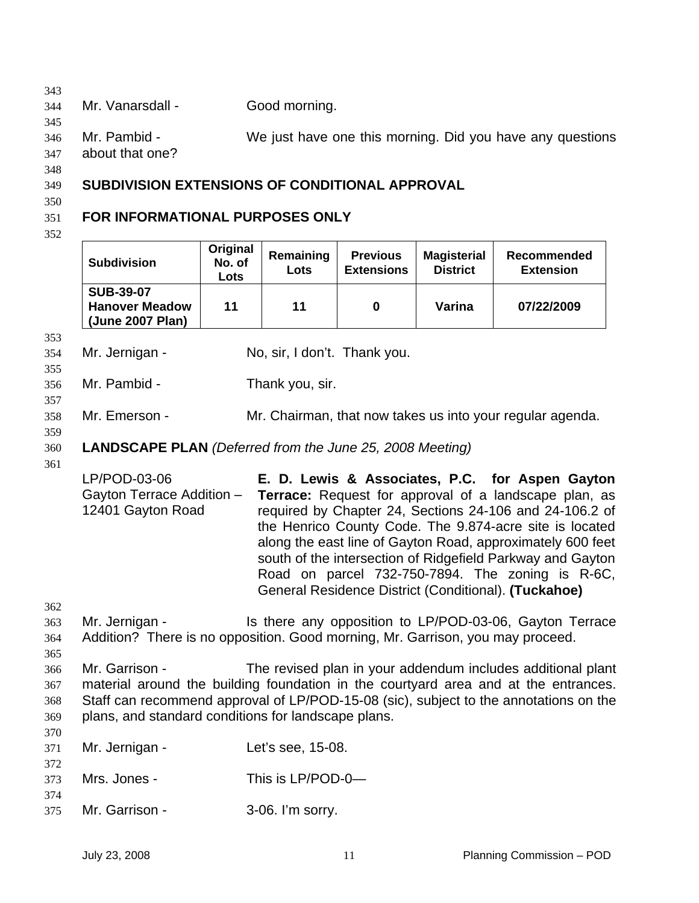| 344 | Mr. Vanarsdall - | Good morning. |
|-----|------------------|---------------|
|-----|------------------|---------------|

345

346

Mr. Pambid - We just have one this morning. Did you have any questions

347 about that one?

# 348

### 349 **SUBDIVISION EXTENSIONS OF CONDITIONAL APPROVAL**

## 350

### 351 **FOR INFORMATIONAL PURPOSES ONLY**

352

| <b>Subdivision</b>                                                                                                                                                                                                                                    | Original<br>No. of<br><b>Lots</b> | Remaining<br>Lots | <b>Previous</b><br><b>Extensions</b> | <b>Magisterial</b><br><b>District</b> | Recommended<br><b>Extension</b>                                                                                                                                                                                                                                                                                                                                                                                                                                        |  |
|-------------------------------------------------------------------------------------------------------------------------------------------------------------------------------------------------------------------------------------------------------|-----------------------------------|-------------------|--------------------------------------|---------------------------------------|------------------------------------------------------------------------------------------------------------------------------------------------------------------------------------------------------------------------------------------------------------------------------------------------------------------------------------------------------------------------------------------------------------------------------------------------------------------------|--|
| <b>SUB-39-07</b><br><b>Hanover Meadow</b><br>(June 2007 Plan)                                                                                                                                                                                         | 11                                | 11                | 0                                    | Varina                                | 07/22/2009                                                                                                                                                                                                                                                                                                                                                                                                                                                             |  |
| Mr. Jernigan -                                                                                                                                                                                                                                        |                                   |                   | No, sir, I don't. Thank you.         |                                       |                                                                                                                                                                                                                                                                                                                                                                                                                                                                        |  |
| Mr. Pambid -                                                                                                                                                                                                                                          |                                   | Thank you, sir.   |                                      |                                       |                                                                                                                                                                                                                                                                                                                                                                                                                                                                        |  |
| Mr. Emerson -                                                                                                                                                                                                                                         |                                   |                   |                                      |                                       | Mr. Chairman, that now takes us into your regular agenda.                                                                                                                                                                                                                                                                                                                                                                                                              |  |
| <b>LANDSCAPE PLAN</b> (Deferred from the June 25, 2008 Meeting)                                                                                                                                                                                       |                                   |                   |                                      |                                       |                                                                                                                                                                                                                                                                                                                                                                                                                                                                        |  |
| LP/POD-03-06<br>Gayton Terrace Addition -<br>12401 Gayton Road                                                                                                                                                                                        |                                   |                   |                                      |                                       | E. D. Lewis & Associates, P.C. for Aspen Gayton<br>Terrace: Request for approval of a landscape plan, as<br>required by Chapter 24, Sections 24-106 and 24-106.2 of<br>the Henrico County Code. The 9.874-acre site is located<br>along the east line of Gayton Road, approximately 600 feet<br>south of the intersection of Ridgefield Parkway and Gayton<br>Road on parcel 732-750-7894. The zoning is R-6C,<br>General Residence District (Conditional). (Tuckahoe) |  |
| Mr. Jernigan -<br>Addition? There is no opposition. Good morning, Mr. Garrison, you may proceed.                                                                                                                                                      |                                   |                   |                                      |                                       | Is there any opposition to LP/POD-03-06, Gayton Terrace                                                                                                                                                                                                                                                                                                                                                                                                                |  |
| Mr. Garrison -<br>material around the building foundation in the courtyard area and at the entrances.<br>Staff can recommend approval of LP/POD-15-08 (sic), subject to the annotations on the<br>plans, and standard conditions for landscape plans. |                                   |                   |                                      |                                       | The revised plan in your addendum includes additional plant                                                                                                                                                                                                                                                                                                                                                                                                            |  |
| Mr. Jernigan -                                                                                                                                                                                                                                        |                                   | Let's see, 15-08. |                                      |                                       |                                                                                                                                                                                                                                                                                                                                                                                                                                                                        |  |
| Mrs. Jones -                                                                                                                                                                                                                                          |                                   | This is LP/POD-0- |                                      |                                       |                                                                                                                                                                                                                                                                                                                                                                                                                                                                        |  |
| Mr. Garrison -                                                                                                                                                                                                                                        |                                   | 3-06. I'm sorry.  |                                      |                                       |                                                                                                                                                                                                                                                                                                                                                                                                                                                                        |  |
|                                                                                                                                                                                                                                                       |                                   |                   |                                      |                                       |                                                                                                                                                                                                                                                                                                                                                                                                                                                                        |  |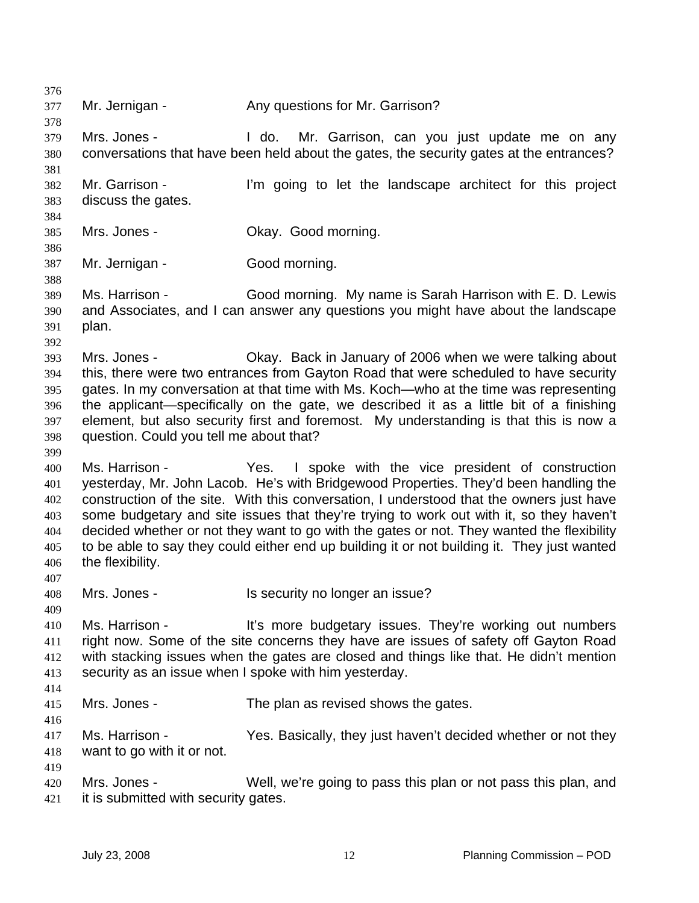376 377 378 379 380 381 382 383 384 385 386 387 388 389 390 391 392 393 394 395 396 397 398 399 400 401 402 403 404 405 406 407 408 409 410 411 412 413 414 415 416 417 418 419 420 421 Mr. Jernigan - Any questions for Mr. Garrison? Mrs. Jones - I do. Mr. Garrison, can you just update me on any conversations that have been held about the gates, the security gates at the entrances? Mr. Garrison - I'm going to let the landscape architect for this project discuss the gates. Mrs. Jones - Ckay. Good morning. Mr. Jernigan - Good morning. Ms. Harrison - Good morning. My name is Sarah Harrison with E. D. Lewis and Associates, and I can answer any questions you might have about the landscape plan. Mrs. Jones - Chay. Back in January of 2006 when we were talking about this, there were two entrances from Gayton Road that were scheduled to have security gates. In my conversation at that time with Ms. Koch—who at the time was representing the applicant—specifically on the gate, we described it as a little bit of a finishing element, but also security first and foremost. My understanding is that this is now a question. Could you tell me about that? Ms. Harrison - The Yes. I spoke with the vice president of construction yesterday, Mr. John Lacob. He's with Bridgewood Properties. They'd been handling the construction of the site. With this conversation, I understood that the owners just have some budgetary and site issues that they're trying to work out with it, so they haven't decided whether or not they want to go with the gates or not. They wanted the flexibility to be able to say they could either end up building it or not building it. They just wanted the flexibility. Mrs. Jones - Is security no longer an issue? Ms. Harrison - It's more budgetary issues. They're working out numbers right now. Some of the site concerns they have are issues of safety off Gayton Road with stacking issues when the gates are closed and things like that. He didn't mention security as an issue when I spoke with him yesterday. Mrs. Jones - The plan as revised shows the gates. Ms. Harrison - Yes. Basically, they just haven't decided whether or not they want to go with it or not. Mrs. Jones - Well, we're going to pass this plan or not pass this plan, and it is submitted with security gates.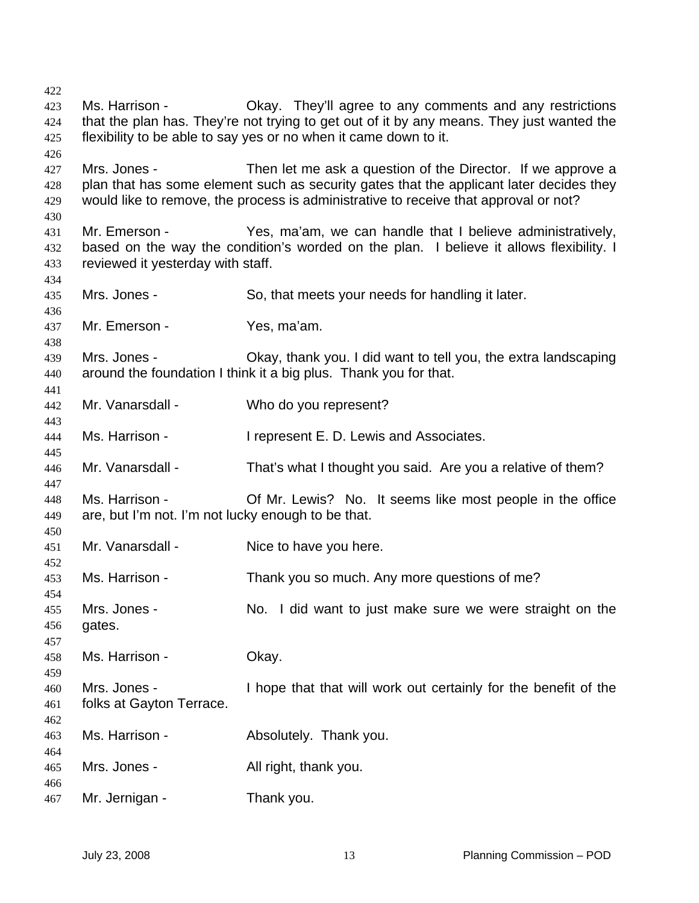Ms. Harrison - Ckay. They'll agree to any comments and any restrictions that the plan has. They're not trying to get out of it by any means. They just wanted the flexibility to be able to say yes or no when it came down to it. Mrs. Jones - Then let me ask a question of the Director. If we approve a plan that has some element such as security gates that the applicant later decides they would like to remove, the process is administrative to receive that approval or not? Mr. Emerson - Yes, ma'am, we can handle that I believe administratively, based on the way the condition's worded on the plan. I believe it allows flexibility. I reviewed it yesterday with staff. Mrs. Jones - So, that meets your needs for handling it later. Mr. Emerson - Yes, ma'am. Mrs. Jones - Okay, thank you. I did want to tell you, the extra landscaping around the foundation I think it a big plus. Thank you for that. Mr. Vanarsdall - Who do you represent? Ms. Harrison - The Present E. D. Lewis and Associates. Mr. Vanarsdall - That's what I thought you said. Are you a relative of them? Ms. Harrison - **Of Mr. Lewis?** No. It seems like most people in the office are, but I'm not. I'm not lucky enough to be that. Mr. Vanarsdall - Nice to have you here. Ms. Harrison - Thank you so much. Any more questions of me? Mrs. Jones - No. I did want to just make sure we were straight on the gates. Ms. Harrison - **Okay.** Mrs. Jones - I hope that that will work out certainly for the benefit of the folks at Gayton Terrace. Ms. Harrison - Thank you. Mrs. Jones - The All right, thank you. Mr. Jernigan - Thank you.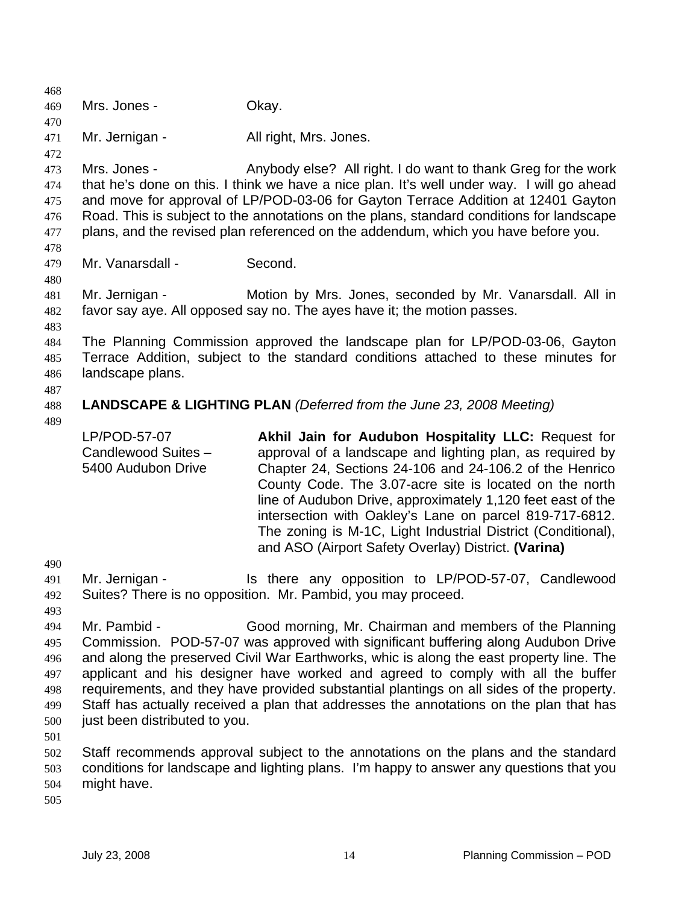468 469 470 471 472 473 474 475 476 477 478 479 480 481 482 483 484 485 486 487 488 489 490 491 492 493 494 495 496 497 498 499 500 501 502 503 504 505 Mrs. Jones - Chay. Mr. Jernigan - All right, Mrs. Jones. Mrs. Jones - Anybody else? All right. I do want to thank Greg for the work that he's done on this. I think we have a nice plan. It's well under way. I will go ahead and move for approval of LP/POD-03-06 for Gayton Terrace Addition at 12401 Gayton Road. This is subject to the annotations on the plans, standard conditions for landscape plans, and the revised plan referenced on the addendum, which you have before you. Mr. Vanarsdall - Second. Mr. Jernigan - **Motion by Mrs. Jones, seconded by Mr. Vanarsdall.** All in favor say aye. All opposed say no. The ayes have it; the motion passes. The Planning Commission approved the landscape plan for LP/POD-03-06, Gayton Terrace Addition, subject to the standard conditions attached to these minutes for landscape plans. **LANDSCAPE & LIGHTING PLAN** *(Deferred from the June 23, 2008 Meeting)* LP/POD-57-07 Candlewood Suites – 5400 Audubon Drive **Akhil Jain for Audubon Hospitality LLC:** Request for approval of a landscape and lighting plan, as required by Chapter 24, Sections 24-106 and 24-106.2 of the Henrico County Code. The 3.07-acre site is located on the north line of Audubon Drive, approximately 1,120 feet east of the intersection with Oakley's Lane on parcel 819-717-6812. The zoning is M-1C, Light Industrial District (Conditional), and ASO (Airport Safety Overlay) District. **(Varina)**  Mr. Jernigan - Is there any opposition to LP/POD-57-07, Candlewood Suites? There is no opposition. Mr. Pambid, you may proceed. Mr. Pambid - Good morning, Mr. Chairman and members of the Planning Commission. POD-57-07 was approved with significant buffering along Audubon Drive and along the preserved Civil War Earthworks, whic is along the east property line. The applicant and his designer have worked and agreed to comply with all the buffer requirements, and they have provided substantial plantings on all sides of the property. Staff has actually received a plan that addresses the annotations on the plan that has just been distributed to you. Staff recommends approval subject to the annotations on the plans and the standard conditions for landscape and lighting plans. I'm happy to answer any questions that you might have.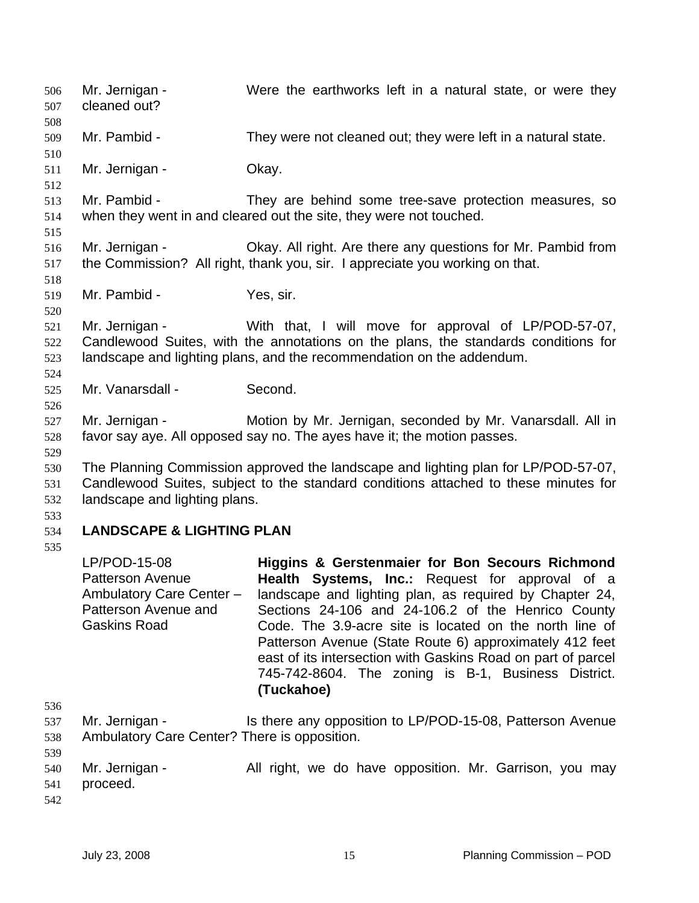Mr. Jernigan - Were the earthworks left in a natural state, or were they cleaned out? 506 507 508 509 510 511 512 513 514 515 516 517 518 519 520 521 522 523 524 525 526 527 528 529 530 531 532 533 534 535 536 537 538 539 540 541 542 Mr. Pambid - They were not cleaned out; they were left in a natural state. Mr. Jernigan - **Okay.** Mr. Pambid - They are behind some tree-save protection measures, so when they went in and cleared out the site, they were not touched. Mr. Jernigan - Okay. All right. Are there any questions for Mr. Pambid from the Commission? All right, thank you, sir. I appreciate you working on that. Mr. Pambid - Yes, sir. Mr. Jernigan - With that, I will move for approval of LP/POD-57-07, Candlewood Suites, with the annotations on the plans, the standards conditions for landscape and lighting plans, and the recommendation on the addendum. Mr. Vanarsdall - Second. Mr. Jernigan - Motion by Mr. Jernigan, seconded by Mr. Vanarsdall. All in favor say aye. All opposed say no. The ayes have it; the motion passes. The Planning Commission approved the landscape and lighting plan for LP/POD-57-07, Candlewood Suites, subject to the standard conditions attached to these minutes for landscape and lighting plans. **LANDSCAPE & LIGHTING PLAN**  LP/POD-15-08 Patterson Avenue Ambulatory Care Center – Patterson Avenue and Gaskins Road **Higgins & Gerstenmaier for Bon Secours Richmond Health Systems, Inc.:** Request for approval of a landscape and lighting plan, as required by Chapter 24, Sections 24-106 and 24-106.2 of the Henrico County Code. The 3.9-acre site is located on the north line of Patterson Avenue (State Route 6) approximately 412 feet east of its intersection with Gaskins Road on part of parcel 745-742-8604. The zoning is B-1, Business District. **(Tuckahoe)**  Mr. Jernigan - Is there any opposition to LP/POD-15-08, Patterson Avenue Ambulatory Care Center? There is opposition. Mr. Jernigan - The All right, we do have opposition. Mr. Garrison, you may proceed.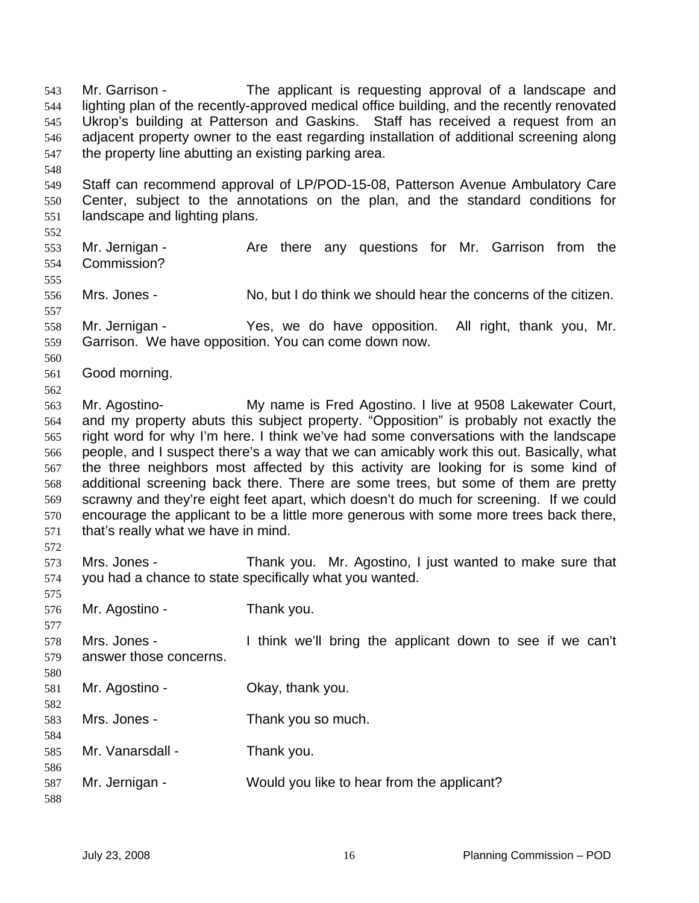Mr. Garrison - The applicant is requesting approval of a landscape and lighting plan of the recently-approved medical office building, and the recently renovated Ukrop's building at Patterson and Gaskins. Staff has received a request from an adjacent property owner to the east regarding installation of additional screening along the property line abutting an existing parking area. 543 544 545 546 547 548 549 550 551 552 553 554 555 556 557 558 559 560 561 562 563 564 565 566 567 568 569 570 571 572 573 574 575 576 577 578 579 580 581 582 583 584 585 586 587 588 Staff can recommend approval of LP/POD-15-08, Patterson Avenue Ambulatory Care Center, subject to the annotations on the plan, and the standard conditions for landscape and lighting plans. Mr. Jernigan - Are there any questions for Mr. Garrison from the Commission? Mrs. Jones - No, but I do think we should hear the concerns of the citizen. Mr. Jernigan - The Yes, we do have opposition. All right, thank you, Mr. Garrison. We have opposition. You can come down now. Good morning. Mr. Agostino- My name is Fred Agostino. I live at 9508 Lakewater Court, and my property abuts this subject property. "Opposition" is probably not exactly the right word for why I'm here. I think we've had some conversations with the landscape people, and I suspect there's a way that we can amicably work this out. Basically, what the three neighbors most affected by this activity are looking for is some kind of additional screening back there. There are some trees, but some of them are pretty scrawny and they're eight feet apart, which doesn't do much for screening. If we could encourage the applicant to be a little more generous with some more trees back there, that's really what we have in mind. Mrs. Jones - Thank you. Mr. Agostino, I just wanted to make sure that you had a chance to state specifically what you wanted. Mr. Agostino - Thank you. Mrs. Jones - I think we'll bring the applicant down to see if we can't answer those concerns. Mr. Agostino - Ckay, thank you. Mrs. Jones - Thank you so much. Mr. Vanarsdall - Thank you. Mr. Jernigan - Would you like to hear from the applicant?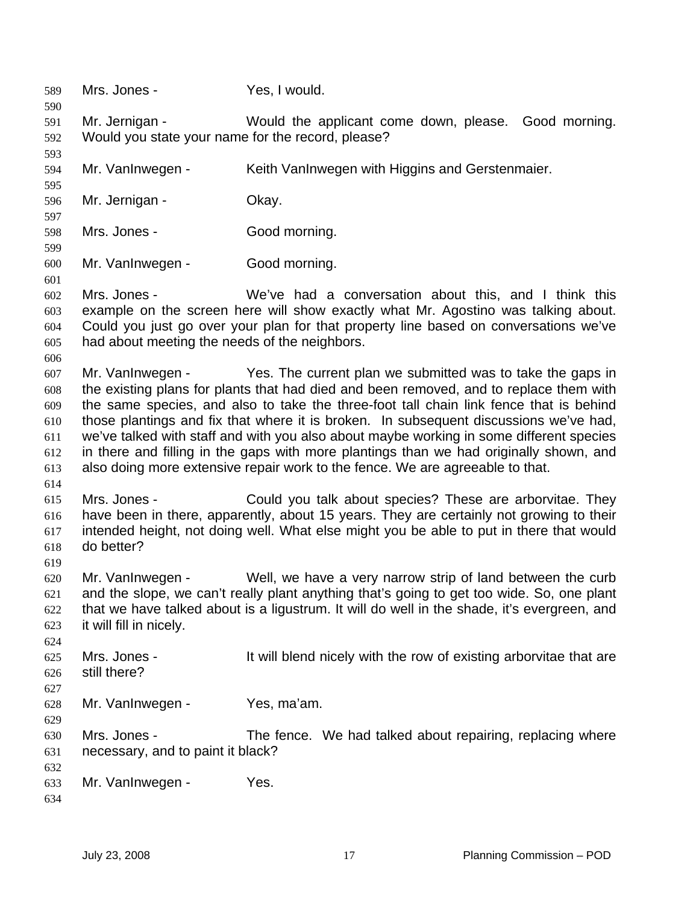589 Mrs. Jones - Yes, I would. 590 591 592 593 594 595 596 597 598 599 600 601 602 603 604 605 606 607 608 609 610 611 612 613 614 615 616 617 618 619 620 621 622 623 624 625 626 627 628 629 630 631 632 633 634 Mr. Jernigan - Would the applicant come down, please. Good morning. Would you state your name for the record, please? Mr. VanInwegen - Keith VanInwegen with Higgins and Gerstenmaier. Mr. Jernigan - Ckay. Mrs. Jones - Good morning. Mr. VanInwegen - Good morning. Mrs. Jones - We've had a conversation about this, and I think this example on the screen here will show exactly what Mr. Agostino was talking about. Could you just go over your plan for that property line based on conversations we've had about meeting the needs of the neighbors. Mr. VanInwegen - Yes. The current plan we submitted was to take the gaps in the existing plans for plants that had died and been removed, and to replace them with the same species, and also to take the three-foot tall chain link fence that is behind those plantings and fix that where it is broken. In subsequent discussions we've had, we've talked with staff and with you also about maybe working in some different species in there and filling in the gaps with more plantings than we had originally shown, and also doing more extensive repair work to the fence. We are agreeable to that. Mrs. Jones - Could you talk about species? These are arborvitae. They have been in there, apparently, about 15 years. They are certainly not growing to their intended height, not doing well. What else might you be able to put in there that would do better? Mr. VanInwegen - Well, we have a very narrow strip of land between the curb and the slope, we can't really plant anything that's going to get too wide. So, one plant that we have talked about is a ligustrum. It will do well in the shade, it's evergreen, and it will fill in nicely. Mrs. Jones - It will blend nicely with the row of existing arborvitae that are still there? Mr. VanInwegen - Yes, ma'am. Mrs. Jones - The fence. We had talked about repairing, replacing where necessary, and to paint it black? Mr. VanInwegen - Yes.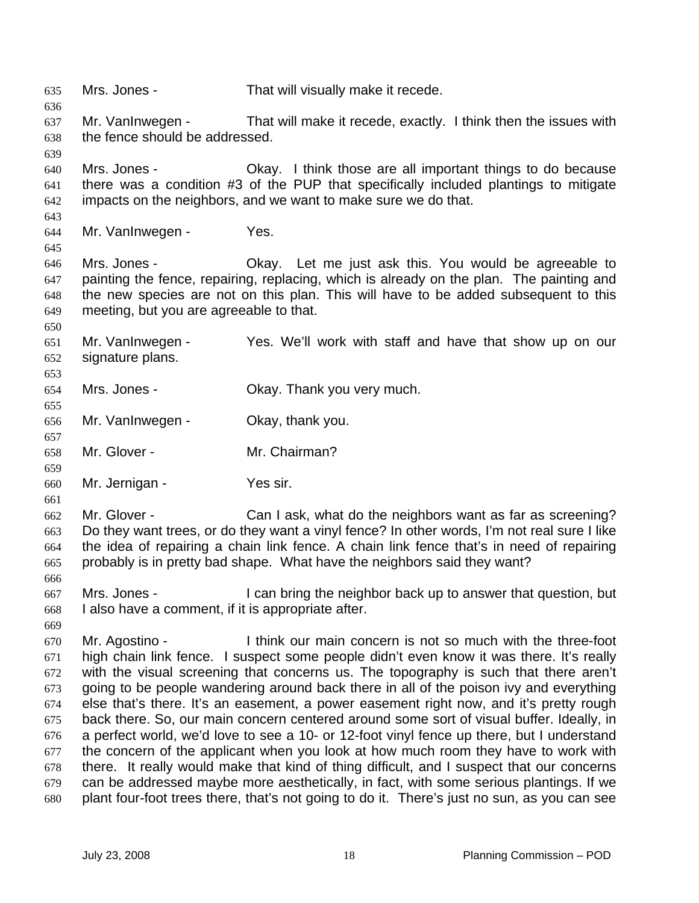635 Mrs. Jones - That will visually make it recede. 636 637 638 639 640 641 642 643 644 645 646 647 648 649 650 651 652 653 654 655 656 657 658 659 660 661 662 663 664 665 666 667 668 669 670 671 672 673 674 675 676 677 678 679 680 Mr. VanInwegen - That will make it recede, exactly. I think then the issues with the fence should be addressed. Mrs. Jones - Ckay. I think those are all important things to do because there was a condition #3 of the PUP that specifically included plantings to mitigate impacts on the neighbors, and we want to make sure we do that. Mr. VanInwegen - Yes. Mrs. Jones - Ckay. Let me just ask this. You would be agreeable to painting the fence, repairing, replacing, which is already on the plan. The painting and the new species are not on this plan. This will have to be added subsequent to this meeting, but you are agreeable to that. Mr. VanInwegen - Yes. We'll work with staff and have that show up on our signature plans. Mrs. Jones - Ckay. Thank you very much. Mr. VanInwegen - Ckay, thank you. Mr. Glover - Mr. Chairman? Mr. Jernigan - Yes sir. Mr. Glover - Can I ask, what do the neighbors want as far as screening? Do they want trees, or do they want a vinyl fence? In other words, I'm not real sure I like the idea of repairing a chain link fence. A chain link fence that's in need of repairing probably is in pretty bad shape. What have the neighbors said they want? Mrs. Jones - I can bring the neighbor back up to answer that question, but I also have a comment, if it is appropriate after. Mr. Agostino - Think our main concern is not so much with the three-foot high chain link fence. I suspect some people didn't even know it was there. It's really with the visual screening that concerns us. The topography is such that there aren't going to be people wandering around back there in all of the poison ivy and everything else that's there. It's an easement, a power easement right now, and it's pretty rough back there. So, our main concern centered around some sort of visual buffer. Ideally, in a perfect world, we'd love to see a 10- or 12-foot vinyl fence up there, but I understand the concern of the applicant when you look at how much room they have to work with there. It really would make that kind of thing difficult, and I suspect that our concerns can be addressed maybe more aesthetically, in fact, with some serious plantings. If we plant four-foot trees there, that's not going to do it. There's just no sun, as you can see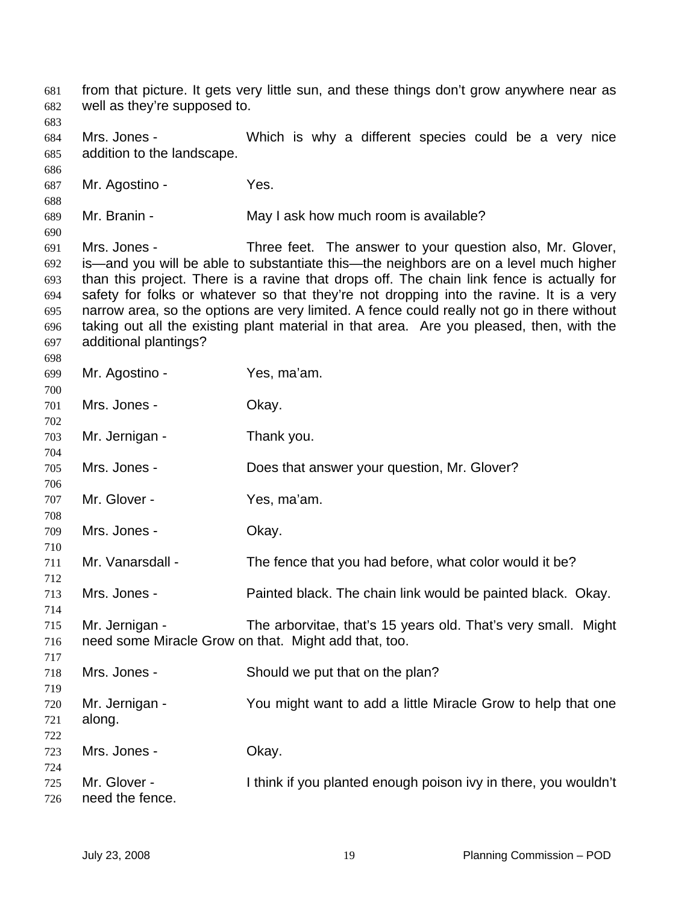from that picture. It gets very little sun, and these things don't grow anywhere near as well as they're supposed to. Mrs. Jones - **Which is why a different species could be a very nice** addition to the landscape. Mr. Agostino - Yes. Mr. Branin - May I ask how much room is available? Mrs. Jones - Three feet. The answer to your question also, Mr. Glover, is—and you will be able to substantiate this—the neighbors are on a level much higher than this project. There is a ravine that drops off. The chain link fence is actually for safety for folks or whatever so that they're not dropping into the ravine. It is a very narrow area, so the options are very limited. A fence could really not go in there without taking out all the existing plant material in that area. Are you pleased, then, with the additional plantings? Mr. Agostino - Yes, ma'am. Mrs. Jones - Ckay. Mr. Jernigan - Thank you. Mrs. Jones - Does that answer your question, Mr. Glover? Mr. Glover - Yes, ma'am. Mrs. Jones - Chay. Mr. Vanarsdall - The fence that you had before, what color would it be? Mrs. Jones - Painted black. The chain link would be painted black. Okay. Mr. Jernigan - The arborvitae, that's 15 years old. That's very small. Might need some Miracle Grow on that. Might add that, too. Mrs. Jones - Should we put that on the plan? Mr. Jernigan - You might want to add a little Miracle Grow to help that one along. Mrs. Jones - Chay. Mr. Glover - I think if you planted enough poison ivy in there, you wouldn't need the fence.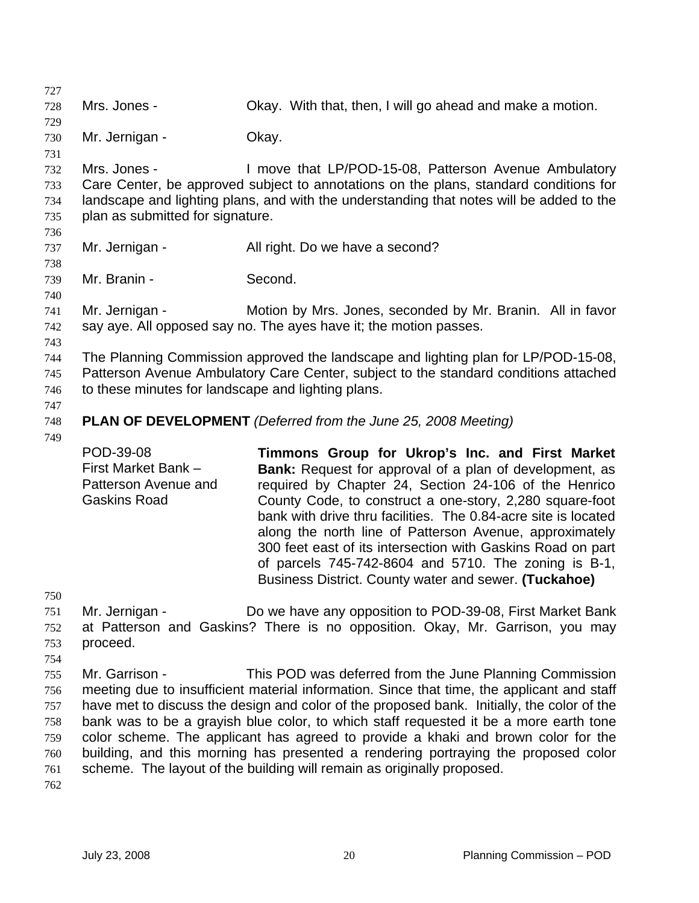727 728 729 730 731 732 733 734 735 736 737 738 739 740 741 742 743 744 745 746 747 748 749 750 751 752 753 754 755 756 757 758 759 760 761 762 Mrs. Jones - Chay. With that, then, I will go ahead and make a motion. Mr. Jernigan - Ckay. Mrs. Jones - I move that LP/POD-15-08, Patterson Avenue Ambulatory Care Center, be approved subject to annotations on the plans, standard conditions for landscape and lighting plans, and with the understanding that notes will be added to the plan as submitted for signature. Mr. Jernigan - All right. Do we have a second? Mr. Branin - Second. Mr. Jernigan - Motion by Mrs. Jones, seconded by Mr. Branin. All in favor say aye. All opposed say no. The ayes have it; the motion passes. The Planning Commission approved the landscape and lighting plan for LP/POD-15-08, Patterson Avenue Ambulatory Care Center, subject to the standard conditions attached to these minutes for landscape and lighting plans. **PLAN OF DEVELOPMENT** *(Deferred from the June 25, 2008 Meeting)*  POD-39-08 First Market Bank – Patterson Avenue and Gaskins Road **Timmons Group for Ukrop's Inc. and First Market Bank:** Request for approval of a plan of development, as required by Chapter 24, Section 24-106 of the Henrico County Code, to construct a one-story, 2,280 square-foot bank with drive thru facilities. The 0.84-acre site is located along the north line of Patterson Avenue, approximately 300 feet east of its intersection with Gaskins Road on part of parcels 745-742-8604 and 5710. The zoning is B-1, Business District. County water and sewer. **(Tuckahoe)**  Mr. Jernigan - Do we have any opposition to POD-39-08, First Market Bank at Patterson and Gaskins? There is no opposition. Okay, Mr. Garrison, you may proceed. Mr. Garrison - This POD was deferred from the June Planning Commission meeting due to insufficient material information. Since that time, the applicant and staff have met to discuss the design and color of the proposed bank. Initially, the color of the bank was to be a grayish blue color, to which staff requested it be a more earth tone color scheme. The applicant has agreed to provide a khaki and brown color for the building, and this morning has presented a rendering portraying the proposed color scheme. The layout of the building will remain as originally proposed.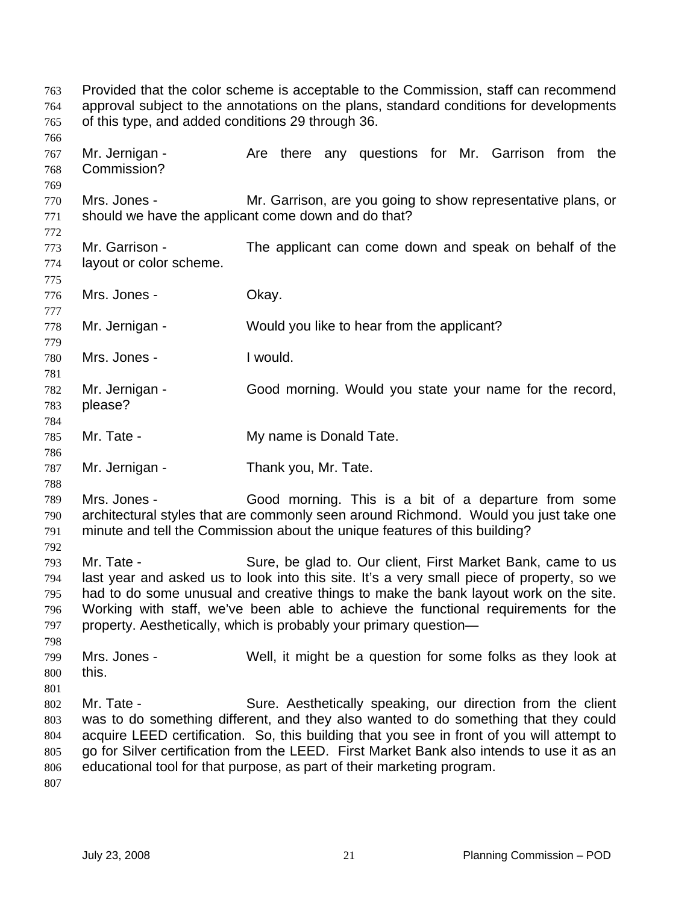Provided that the color scheme is acceptable to the Commission, staff can recommend approval subject to the annotations on the plans, standard conditions for developments of this type, and added conditions 29 through 36. 763 764 765 766 767 768 769 770 771 772 773 774 775 776 777 778 779 780 781 782 783 784 785 786 787 788 789 790 791 792 793 794 795 796 797 798 799 800 801 802 803 804 805 806 807 Mr. Jernigan - Are there any questions for Mr. Garrison from the Commission? Mrs. Jones - Mr. Garrison, are you going to show representative plans, or should we have the applicant come down and do that? Mr. Garrison - The applicant can come down and speak on behalf of the layout or color scheme. Mrs. Jones - Chay. Mr. Jernigan - Would you like to hear from the applicant? Mrs. Jones - Twould. Mr. Jernigan - Good morning. Would you state your name for the record, please? Mr. Tate - **My name is Donald Tate.** Mr. Jernigan - Thank you, Mr. Tate. Mrs. Jones - Good morning. This is a bit of a departure from some architectural styles that are commonly seen around Richmond. Would you just take one minute and tell the Commission about the unique features of this building? Mr. Tate - Sure, be glad to. Our client, First Market Bank, came to us last year and asked us to look into this site. It's a very small piece of property, so we had to do some unusual and creative things to make the bank layout work on the site. Working with staff, we've been able to achieve the functional requirements for the property. Aesthetically, which is probably your primary question— Mrs. Jones - Well, it might be a question for some folks as they look at this. Mr. Tate - Sure. Aesthetically speaking, our direction from the client was to do something different, and they also wanted to do something that they could acquire LEED certification. So, this building that you see in front of you will attempt to go for Silver certification from the LEED. First Market Bank also intends to use it as an educational tool for that purpose, as part of their marketing program.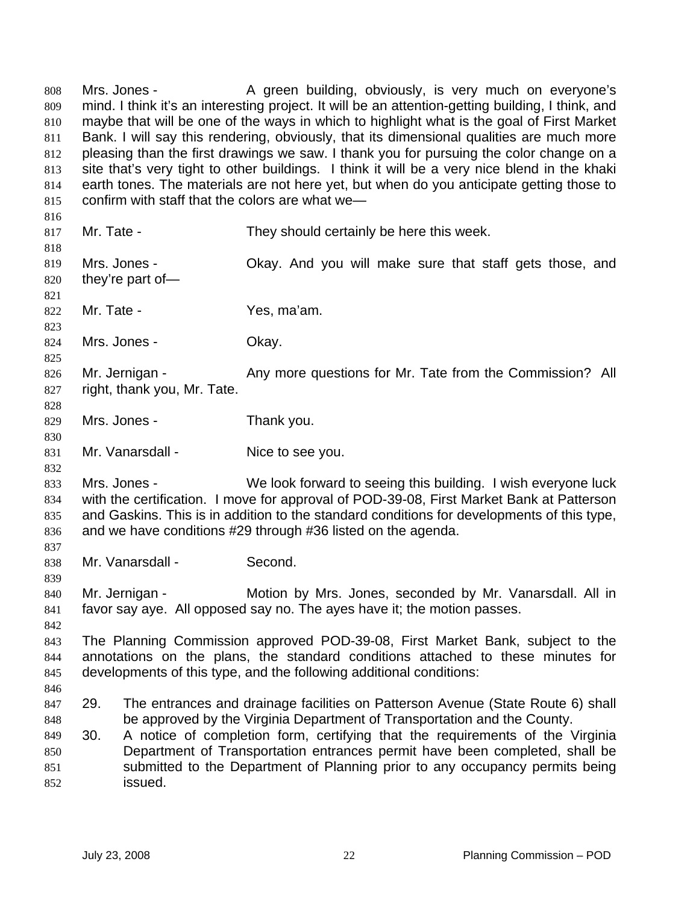Mrs. Jones - A green building, obviously, is very much on everyone's mind. I think it's an interesting project. It will be an attention-getting building, I think, and maybe that will be one of the ways in which to highlight what is the goal of First Market Bank. I will say this rendering, obviously, that its dimensional qualities are much more pleasing than the first drawings we saw. I thank you for pursuing the color change on a site that's very tight to other buildings. I think it will be a very nice blend in the khaki earth tones. The materials are not here yet, but when do you anticipate getting those to confirm with staff that the colors are what we— 808 809 810 811 812 813 814 815 816 817 818 819 820 821 822 823 824 825 826 827 828 829 830 831 832 833 834 835 836 837 838 839 840 841 842 843 844 845 846 847 848 849 850 851 852 Mr. Tate - They should certainly be here this week. Mrs. Jones - **Okay.** And you will make sure that staff gets those, and they're part of— Mr. Tate - The Contract Contract Contract Contract Contract Ves, ma'am. Mrs. Jones - Ckay. Mr. Jernigan - Any more questions for Mr. Tate from the Commission? All right, thank you, Mr. Tate. Mrs. Jones - Thank you. Mr. Vanarsdall - Nice to see you. Mrs. Jones - We look forward to seeing this building. I wish everyone luck with the certification. I move for approval of POD-39-08, First Market Bank at Patterson and Gaskins. This is in addition to the standard conditions for developments of this type, and we have conditions #29 through #36 listed on the agenda. Mr. Vanarsdall - Second. Mr. Jernigan - **Motion by Mrs. Jones, seconded by Mr. Vanarsdall. All in** favor say aye. All opposed say no. The ayes have it; the motion passes. The Planning Commission approved POD-39-08, First Market Bank, subject to the annotations on the plans, the standard conditions attached to these minutes for developments of this type, and the following additional conditions: 29. The entrances and drainage facilities on Patterson Avenue (State Route 6) shall be approved by the Virginia Department of Transportation and the County. 30. A notice of completion form, certifying that the requirements of the Virginia Department of Transportation entrances permit have been completed, shall be submitted to the Department of Planning prior to any occupancy permits being issued.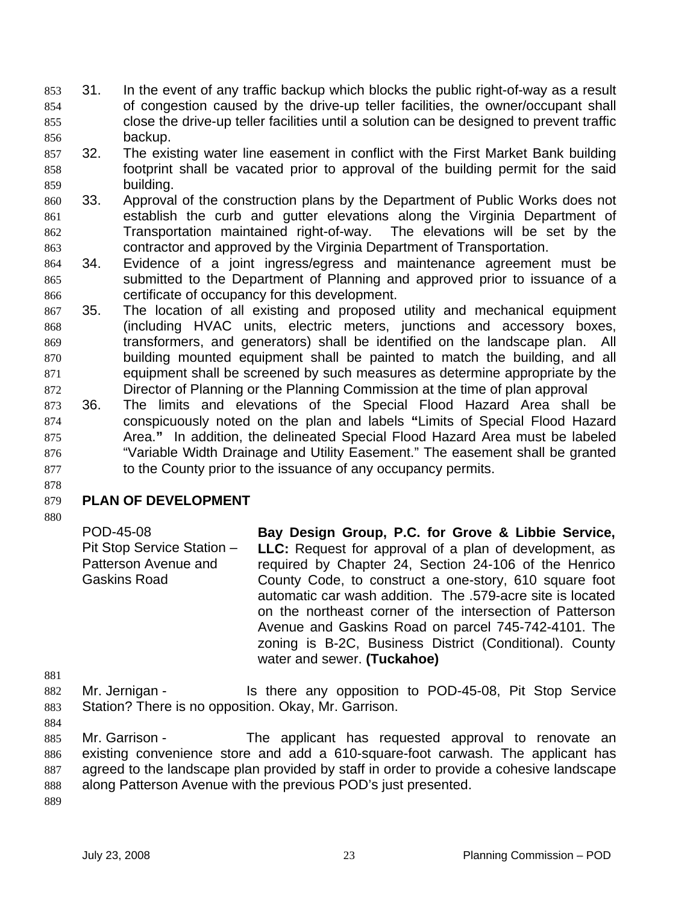- 31. In the event of any traffic backup which blocks the public right-of-way as a result of congestion caused by the drive-up teller facilities, the owner/occupant shall close the drive-up teller facilities until a solution can be designed to prevent traffic backup. 853 854 855 856
- 857 858 859 32. The existing water line easement in conflict with the First Market Bank building footprint shall be vacated prior to approval of the building permit for the said building.
- 860 861 862 863 33. Approval of the construction plans by the Department of Public Works does not establish the curb and gutter elevations along the Virginia Department of Transportation maintained right-of-way. The elevations will be set by the contractor and approved by the Virginia Department of Transportation.
- 864 865 866 34. Evidence of a joint ingress/egress and maintenance agreement must be submitted to the Department of Planning and approved prior to issuance of a certificate of occupancy for this development.
- 867 868 869 870 871 872 35. The location of all existing and proposed utility and mechanical equipment (including HVAC units, electric meters, junctions and accessory boxes, transformers, and generators) shall be identified on the landscape plan. All building mounted equipment shall be painted to match the building, and all equipment shall be screened by such measures as determine appropriate by the Director of Planning or the Planning Commission at the time of plan approval
- 873 874 875 876 877 36. The limits and elevations of the Special Flood Hazard Area shall be conspicuously noted on the plan and labels **"**Limits of Special Flood Hazard Area.**"** In addition, the delineated Special Flood Hazard Area must be labeled "Variable Width Drainage and Utility Easement." The easement shall be granted to the County prior to the issuance of any occupancy permits.
- 879 **PLAN OF DEVELOPMENT**

878

POD-45-08 Pit Stop Service Station – Patterson Avenue and Gaskins Road **Bay Design Group, P.C. for Grove & Libbie Service, LLC:** Request for approval of a plan of development, as required by Chapter 24, Section 24-106 of the Henrico County Code, to construct a one-story, 610 square foot automatic car wash addition. The .579-acre site is located on the northeast corner of the intersection of Patterson Avenue and Gaskins Road on parcel 745-742-4101. The zoning is B-2C, Business District (Conditional). County water and sewer. **(Tuckahoe)** 

- 882 883 Mr. Jernigan - Is there any opposition to POD-45-08, Pit Stop Service Station? There is no opposition. Okay, Mr. Garrison.
- 884

881

885 886 887 888 Mr. Garrison - The applicant has requested approval to renovate an existing convenience store and add a 610-square-foot carwash. The applicant has agreed to the landscape plan provided by staff in order to provide a cohesive landscape along Patterson Avenue with the previous POD's just presented.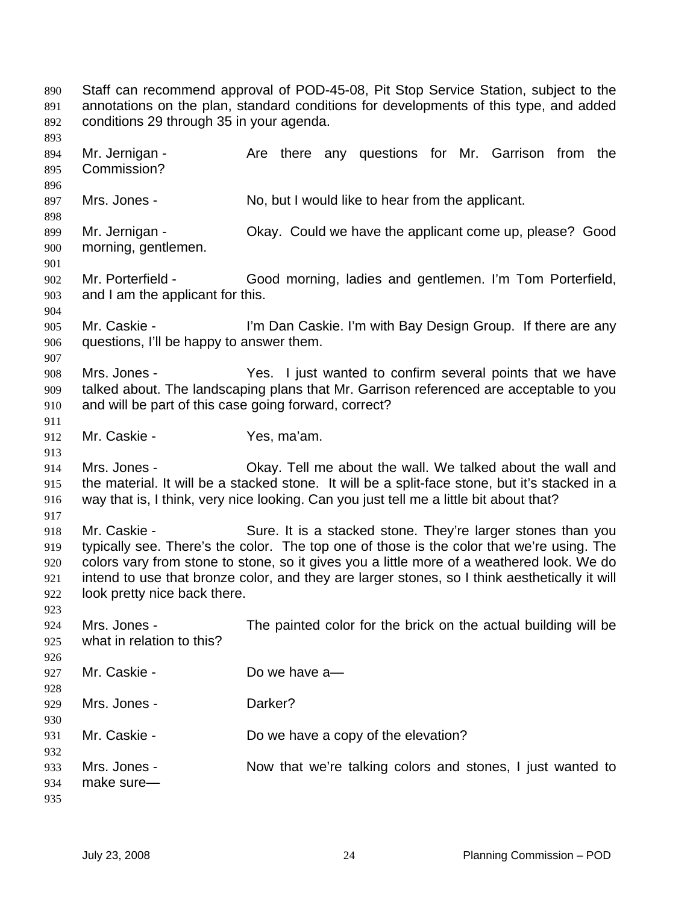Staff can recommend approval of POD-45-08, Pit Stop Service Station, subject to the annotations on the plan, standard conditions for developments of this type, and added conditions 29 through 35 in your agenda. 890 891 892 893 894 895 896 897 898 899 900 901 902 903 904 905 906 907 908 909 910 911 912 913 914 915 916 917 918 919 920 921 922 923 924 925 926 927 928 929 930 931 932 933 934 935 Mr. Jernigan - Are there any questions for Mr. Garrison from the Commission? Mrs. Jones - No, but I would like to hear from the applicant. Mr. Jernigan - Chay. Could we have the applicant come up, please? Good morning, gentlemen. Mr. Porterfield - Good morning, ladies and gentlemen. I'm Tom Porterfield, and I am the applicant for this. Mr. Caskie - I'm Dan Caskie. I'm with Bay Design Group. If there are any questions, I'll be happy to answer them. Mrs. Jones - The Yes. I just wanted to confirm several points that we have talked about. The landscaping plans that Mr. Garrison referenced are acceptable to you and will be part of this case going forward, correct? Mr. Caskie - Yes, ma'am. Mrs. Jones - Ckay. Tell me about the wall. We talked about the wall and the material. It will be a stacked stone. It will be a split-face stone, but it's stacked in a way that is, I think, very nice looking. Can you just tell me a little bit about that? Mr. Caskie - Sure. It is a stacked stone. They're larger stones than you typically see. There's the color. The top one of those is the color that we're using. The colors vary from stone to stone, so it gives you a little more of a weathered look. We do intend to use that bronze color, and they are larger stones, so I think aesthetically it will look pretty nice back there. Mrs. Jones - The painted color for the brick on the actual building will be what in relation to this? Mr. Caskie - Do we have a Mrs. Jones - **Darker?** Mr. Caskie - Do we have a copy of the elevation? Mrs. Jones - Now that we're talking colors and stones, I just wanted to make sure—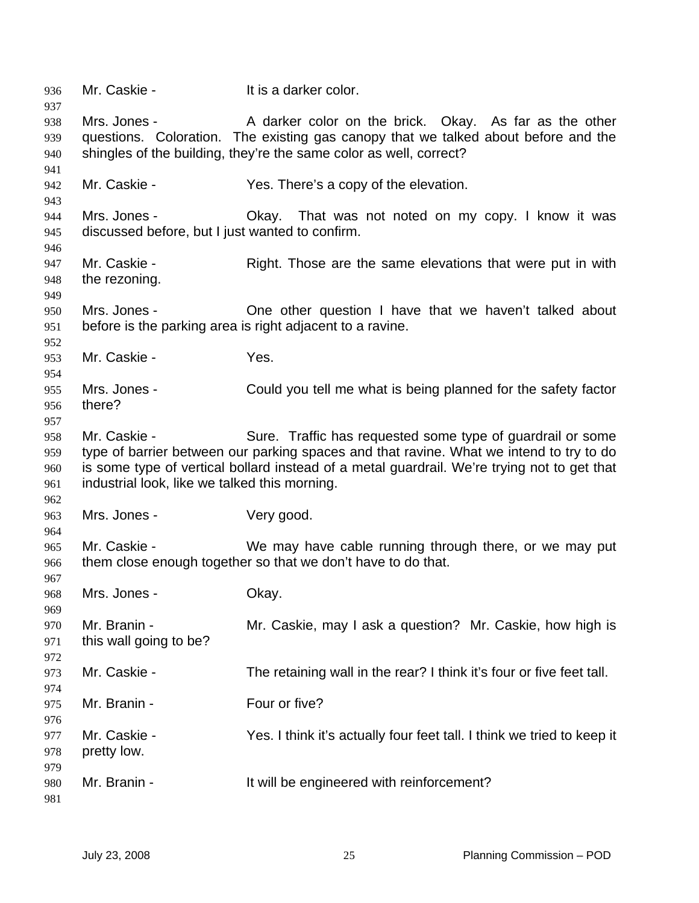| 936<br>937               | Mr. Caskie -                                                    | It is a darker color.                                                                                                                                                                                                                                |
|--------------------------|-----------------------------------------------------------------|------------------------------------------------------------------------------------------------------------------------------------------------------------------------------------------------------------------------------------------------------|
| 938<br>939<br>940<br>941 | Mrs. Jones -                                                    | A darker color on the brick. Okay. As far as the other<br>questions. Coloration. The existing gas canopy that we talked about before and the<br>shingles of the building, they're the same color as well, correct?                                   |
| 942<br>943               | Mr. Caskie -                                                    | Yes. There's a copy of the elevation.                                                                                                                                                                                                                |
| 944<br>945<br>946        | Mrs. Jones -<br>discussed before, but I just wanted to confirm. | Okay. That was not noted on my copy. I know it was                                                                                                                                                                                                   |
| 947<br>948<br>949        | Mr. Caskie -<br>the rezoning.                                   | Right. Those are the same elevations that were put in with                                                                                                                                                                                           |
| 950<br>951<br>952        | Mrs. Jones -                                                    | One other question I have that we haven't talked about<br>before is the parking area is right adjacent to a ravine.                                                                                                                                  |
| 953<br>954               | Mr. Caskie -                                                    | Yes.                                                                                                                                                                                                                                                 |
| 955<br>956<br>957        | Mrs. Jones -<br>there?                                          | Could you tell me what is being planned for the safety factor                                                                                                                                                                                        |
| 958<br>959<br>960<br>961 | Mr. Caskie -<br>industrial look, like we talked this morning.   | Sure. Traffic has requested some type of guardrail or some<br>type of barrier between our parking spaces and that ravine. What we intend to try to do<br>is some type of vertical bollard instead of a metal guardrail. We're trying not to get that |
| 962<br>963<br>964        | Mrs. Jones -                                                    | Very good.                                                                                                                                                                                                                                           |
| 965<br>966<br>967        | Mr. Caskie -                                                    | We may have cable running through there, or we may put<br>them close enough together so that we don't have to do that.                                                                                                                               |
| 968<br>969               | Mrs. Jones -                                                    | Okay.                                                                                                                                                                                                                                                |
| 970<br>971<br>972        | Mr. Branin -<br>this wall going to be?                          | Mr. Caskie, may I ask a question? Mr. Caskie, how high is                                                                                                                                                                                            |
| 973<br>974               | Mr. Caskie -                                                    | The retaining wall in the rear? I think it's four or five feet tall.                                                                                                                                                                                 |
| 975<br>976               | Mr. Branin -                                                    | Four or five?                                                                                                                                                                                                                                        |
| 977<br>978<br>979        | Mr. Caskie -<br>pretty low.                                     | Yes. I think it's actually four feet tall. I think we tried to keep it                                                                                                                                                                               |
| 980<br>981               | Mr. Branin -                                                    | It will be engineered with reinforcement?                                                                                                                                                                                                            |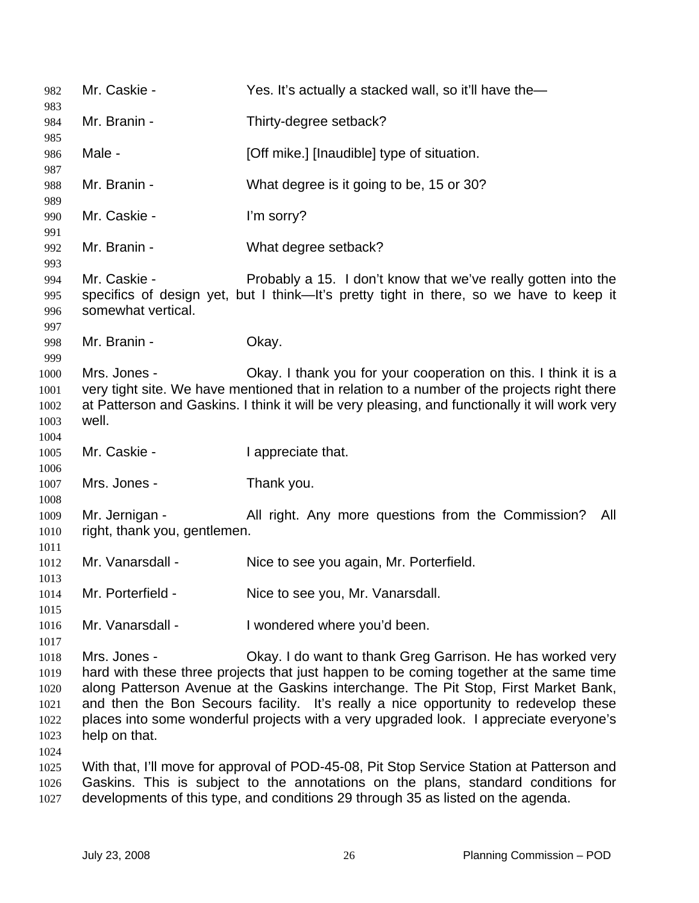Mr. Caskie - Yes. It's actually a stacked wall, so it'll have the— Mr. Branin - Thirty-degree setback? Male - **[Off mike.]** [Inaudible] type of situation. Mr. Branin - What degree is it going to be, 15 or 30? Mr. Caskie - I'm sorry? Mr. Branin - What degree setback? Mr. Caskie - Probably a 15. I don't know that we've really gotten into the specifics of design yet, but I think—It's pretty tight in there, so we have to keep it somewhat vertical. Mr. Branin - **Okay.** Mrs. Jones - Ckay. I thank you for your cooperation on this. I think it is a very tight site. We have mentioned that in relation to a number of the projects right there at Patterson and Gaskins. I think it will be very pleasing, and functionally it will work very well. Mr. Caskie - The I appreciate that. Mrs. Jones - Thank you. Mr. Jernigan - All right. Any more questions from the Commission? All right, thank you, gentlemen. Mr. Vanarsdall - Nice to see you again, Mr. Porterfield. Mr. Porterfield - Nice to see you, Mr. Vanarsdall. Mr. Vanarsdall - I wondered where you'd been. Mrs. Jones - Ckay. I do want to thank Greg Garrison. He has worked very hard with these three projects that just happen to be coming together at the same time along Patterson Avenue at the Gaskins interchange. The Pit Stop, First Market Bank, and then the Bon Secours facility. It's really a nice opportunity to redevelop these places into some wonderful projects with a very upgraded look. I appreciate everyone's help on that. With that, I'll move for approval of POD-45-08, Pit Stop Service Station at Patterson and Gaskins. This is subject to the annotations on the plans, standard conditions for developments of this type, and conditions 29 through 35 as listed on the agenda.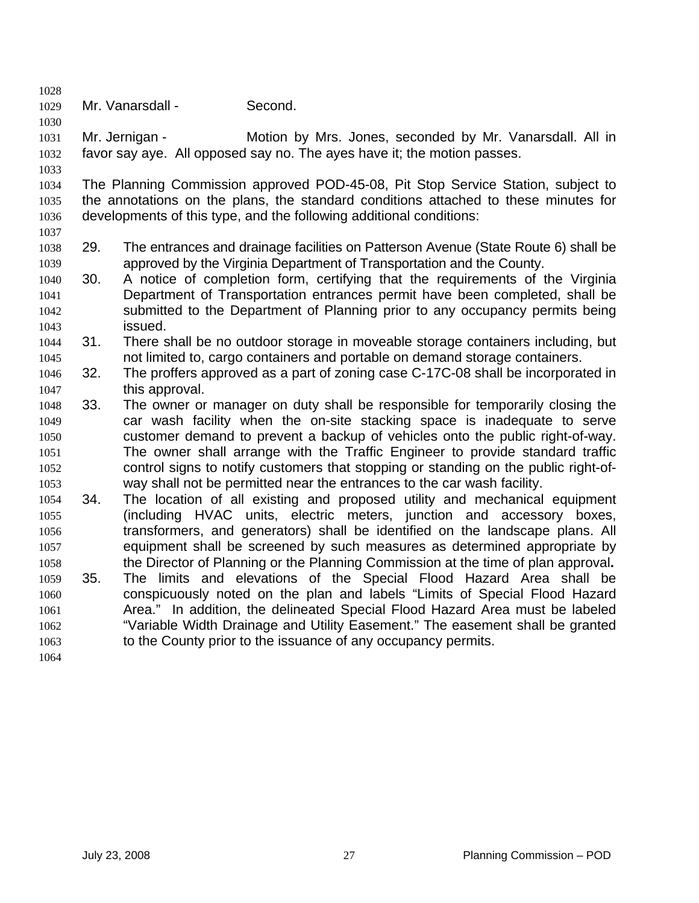1029 Mr. Vanarsdall - Second.

1031 1032 Mr. Jernigan - **Motion by Mrs. Jones, seconded by Mr. Vanarsdall.** All in favor say aye. All opposed say no. The ayes have it; the motion passes.

1034 1035 1036 1037 The Planning Commission approved POD-45-08, Pit Stop Service Station, subject to the annotations on the plans, the standard conditions attached to these minutes for developments of this type, and the following additional conditions:

- 1038 1039 29. The entrances and drainage facilities on Patterson Avenue (State Route 6) shall be approved by the Virginia Department of Transportation and the County.
- 1040 1041 1042 1043 30. A notice of completion form, certifying that the requirements of the Virginia Department of Transportation entrances permit have been completed, shall be submitted to the Department of Planning prior to any occupancy permits being issued.
- 1044 1045 31. There shall be no outdoor storage in moveable storage containers including, but not limited to, cargo containers and portable on demand storage containers.
- 1046 1047 32. The proffers approved as a part of zoning case C-17C-08 shall be incorporated in this approval.
- 1048 1049 1050 1051 1052 1053 33. The owner or manager on duty shall be responsible for temporarily closing the car wash facility when the on-site stacking space is inadequate to serve customer demand to prevent a backup of vehicles onto the public right-of-way. The owner shall arrange with the Traffic Engineer to provide standard traffic control signs to notify customers that stopping or standing on the public right-ofway shall not be permitted near the entrances to the car wash facility.
- 1054 1055 1056 1057 1058 34. The location of all existing and proposed utility and mechanical equipment (including HVAC units, electric meters, junction and accessory boxes, transformers, and generators) shall be identified on the landscape plans. All equipment shall be screened by such measures as determined appropriate by the Director of Planning or the Planning Commission at the time of plan approval**.**
- 1059 1060 1061 1062 1063 35. The limits and elevations of the Special Flood Hazard Area shall be conspicuously noted on the plan and labels "Limits of Special Flood Hazard Area." In addition, the delineated Special Flood Hazard Area must be labeled "Variable Width Drainage and Utility Easement." The easement shall be granted to the County prior to the issuance of any occupancy permits.

1064

1028

1030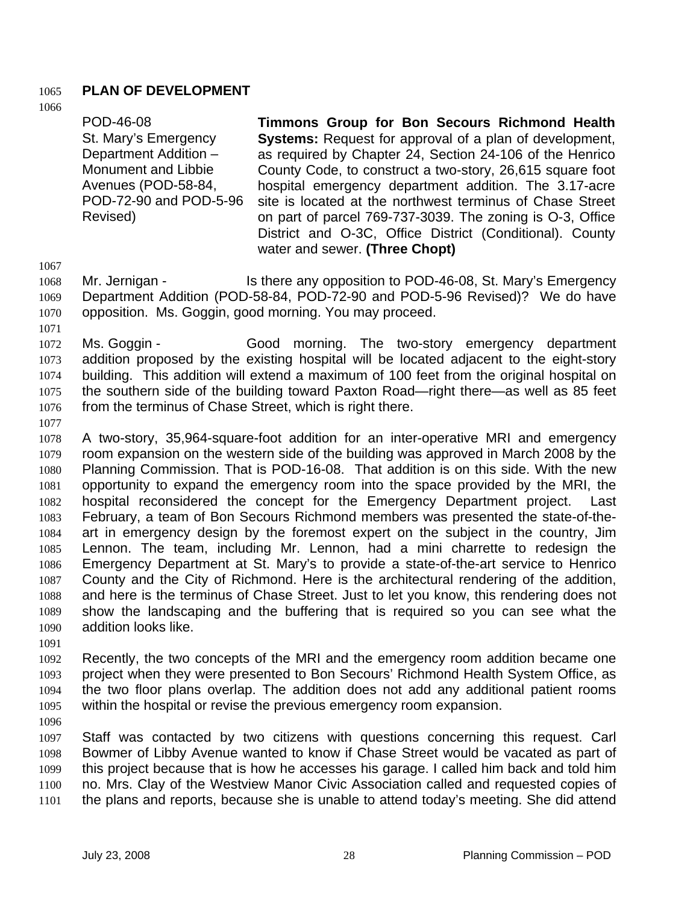### 1065 **PLAN OF DEVELOPMENT**

1066

POD-46-08 St. Mary's Emergency Department Addition – Monument and Libbie Avenues (POD-58-84, POD-72-90 and POD-5-96 Revised) **Timmons Group for Bon Secours Richmond Health Systems:** Request for approval of a plan of development, as required by Chapter 24, Section 24-106 of the Henrico County Code, to construct a two-story, 26,615 square foot hospital emergency department addition. The 3.17-acre site is located at the northwest terminus of Chase Street on part of parcel 769-737-3039. The zoning is O-3, Office District and O-3C, Office District (Conditional). County water and sewer. **(Three Chopt)** 

1067

1071

- 1068 1069 1070 Mr. Jernigan - The Is there any opposition to POD-46-08, St. Mary's Emergency Department Addition (POD-58-84, POD-72-90 and POD-5-96 Revised)? We do have opposition. Ms. Goggin, good morning. You may proceed.
- 1072 1073 1074 1075 1076 Ms. Goggin - Good morning. The two-story emergency department addition proposed by the existing hospital will be located adjacent to the eight-story building. This addition will extend a maximum of 100 feet from the original hospital on the southern side of the building toward Paxton Road—right there—as well as 85 feet from the terminus of Chase Street, which is right there.
- 1077

1078 1079 1080 1081 1082 1083 1084 1085 1086 1087 1088 1089 1090 A two-story, 35,964-square-foot addition for an inter-operative MRI and emergency room expansion on the western side of the building was approved in March 2008 by the Planning Commission. That is POD-16-08. That addition is on this side. With the new opportunity to expand the emergency room into the space provided by the MRI, the hospital reconsidered the concept for the Emergency Department project. Last February, a team of Bon Secours Richmond members was presented the state-of-theart in emergency design by the foremost expert on the subject in the country, Jim Lennon. The team, including Mr. Lennon, had a mini charrette to redesign the Emergency Department at St. Mary's to provide a state-of-the-art service to Henrico County and the City of Richmond. Here is the architectural rendering of the addition, and here is the terminus of Chase Street. Just to let you know, this rendering does not show the landscaping and the buffering that is required so you can see what the addition looks like.

1091

1092 1093 1094 1095 Recently, the two concepts of the MRI and the emergency room addition became one project when they were presented to Bon Secours' Richmond Health System Office, as the two floor plans overlap. The addition does not add any additional patient rooms within the hospital or revise the previous emergency room expansion.

1096

1097 1098 1099 1100 1101 Staff was contacted by two citizens with questions concerning this request. Carl Bowmer of Libby Avenue wanted to know if Chase Street would be vacated as part of this project because that is how he accesses his garage. I called him back and told him no. Mrs. Clay of the Westview Manor Civic Association called and requested copies of the plans and reports, because she is unable to attend today's meeting. She did attend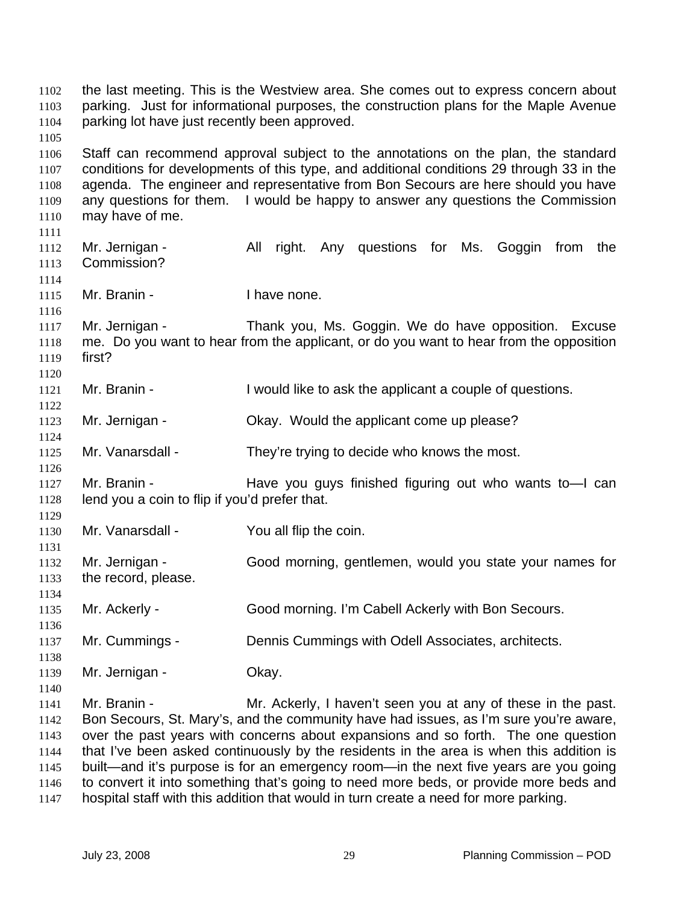the last meeting. This is the Westview area. She comes out to express concern about parking. Just for informational purposes, the construction plans for the Maple Avenue parking lot have just recently been approved. 1103 1104 1105 1106 1107 1108 1109 1110 1111 1112 1113 1114 1115 1116 1117 1118 1119 1120 1121 1122 1123 1124 1125 1126 1127 1128 1129 1130 1131 1132 1133 1134 1135 1136 1137 1138 1139 1140 1141 1142 1143 1144 1145 1146 Staff can recommend approval subject to the annotations on the plan, the standard conditions for developments of this type, and additional conditions 29 through 33 in the agenda. The engineer and representative from Bon Secours are here should you have any questions for them. I would be happy to answer any questions the Commission may have of me. Mr. Jernigan - All right. Any questions for Ms. Goggin from the Commission? Mr. Branin - Thave none. Mr. Jernigan - Thank you, Ms. Goggin. We do have opposition. Excuse me. Do you want to hear from the applicant, or do you want to hear from the opposition first? Mr. Branin - I would like to ask the applicant a couple of questions. Mr. Jernigan - Ckay. Would the applicant come up please? Mr. Vanarsdall - They're trying to decide who knows the most. Mr. Branin - The Have you guys finished figuring out who wants to lean lend you a coin to flip if you'd prefer that. Mr. Vanarsdall - You all flip the coin. Mr. Jernigan - Good morning, gentlemen, would you state your names for the record, please. Mr. Ackerly - Good morning. I'm Cabell Ackerly with Bon Secours. Mr. Cummings - Dennis Cummings with Odell Associates, architects. Mr. Jernigan - Ckay. Mr. Branin - Mr. Ackerly, I haven't seen you at any of these in the past. Bon Secours, St. Mary's, and the community have had issues, as I'm sure you're aware, over the past years with concerns about expansions and so forth. The one question that I've been asked continuously by the residents in the area is when this addition is built—and it's purpose is for an emergency room—in the next five years are you going to convert it into something that's going to need more beds, or provide more beds and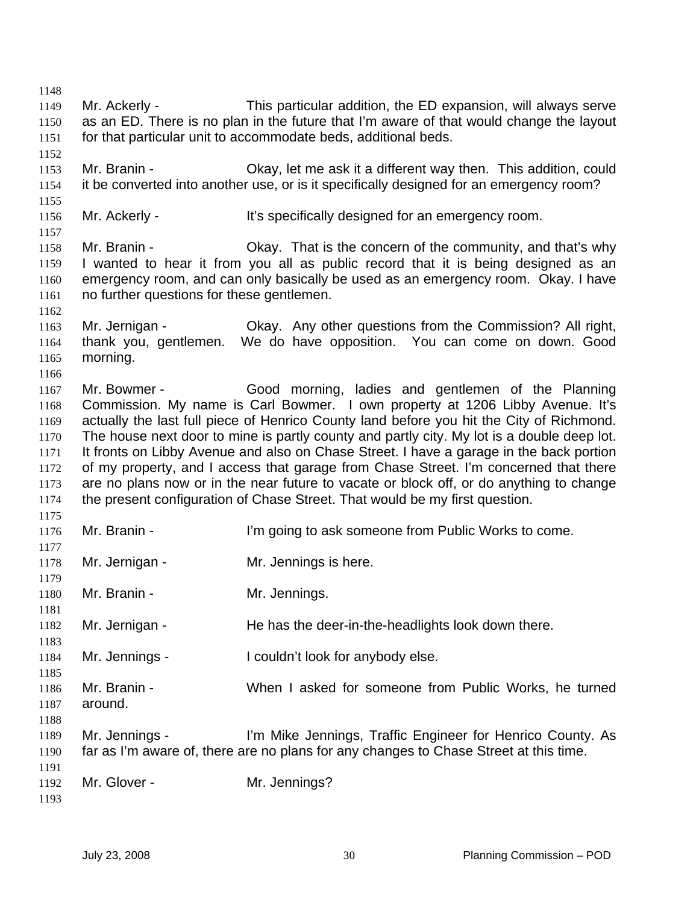1148 1149 1150 1151 1152 1153 1154 1155 1156 1157 1158 1159 1160 1161 1162 1163 1164 1165 1166 1167 1168 1169 1170 1171 1172 1173 1174 1175 1176 1177 1178 1179 1180 1181 1182 1183 1184 1185 1186 1187 1188 1189 1190 1191 1192 1193 Mr. Ackerly - This particular addition, the ED expansion, will always serve as an ED. There is no plan in the future that I'm aware of that would change the layout for that particular unit to accommodate beds, additional beds. Mr. Branin - Ckay, let me ask it a different way then. This addition, could it be converted into another use, or is it specifically designed for an emergency room? Mr. Ackerly - It's specifically designed for an emergency room. Mr. Branin - Okay. That is the concern of the community, and that's why I wanted to hear it from you all as public record that it is being designed as an emergency room, and can only basically be used as an emergency room. Okay. I have no further questions for these gentlemen. Mr. Jernigan - Okay. Any other questions from the Commission? All right, thank you, gentlemen. We do have opposition. You can come on down. Good morning. Mr. Bowmer - Good morning, ladies and gentlemen of the Planning Commission. My name is Carl Bowmer. I own property at 1206 Libby Avenue. It's actually the last full piece of Henrico County land before you hit the City of Richmond. The house next door to mine is partly county and partly city. My lot is a double deep lot. It fronts on Libby Avenue and also on Chase Street. I have a garage in the back portion of my property, and I access that garage from Chase Street. I'm concerned that there are no plans now or in the near future to vacate or block off, or do anything to change the present configuration of Chase Street. That would be my first question. Mr. Branin - I'm going to ask someone from Public Works to come. Mr. Jernigan - Mr. Jennings is here. Mr. Branin - **Mr. Jennings.** Mr. Jernigan - He has the deer-in-the-headlights look down there. Mr. Jennings - I couldn't look for anybody else. Mr. Branin - When I asked for someone from Public Works, he turned around. Mr. Jennings - I'm Mike Jennings, Traffic Engineer for Henrico County. As far as I'm aware of, there are no plans for any changes to Chase Street at this time. Mr. Glover - Mr. Jennings?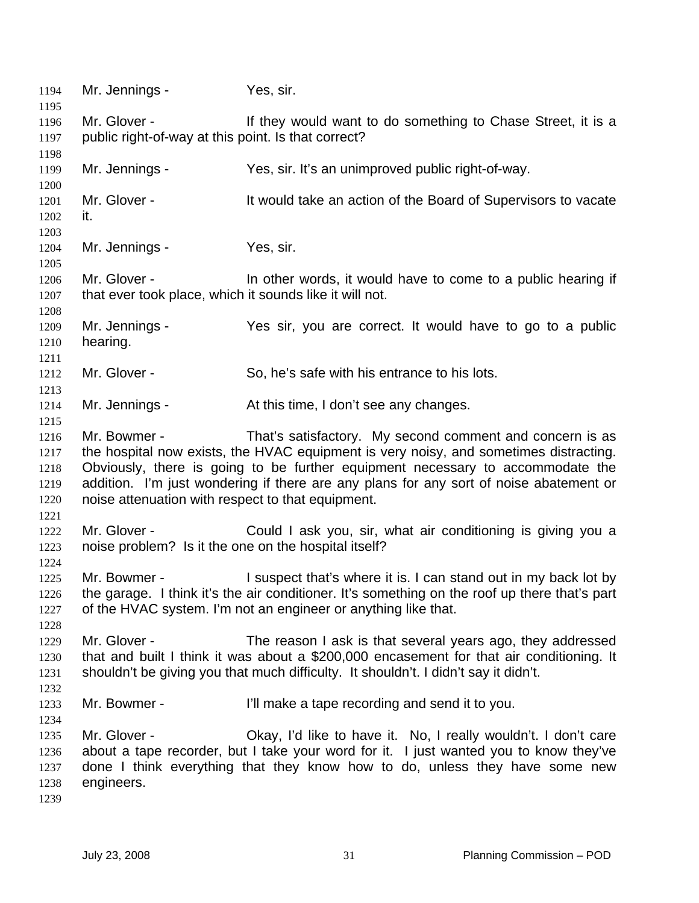1194 Mr. Jennings - Yes, sir. 1195 1196 1197 1198 1199 1200 1201 1202 1203 1204 1205 1206 1207 1208 1209 1210 1211 1212 1213 1214 1215 1216 1217 1218 1219 1220 1221 1222 1223 1224 1225 1226 1227 1228 1229 1230 1231 1232 1233 1234 1235 1236 1237 1238 1239 Mr. Glover - They would want to do something to Chase Street, it is a public right-of-way at this point. Is that correct? Mr. Jennings - Yes, sir. It's an unimproved public right-of-way. Mr. Glover - It would take an action of the Board of Supervisors to vacate it. Mr. Jennings - Yes, sir. Mr. Glover - In other words, it would have to come to a public hearing if that ever took place, which it sounds like it will not. Mr. Jennings - Yes sir, you are correct. It would have to go to a public hearing. Mr. Glover - So, he's safe with his entrance to his lots. Mr. Jennings - At this time, I don't see any changes. Mr. Bowmer - That's satisfactory. My second comment and concern is as the hospital now exists, the HVAC equipment is very noisy, and sometimes distracting. Obviously, there is going to be further equipment necessary to accommodate the addition. I'm just wondering if there are any plans for any sort of noise abatement or noise attenuation with respect to that equipment. Mr. Glover - Could I ask you, sir, what air conditioning is giving you a noise problem? Is it the one on the hospital itself? Mr. Bowmer - The suspect that's where it is. I can stand out in my back lot by the garage. I think it's the air conditioner. It's something on the roof up there that's part of the HVAC system. I'm not an engineer or anything like that. Mr. Glover - The reason I ask is that several years ago, they addressed that and built I think it was about a \$200,000 encasement for that air conditioning. It shouldn't be giving you that much difficulty. It shouldn't. I didn't say it didn't. Mr. Bowmer - Till make a tape recording and send it to you. Mr. Glover - Ckay, I'd like to have it. No, I really wouldn't. I don't care about a tape recorder, but I take your word for it. I just wanted you to know they've done I think everything that they know how to do, unless they have some new engineers.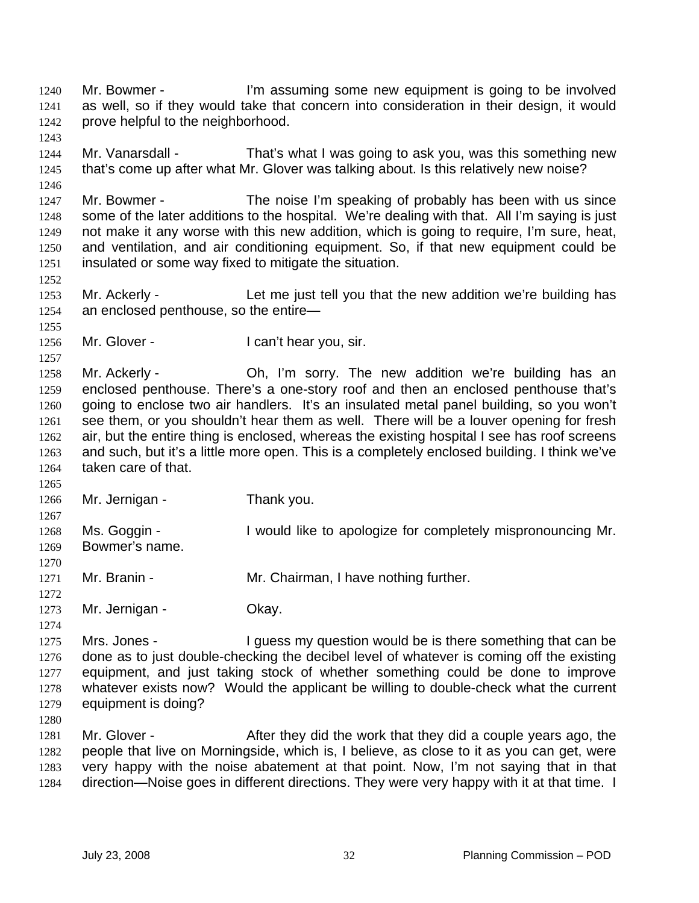Mr. Bowmer - The summing some new equipment is going to be involved as well, so if they would take that concern into consideration in their design, it would prove helpful to the neighborhood. 1240 1241 1242

1244 1245 Mr. Vanarsdall - That's what I was going to ask you, was this something new that's come up after what Mr. Glover was talking about. Is this relatively new noise?

1247 1248 1249 1250 1251 Mr. Bowmer - The noise I'm speaking of probably has been with us since some of the later additions to the hospital. We're dealing with that. All I'm saying is just not make it any worse with this new addition, which is going to require, I'm sure, heat, and ventilation, and air conditioning equipment. So, if that new equipment could be insulated or some way fixed to mitigate the situation.

1253 1254 Mr. Ackerly - Let me just tell you that the new addition we're building has an enclosed penthouse, so the entire—

1256 Mr. Glover - The Can't hear you, sir.

1258 1259 1260 1261 1262 1263 1264 Mr. Ackerly - Ch, I'm sorry. The new addition we're building has an enclosed penthouse. There's a one-story roof and then an enclosed penthouse that's going to enclose two air handlers. It's an insulated metal panel building, so you won't see them, or you shouldn't hear them as well. There will be a louver opening for fresh air, but the entire thing is enclosed, whereas the existing hospital I see has roof screens and such, but it's a little more open. This is a completely enclosed building. I think we've taken care of that.

1265 1266 Mr. Jernigan - Thank you.

1267 1268 1269 Ms. Goggin - I would like to apologize for completely mispronouncing Mr. Bowmer's name.

1270 1271 Mr. Branin - Mr. Chairman, I have nothing further.

1272

1274

1243

1246

1252

1255

1257

1273 Mr. Jernigan - Ckay.

1275 1276 1277 1278 1279 Mrs. Jones - I guess my question would be is there something that can be done as to just double-checking the decibel level of whatever is coming off the existing equipment, and just taking stock of whether something could be done to improve whatever exists now? Would the applicant be willing to double-check what the current equipment is doing?

1280

1281 1282 1283 1284 Mr. Glover - After they did the work that they did a couple years ago, the people that live on Morningside, which is, I believe, as close to it as you can get, were very happy with the noise abatement at that point. Now, I'm not saying that in that direction—Noise goes in different directions. They were very happy with it at that time. I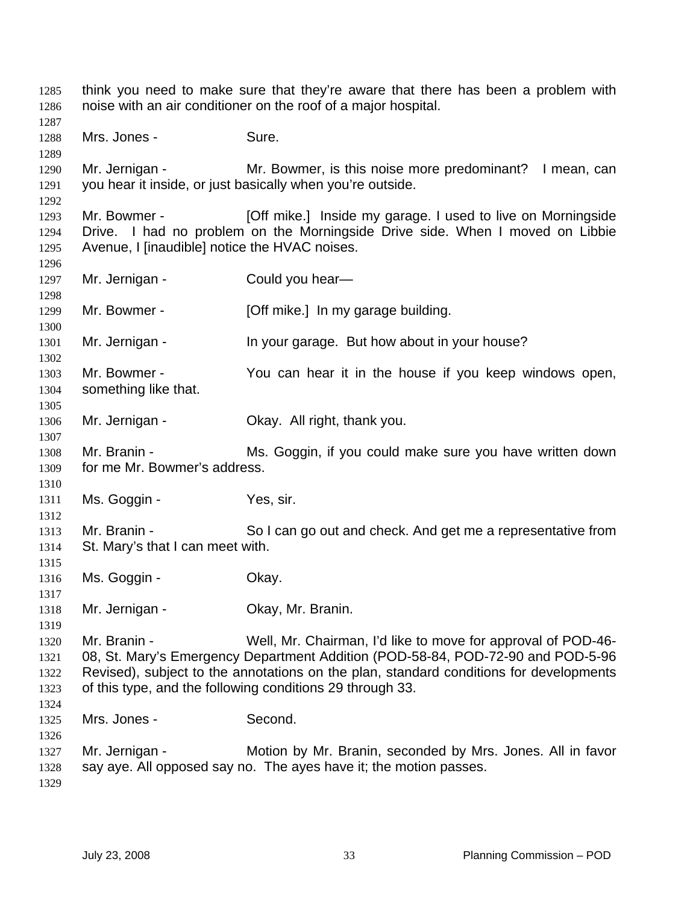think you need to make sure that they're aware that there has been a problem with noise with an air conditioner on the roof of a major hospital. Mrs. Jones - Sure. Mr. Jernigan - Mr. Bowmer, is this noise more predominant? I mean, can you hear it inside, or just basically when you're outside. Mr. Bowmer - [Off mike.] Inside my garage. I used to live on Morningside Drive. I had no problem on the Morningside Drive side. When I moved on Libbie Avenue, I [inaudible] notice the HVAC noises. Mr. Jernigan - Could you hear-Mr. Bowmer - [Off mike.] In my garage building. Mr. Jernigan - The Vour garage. But how about in your house? Mr. Bowmer - The You can hear it in the house if you keep windows open, something like that. Mr. Jernigan - Ckay. All right, thank you. Mr. Branin - Ms. Goggin, if you could make sure you have written down for me Mr. Bowmer's address. Ms. Goggin - Yes, sir. Mr. Branin - So I can go out and check. And get me a representative from St. Mary's that I can meet with. Ms. Goggin - Ckay. Mr. Jernigan - Ckay, Mr. Branin. Mr. Branin - Well, Mr. Chairman, I'd like to move for approval of POD-46- 08, St. Mary's Emergency Department Addition (POD-58-84, POD-72-90 and POD-5-96 Revised), subject to the annotations on the plan, standard conditions for developments of this type, and the following conditions 29 through 33. Mrs. Jones - Second. Mr. Jernigan - Motion by Mr. Branin, seconded by Mrs. Jones. All in favor say aye. All opposed say no. The ayes have it; the motion passes.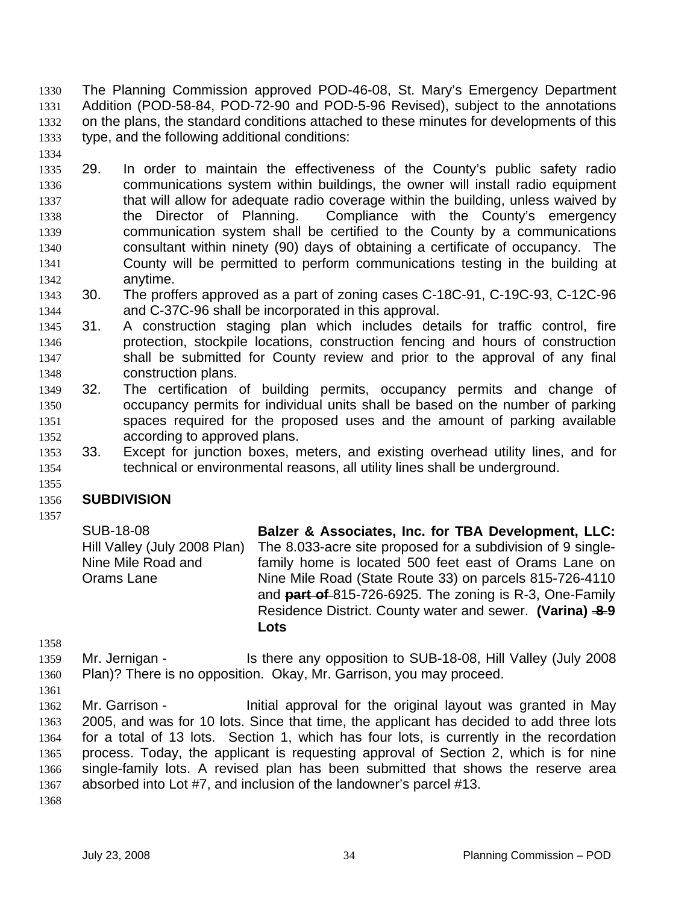The Planning Commission approved POD-46-08, St. Mary's Emergency Department Addition (POD-58-84, POD-72-90 and POD-5-96 Revised), subject to the annotations on the plans, the standard conditions attached to these minutes for developments of this type, and the following additional conditions: 1330 1331 1332 1333

- 1334
- 1335 1336 1337 1338 1339 1340 1341 1342 29. In order to maintain the effectiveness of the County's public safety radio communications system within buildings, the owner will install radio equipment that will allow for adequate radio coverage within the building, unless waived by the Director of Planning. Compliance with the County's emergency communication system shall be certified to the County by a communications consultant within ninety (90) days of obtaining a certificate of occupancy. The County will be permitted to perform communications testing in the building at anytime.
- 1343 1344 30. The proffers approved as a part of zoning cases C-18C-91, C-19C-93, C-12C-96 and C-37C-96 shall be incorporated in this approval.
- 1345 1346 1347 1348 31. A construction staging plan which includes details for traffic control, fire protection, stockpile locations, construction fencing and hours of construction shall be submitted for County review and prior to the approval of any final construction plans.
- 1349 1350 1351 1352 32. The certification of building permits, occupancy permits and change of occupancy permits for individual units shall be based on the number of parking spaces required for the proposed uses and the amount of parking available according to approved plans.
- 1353 1354 33. Except for junction boxes, meters, and existing overhead utility lines, and for technical or environmental reasons, all utility lines shall be underground.

### 1355 **SUBDIVISION**

1356 1357

> SUB-18-08 Hill Valley (July 2008 Plan) Nine Mile Road and Orams Lane **Balzer & Associates, Inc. for TBA Development, LLC:**  The 8.033-acre site proposed for a subdivision of 9 singlefamily home is located 500 feet east of Orams Lane on Nine Mile Road (State Route 33) on parcels 815-726-4110 and **part of** 815-726-6925. The zoning is R-3, One-Family Residence District. County water and sewer. **(Varina) -8-9 Lots**

1358

1359 1360 Mr. Jernigan - Is there any opposition to SUB-18-08, Hill Valley (July 2008 Plan)? There is no opposition. Okay, Mr. Garrison, you may proceed.

1361

1362 1363 1364 1365 1366 1367 Mr. Garrison - Initial approval for the original layout was granted in May 2005, and was for 10 lots. Since that time, the applicant has decided to add three lots for a total of 13 lots. Section 1, which has four lots, is currently in the recordation process. Today, the applicant is requesting approval of Section 2, which is for nine single-family lots. A revised plan has been submitted that shows the reserve area absorbed into Lot #7, and inclusion of the landowner's parcel #13.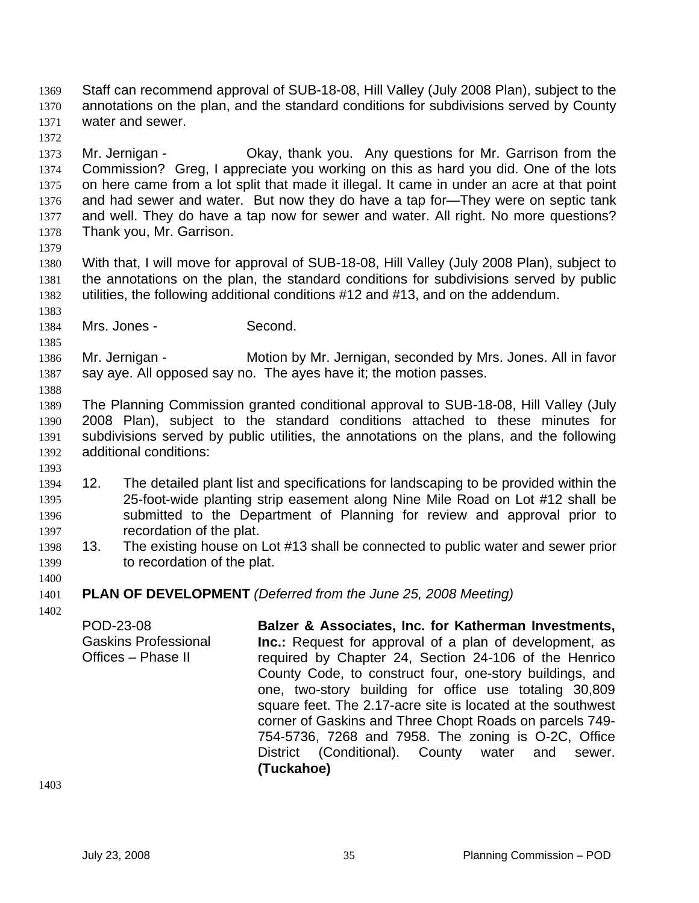Staff can recommend approval of SUB-18-08, Hill Valley (July 2008 Plan), subject to the annotations on the plan, and the standard conditions for subdivisions served by County water and sewer. 1369 1370 1371

1372

1373 1374 1375 1376 1377 1378 Mr. Jernigan - Ckay, thank you. Any questions for Mr. Garrison from the Commission? Greg, I appreciate you working on this as hard you did. One of the lots on here came from a lot split that made it illegal. It came in under an acre at that point and had sewer and water. But now they do have a tap for—They were on septic tank and well. They do have a tap now for sewer and water. All right. No more questions? Thank you, Mr. Garrison.

1379

1383

1385

1388

1393

1380 1381 1382 With that, I will move for approval of SUB-18-08, Hill Valley (July 2008 Plan), subject to the annotations on the plan, the standard conditions for subdivisions served by public utilities, the following additional conditions #12 and #13, and on the addendum.

1384 Mrs. Jones - Second.

1386 1387 Mr. Jernigan - Motion by Mr. Jernigan, seconded by Mrs. Jones. All in favor say aye. All opposed say no. The ayes have it; the motion passes.

1389 1390 1391 1392 The Planning Commission granted conditional approval to SUB-18-08, Hill Valley (July 2008 Plan), subject to the standard conditions attached to these minutes for subdivisions served by public utilities, the annotations on the plans, and the following additional conditions:

- 1394 1395 1396 1397 12. The detailed plant list and specifications for landscaping to be provided within the 25-foot-wide planting strip easement along Nine Mile Road on Lot #12 shall be submitted to the Department of Planning for review and approval prior to recordation of the plat.
- 1398 1399 13. The existing house on Lot #13 shall be connected to public water and sewer prior to recordation of the plat.
- 1400

1401 **PLAN OF DEVELOPMENT** *(Deferred from the June 25, 2008 Meeting)*

1402

POD-23-08 Gaskins Professional Offices – Phase II **Balzer & Associates, Inc. for Katherman Investments, Inc.:** Request for approval of a plan of development, as required by Chapter 24, Section 24-106 of the Henrico County Code, to construct four, one-story buildings, and one, two-story building for office use totaling 30,809 square feet. The 2.17-acre site is located at the southwest corner of Gaskins and Three Chopt Roads on parcels 749- 754-5736, 7268 and 7958. The zoning is O-2C, Office District (Conditional). County water and sewer. **(Tuckahoe)**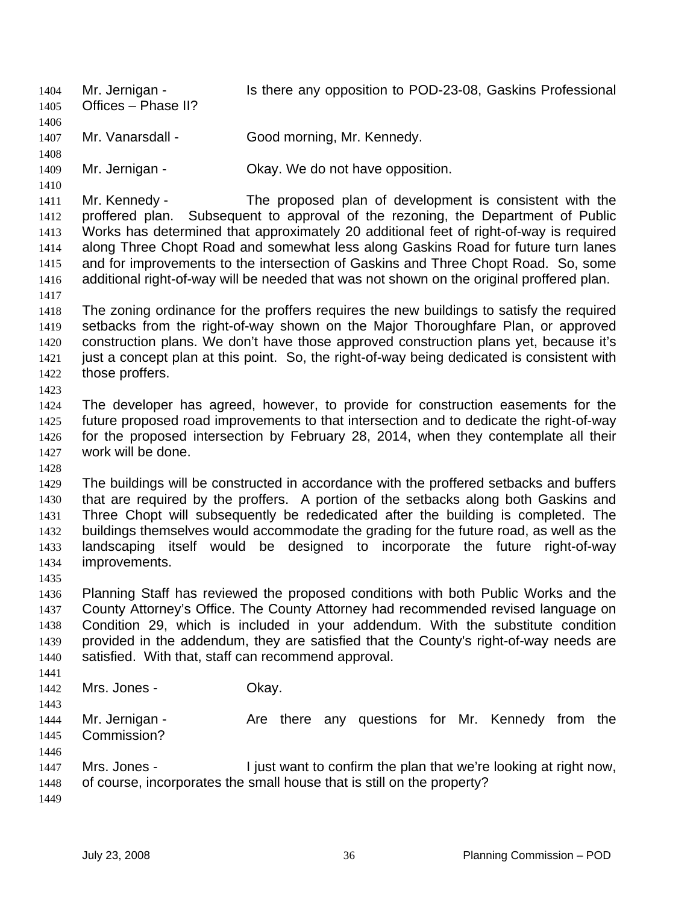Mr. Jernigan - The Is there any opposition to POD-23-08, Gaskins Professional Offices – Phase II? 1404 1405 1406 1407 1408 1409 1410 1411 1412 1413 1414 1415 1416 1417 1418 1419 1420 1421 1422 1423 1424 1425 1426 1427 1428 1429 1430 1431 1432 1433 1434 1435 1436 1437 1438 1439 1440 1441 1442 1443 1444 1445 1446 1447 1448 1449 Mr. Vanarsdall - Good morning, Mr. Kennedy. Mr. Jernigan - Ckay. We do not have opposition. Mr. Kennedy - The proposed plan of development is consistent with the proffered plan. Subsequent to approval of the rezoning, the Department of Public Works has determined that approximately 20 additional feet of right-of-way is required along Three Chopt Road and somewhat less along Gaskins Road for future turn lanes and for improvements to the intersection of Gaskins and Three Chopt Road. So, some additional right-of-way will be needed that was not shown on the original proffered plan. The zoning ordinance for the proffers requires the new buildings to satisfy the required setbacks from the right-of-way shown on the Major Thoroughfare Plan, or approved construction plans. We don't have those approved construction plans yet, because it's just a concept plan at this point. So, the right-of-way being dedicated is consistent with those proffers. The developer has agreed, however, to provide for construction easements for the future proposed road improvements to that intersection and to dedicate the right-of-way for the proposed intersection by February 28, 2014, when they contemplate all their work will be done. The buildings will be constructed in accordance with the proffered setbacks and buffers that are required by the proffers. A portion of the setbacks along both Gaskins and Three Chopt will subsequently be rededicated after the building is completed. The buildings themselves would accommodate the grading for the future road, as well as the landscaping itself would be designed to incorporate the future right-of-way improvements. Planning Staff has reviewed the proposed conditions with both Public Works and the County Attorney's Office. The County Attorney had recommended revised language on Condition 29, which is included in your addendum. With the substitute condition provided in the addendum, they are satisfied that the County's right-of-way needs are satisfied. With that, staff can recommend approval. Mrs. Jones - Chay. Mr. Jernigan - The Are there any questions for Mr. Kennedy from the Commission? Mrs. Jones - I just want to confirm the plan that we're looking at right now, of course, incorporates the small house that is still on the property?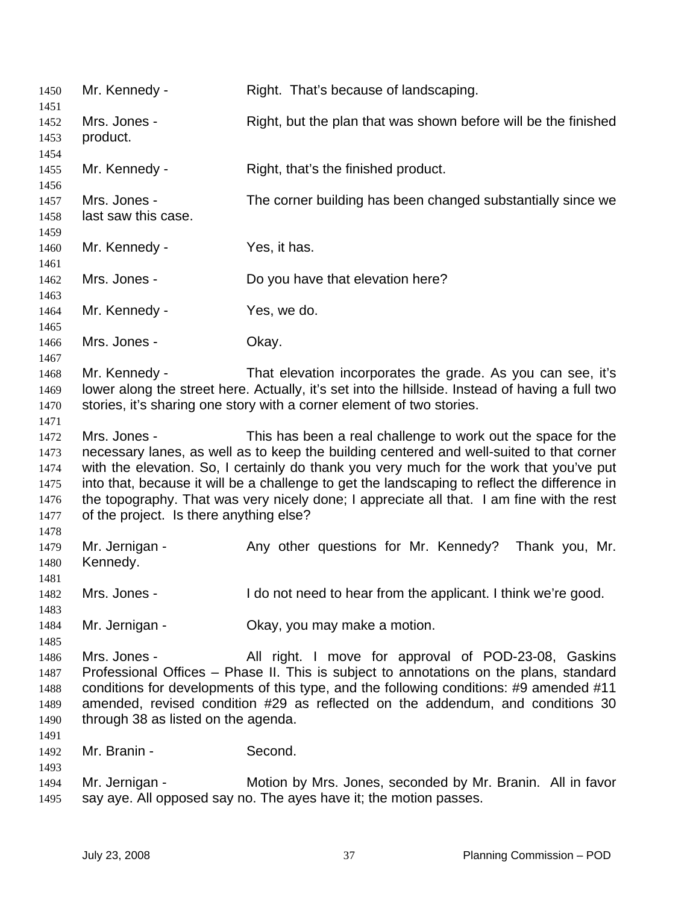| 1450                                                 | Mr. Kennedy -                                                                                                                                                                                                                                                                                                                                                                                                                                                                                                | Right. That's because of landscaping.                                                                                           |  |
|------------------------------------------------------|--------------------------------------------------------------------------------------------------------------------------------------------------------------------------------------------------------------------------------------------------------------------------------------------------------------------------------------------------------------------------------------------------------------------------------------------------------------------------------------------------------------|---------------------------------------------------------------------------------------------------------------------------------|--|
| 1451<br>1452<br>1453<br>1454                         | Mrs. Jones -<br>product.                                                                                                                                                                                                                                                                                                                                                                                                                                                                                     | Right, but the plan that was shown before will be the finished                                                                  |  |
| 1455<br>1456                                         | Mr. Kennedy -                                                                                                                                                                                                                                                                                                                                                                                                                                                                                                | Right, that's the finished product.                                                                                             |  |
| 1457<br>1458<br>1459                                 | Mrs. Jones -<br>last saw this case.                                                                                                                                                                                                                                                                                                                                                                                                                                                                          | The corner building has been changed substantially since we                                                                     |  |
| 1460<br>1461                                         | Mr. Kennedy -                                                                                                                                                                                                                                                                                                                                                                                                                                                                                                | Yes, it has.                                                                                                                    |  |
| 1462<br>1463                                         | Mrs. Jones -                                                                                                                                                                                                                                                                                                                                                                                                                                                                                                 | Do you have that elevation here?                                                                                                |  |
| 1464<br>1465                                         | Mr. Kennedy -                                                                                                                                                                                                                                                                                                                                                                                                                                                                                                | Yes, we do.                                                                                                                     |  |
| 1466<br>1467                                         | Mrs. Jones -                                                                                                                                                                                                                                                                                                                                                                                                                                                                                                 | Okay.                                                                                                                           |  |
| 1468<br>1469<br>1470<br>1471                         | Mr. Kennedy -<br>That elevation incorporates the grade. As you can see, it's<br>lower along the street here. Actually, it's set into the hillside. Instead of having a full two<br>stories, it's sharing one story with a corner element of two stories.                                                                                                                                                                                                                                                     |                                                                                                                                 |  |
| 1472<br>1473<br>1474<br>1475<br>1476<br>1477<br>1478 | Mrs. Jones -<br>This has been a real challenge to work out the space for the<br>necessary lanes, as well as to keep the building centered and well-suited to that corner<br>with the elevation. So, I certainly do thank you very much for the work that you've put<br>into that, because it will be a challenge to get the landscaping to reflect the difference in<br>the topography. That was very nicely done; I appreciate all that. I am fine with the rest<br>of the project. Is there anything else? |                                                                                                                                 |  |
| 1479<br>1480                                         | Mr. Jernigan -<br>Kennedy.                                                                                                                                                                                                                                                                                                                                                                                                                                                                                   | Any other questions for Mr. Kennedy? Thank you, Mr.                                                                             |  |
| 1481<br>1482<br>1483                                 | Mrs. Jones -                                                                                                                                                                                                                                                                                                                                                                                                                                                                                                 | I do not need to hear from the applicant. I think we're good.                                                                   |  |
| 1484<br>1485                                         | Mr. Jernigan -                                                                                                                                                                                                                                                                                                                                                                                                                                                                                               | Okay, you may make a motion.                                                                                                    |  |
| 1486<br>1487<br>1488<br>1489<br>1490                 | Mrs. Jones -<br>All right. I move for approval of POD-23-08, Gaskins<br>Professional Offices – Phase II. This is subject to annotations on the plans, standard<br>conditions for developments of this type, and the following conditions: #9 amended #11<br>amended, revised condition #29 as reflected on the addendum, and conditions 30<br>through 38 as listed on the agenda.                                                                                                                            |                                                                                                                                 |  |
| 1491<br>1492<br>1493                                 | Mr. Branin -                                                                                                                                                                                                                                                                                                                                                                                                                                                                                                 | Second.                                                                                                                         |  |
| 1494<br>1495                                         | Mr. Jernigan -                                                                                                                                                                                                                                                                                                                                                                                                                                                                                               | Motion by Mrs. Jones, seconded by Mr. Branin. All in favor<br>say aye. All opposed say no. The ayes have it; the motion passes. |  |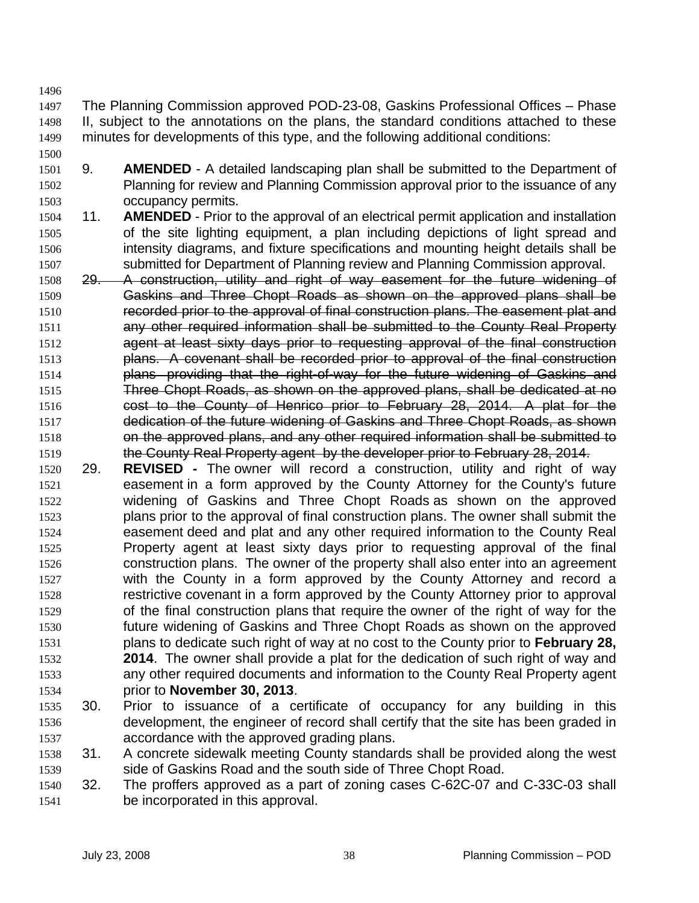1500

1497 1498 1499 The Planning Commission approved POD-23-08, Gaskins Professional Offices – Phase II, subject to the annotations on the plans, the standard conditions attached to these minutes for developments of this type, and the following additional conditions:

- 1501 1502 1503 9. **AMENDED** - A detailed landscaping plan shall be submitted to the Department of Planning for review and Planning Commission approval prior to the issuance of any occupancy permits.
- 1504 1505 1506 1507 11. **AMENDED** - Prior to the approval of an electrical permit application and installation of the site lighting equipment, a plan including depictions of light spread and intensity diagrams, and fixture specifications and mounting height details shall be submitted for Department of Planning review and Planning Commission approval.
- 1508 29. A construction, utility and right of way easement for the future widening of 1509 Gaskins and Three Chopt Roads as shown on the approved plans shall be 1510 recorded prior to the approval of final construction plans. The easement plat and 1511 any other required information shall be submitted to the County Real Property 1512 agent at least sixty days prior to requesting approval of the final construction 1513 plans. A covenant shall be recorded prior to approval of the final construction 1514 plans providing that the right-of-way for the future widening of Gaskins and 1515 Three Chopt Roads, as shown on the approved plans, shall be dedicated at no 1516 cost to the County of Henrico prior to February 28, 2014. A plat for the 1517 dedication of the future widening of Gaskins and Three Chopt Roads, as shown 1518 on the approved plans, and any other required information shall be submitted to 1519 the County Real Property agent by the developer prior to February 28, 2014.
- 1520 1521 1522 1523 1524 1525 1526 1527 1528 1529 1530 1531 1532 1533 1534 29. **REVISED -** The owner will record a construction, utility and right of way easement in a form approved by the County Attorney for the County's future widening of Gaskins and Three Chopt Roads as shown on the approved plans prior to the approval of final construction plans. The owner shall submit the easement deed and plat and any other required information to the County Real Property agent at least sixty days prior to requesting approval of the final construction plans. The owner of the property shall also enter into an agreement with the County in a form approved by the County Attorney and record a restrictive covenant in a form approved by the County Attorney prior to approval of the final construction plans that require the owner of the right of way for the future widening of Gaskins and Three Chopt Roads as shown on the approved plans to dedicate such right of way at no cost to the County prior to **February 28, 2014**. The owner shall provide a plat for the dedication of such right of way and any other required documents and information to the County Real Property agent prior to **November 30, 2013**.
- 1535 1536 1537 30. Prior to issuance of a certificate of occupancy for any building in this development, the engineer of record shall certify that the site has been graded in accordance with the approved grading plans.
- 1538 1539 31. A concrete sidewalk meeting County standards shall be provided along the west side of Gaskins Road and the south side of Three Chopt Road.
- 1540 1541 32. The proffers approved as a part of zoning cases C-62C-07 and C-33C-03 shall be incorporated in this approval.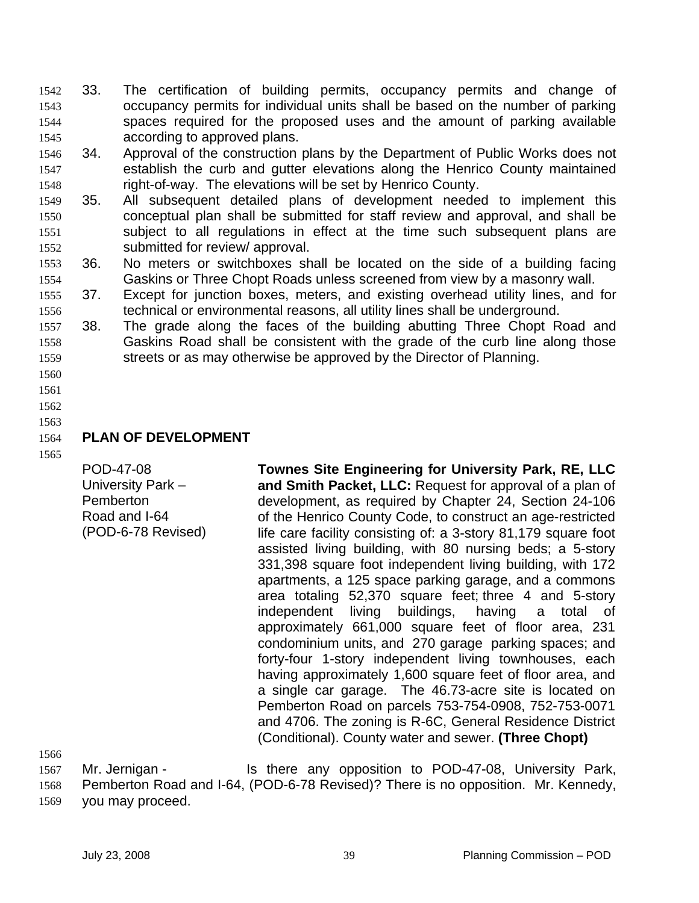- 33. The certification of building permits, occupancy permits and change of occupancy permits for individual units shall be based on the number of parking spaces required for the proposed uses and the amount of parking available according to approved plans. 1542 1543 1544 1545
- 1546 1547 1548 34. Approval of the construction plans by the Department of Public Works does not establish the curb and gutter elevations along the Henrico County maintained right-of-way. The elevations will be set by Henrico County.
- 1549 1550 1551 1552 35. All subsequent detailed plans of development needed to implement this conceptual plan shall be submitted for staff review and approval, and shall be subject to all regulations in effect at the time such subsequent plans are submitted for review/ approval.
- 1553 1554 36. No meters or switchboxes shall be located on the side of a building facing Gaskins or Three Chopt Roads unless screened from view by a masonry wall.
- 1555 1556 37. Except for junction boxes, meters, and existing overhead utility lines, and for technical or environmental reasons, all utility lines shall be underground.
- 1557 1558 1559 38. The grade along the faces of the building abutting Three Chopt Road and Gaskins Road shall be consistent with the grade of the curb line along those streets or as may otherwise be approved by the Director of Planning.
- 1560 1561
- 1562
- 1563

### 1564 **PLAN OF DEVELOPMENT**

1565

POD-47-08 University Park – Pemberton Road and I-64 (POD-6-78 Revised) **Townes Site Engineering for University Park, RE, LLC and Smith Packet, LLC:** Request for approval of a plan of development, as required by Chapter 24, Section 24-106 of the Henrico County Code, to construct an age-restricted life care facility consisting of: a 3-story 81,179 square foot assisted living building, with 80 nursing beds; a 5-story 331,398 square foot independent living building, with 172 apartments, a 125 space parking garage, and a commons area totaling 52,370 square feet; three 4 and 5-story independent living buildings, having a total of approximately 661,000 square feet of floor area, 231 condominium units, and 270 garage parking spaces; and forty-four 1-story independent living townhouses, each having approximately 1,600 square feet of floor area, and a single car garage. The 46.73-acre site is located on Pemberton Road on parcels 753-754-0908, 752-753-0071 and 4706. The zoning is R-6C, General Residence District (Conditional). County water and sewer. **(Three Chopt)** 

1566

1567 1568 1569 Mr. Jernigan - Is there any opposition to POD-47-08, University Park, Pemberton Road and I-64, (POD-6-78 Revised)? There is no opposition. Mr. Kennedy, you may proceed.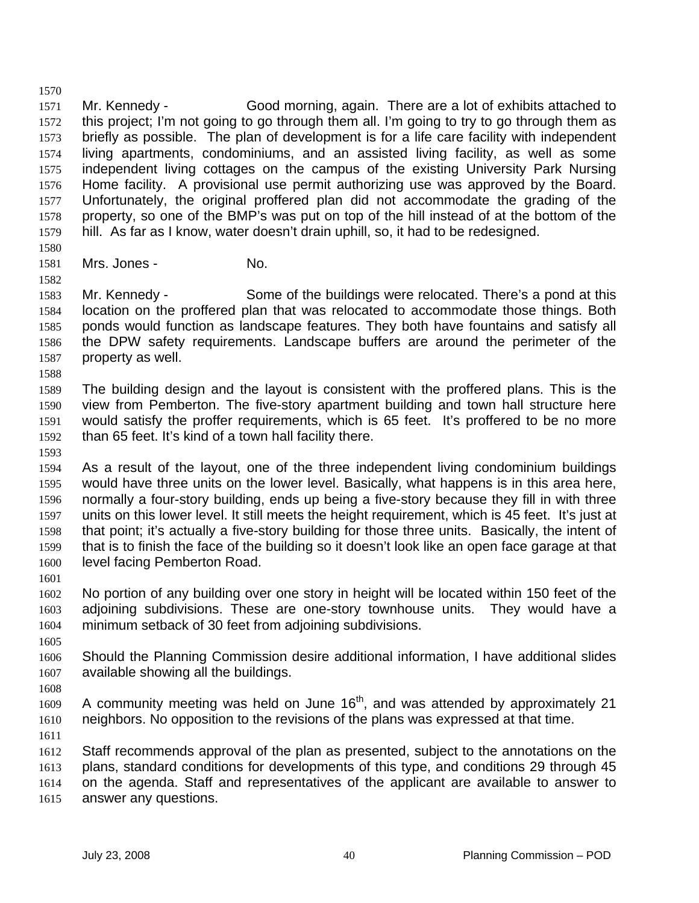1570 1571 1572 1573 1574 1575 1576 1577 1578 1579 Mr. Kennedy - Good morning, again. There are a lot of exhibits attached to this project; I'm not going to go through them all. I'm going to try to go through them as briefly as possible. The plan of development is for a life care facility with independent living apartments, condominiums, and an assisted living facility, as well as some independent living cottages on the campus of the existing University Park Nursing Home facility. A provisional use permit authorizing use was approved by the Board. Unfortunately, the original proffered plan did not accommodate the grading of the property, so one of the BMP's was put on top of the hill instead of at the bottom of the hill. As far as I know, water doesn't drain uphill, so, it had to be redesigned.

- 1581 Mrs. Jones - No.
- 1582

1580

1583 1584 1585 1586 1587 Mr. Kennedy - Some of the buildings were relocated. There's a pond at this location on the proffered plan that was relocated to accommodate those things. Both ponds would function as landscape features. They both have fountains and satisfy all the DPW safety requirements. Landscape buffers are around the perimeter of the property as well.

- 1589 1590 1591 1592 The building design and the layout is consistent with the proffered plans. This is the view from Pemberton. The five-story apartment building and town hall structure here would satisfy the proffer requirements, which is 65 feet. It's proffered to be no more than 65 feet. It's kind of a town hall facility there.
- 1593

1588

1594 1595 1596 1597 1598 1599 1600 As a result of the layout, one of the three independent living condominium buildings would have three units on the lower level. Basically, what happens is in this area here, normally a four-story building, ends up being a five-story because they fill in with three units on this lower level. It still meets the height requirement, which is 45 feet. It's just at that point; it's actually a five-story building for those three units. Basically, the intent of that is to finish the face of the building so it doesn't look like an open face garage at that level facing Pemberton Road.

1601

1602 1603 1604 No portion of any building over one story in height will be located within 150 feet of the adjoining subdivisions. These are one-story townhouse units. They would have a minimum setback of 30 feet from adjoining subdivisions.

1605

1606 1607 Should the Planning Commission desire additional information, I have additional slides available showing all the buildings.

1608

1609 1610 A community meeting was held on June  $16<sup>th</sup>$ , and was attended by approximately 21 neighbors. No opposition to the revisions of the plans was expressed at that time.

1611

1612 1613 1614 1615 Staff recommends approval of the plan as presented, subject to the annotations on the plans, standard conditions for developments of this type, and conditions 29 through 45 on the agenda. Staff and representatives of the applicant are available to answer to answer any questions.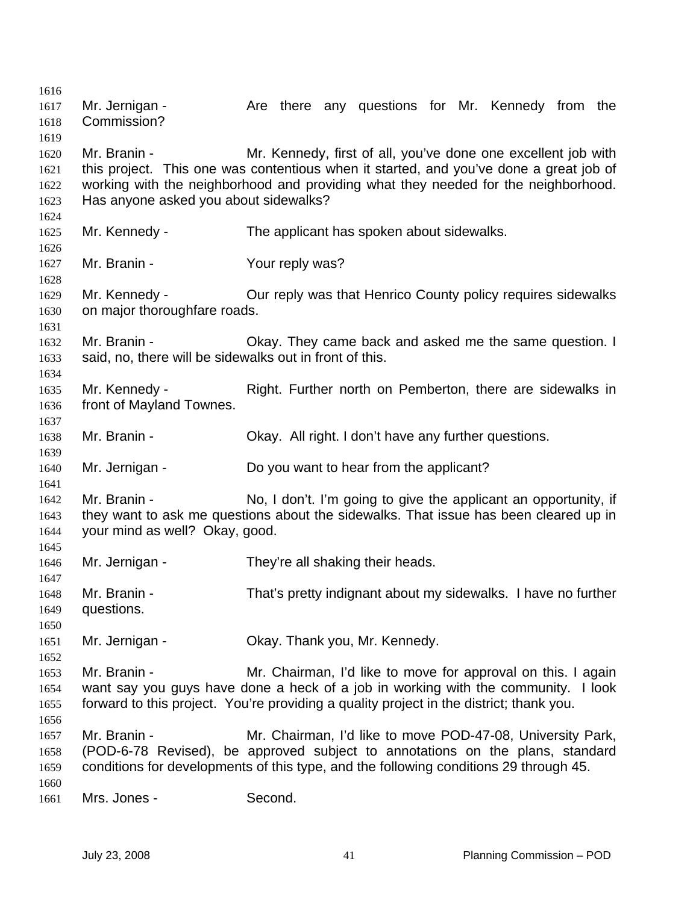1616 1617 1618 1619 1620 1621 1622 1623 1624 1625 1626 1627 1628 1629 1630 1631 1632 1633 1634 1635 1636 1637 1638 1639 1640 1641 1642 1643 1644 1645 1646 1647 1648 1649 1650 1651 1652 1653 1654 1655 1656 1657 1658 1659 1660 1661 Mr. Jernigan - The Are there any questions for Mr. Kennedy from the Commission? Mr. Branin - Mr. Kennedy, first of all, you've done one excellent job with this project. This one was contentious when it started, and you've done a great job of working with the neighborhood and providing what they needed for the neighborhood. Has anyone asked you about sidewalks? Mr. Kennedy - The applicant has spoken about sidewalks. Mr. Branin - Your reply was? Mr. Kennedy - **Our reply was that Henrico County policy requires sidewalks** on major thoroughfare roads. Mr. Branin - Okay. They came back and asked me the same question. I said, no, there will be sidewalks out in front of this. Mr. Kennedy - Right. Further north on Pemberton, there are sidewalks in front of Mayland Townes. Mr. Branin - Okay. All right. I don't have any further questions. Mr. Jernigan - Do you want to hear from the applicant? Mr. Branin - No, I don't. I'm going to give the applicant an opportunity, if they want to ask me questions about the sidewalks. That issue has been cleared up in your mind as well? Okay, good. Mr. Jernigan - They're all shaking their heads. Mr. Branin - That's pretty indignant about my sidewalks. I have no further questions. Mr. Jernigan - Ckay. Thank you, Mr. Kennedy. Mr. Branin - **Mr.** Chairman, I'd like to move for approval on this. I again want say you guys have done a heck of a job in working with the community. I look forward to this project. You're providing a quality project in the district; thank you. Mr. Branin - **Mr. Chairman, I'd like to move POD-47-08, University Park,** (POD-6-78 Revised), be approved subject to annotations on the plans, standard conditions for developments of this type, and the following conditions 29 through 45. Mrs. Jones - Second.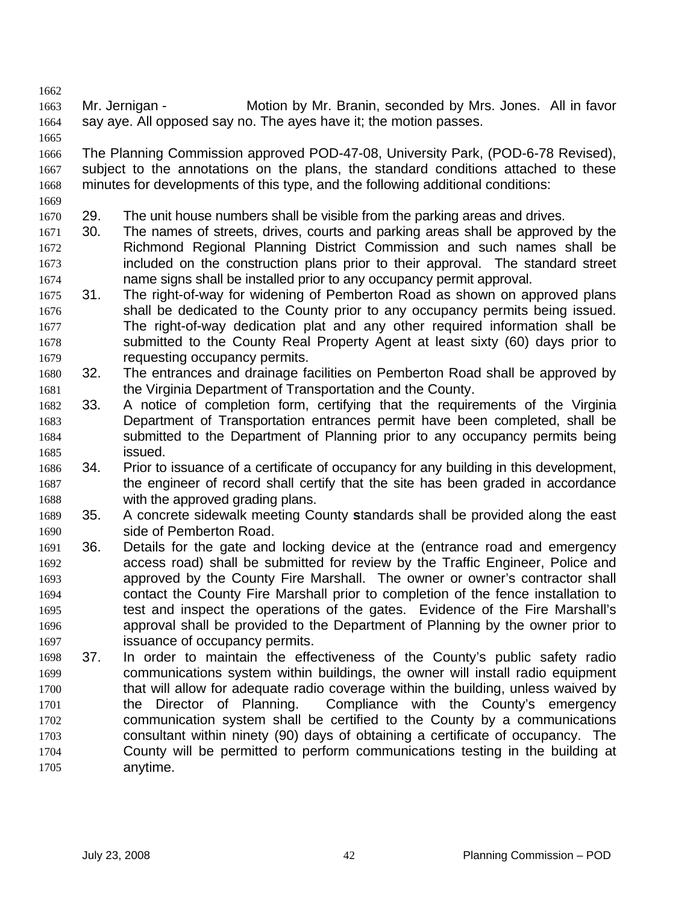1663 1664 Mr. Jernigan - Motion by Mr. Branin, seconded by Mrs. Jones. All in favor say aye. All opposed say no. The ayes have it; the motion passes.

1666 1667 1668 1669 The Planning Commission approved POD-47-08, University Park, (POD-6-78 Revised), subject to the annotations on the plans, the standard conditions attached to these minutes for developments of this type, and the following additional conditions:

1670 29. The unit house numbers shall be visible from the parking areas and drives.

- 1672 1673 1674 1671 30. The names of streets, drives, courts and parking areas shall be approved by the Richmond Regional Planning District Commission and such names shall be included on the construction plans prior to their approval. The standard street name signs shall be installed prior to any occupancy permit approval.
- 1675 1676 1677 1678 1679 31. The right-of-way for widening of Pemberton Road as shown on approved plans shall be dedicated to the County prior to any occupancy permits being issued. The right-of-way dedication plat and any other required information shall be submitted to the County Real Property Agent at least sixty (60) days prior to requesting occupancy permits.
- 1680 1681 32. The entrances and drainage facilities on Pemberton Road shall be approved by the Virginia Department of Transportation and the County.
- 1682 1683 1684 1685 33. A notice of completion form, certifying that the requirements of the Virginia Department of Transportation entrances permit have been completed, shall be submitted to the Department of Planning prior to any occupancy permits being issued.
- 1686 1687 1688 34. Prior to issuance of a certificate of occupancy for any building in this development, the engineer of record shall certify that the site has been graded in accordance with the approved grading plans.
- 1689 1690 35. A concrete sidewalk meeting County **s**tandards shall be provided along the east side of Pemberton Road.
- 1691 1692 1693 1694 1695 1696 1697 36. Details for the gate and locking device at the (entrance road and emergency access road) shall be submitted for review by the Traffic Engineer, Police and approved by the County Fire Marshall. The owner or owner's contractor shall contact the County Fire Marshall prior to completion of the fence installation to test and inspect the operations of the gates. Evidence of the Fire Marshall's approval shall be provided to the Department of Planning by the owner prior to issuance of occupancy permits.
- 1698 1699 1700 1701 1702 1703 1704 1705 37. In order to maintain the effectiveness of the County's public safety radio communications system within buildings, the owner will install radio equipment that will allow for adequate radio coverage within the building, unless waived by the Director of Planning. Compliance with the County's emergency communication system shall be certified to the County by a communications consultant within ninety (90) days of obtaining a certificate of occupancy. The County will be permitted to perform communications testing in the building at anytime.

1662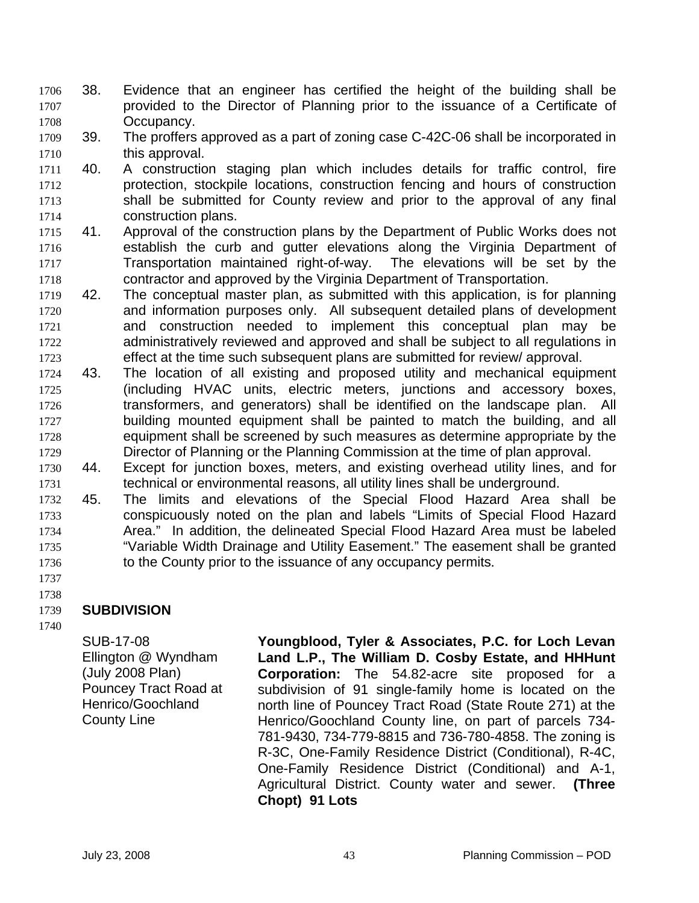- 38. Evidence that an engineer has certified the height of the building shall be provided to the Director of Planning prior to the issuance of a Certificate of Occupancy. 1706 1707 1708
- 1709 1710 39. The proffers approved as a part of zoning case C-42C-06 shall be incorporated in this approval.
- 1711 1712 1713 1714 40. A construction staging plan which includes details for traffic control, fire protection, stockpile locations, construction fencing and hours of construction shall be submitted for County review and prior to the approval of any final construction plans.
- 1715 1716 1717 1718 41. Approval of the construction plans by the Department of Public Works does not establish the curb and gutter elevations along the Virginia Department of Transportation maintained right-of-way. The elevations will be set by the contractor and approved by the Virginia Department of Transportation.
- 1719 1720 1721 1722 1723 42. The conceptual master plan, as submitted with this application, is for planning and information purposes only. All subsequent detailed plans of development and construction needed to implement this conceptual plan may be administratively reviewed and approved and shall be subject to all regulations in effect at the time such subsequent plans are submitted for review/ approval.
- 1724 1725 1726 1727 1728 1729 43. The location of all existing and proposed utility and mechanical equipment (including HVAC units, electric meters, junctions and accessory boxes, transformers, and generators) shall be identified on the landscape plan. All building mounted equipment shall be painted to match the building, and all equipment shall be screened by such measures as determine appropriate by the Director of Planning or the Planning Commission at the time of plan approval.
- 1730 1731 44. Except for junction boxes, meters, and existing overhead utility lines, and for technical or environmental reasons, all utility lines shall be underground.
- 1732 1733 1734 1735 1736 45. The limits and elevations of the Special Flood Hazard Area shall be conspicuously noted on the plan and labels "Limits of Special Flood Hazard Area." In addition, the delineated Special Flood Hazard Area must be labeled "Variable Width Drainage and Utility Easement." The easement shall be granted to the County prior to the issuance of any occupancy permits.
- 1737 1738

### 1739 **SUBDIVISION**

1740

SUB-17-08 Ellington @ Wyndham (July 2008 Plan) Pouncey Tract Road at Henrico/Goochland County Line

**Youngblood, Tyler & Associates, P.C. for Loch Levan Land L.P., The William D. Cosby Estate, and HHHunt Corporation:** The 54.82-acre site proposed for a subdivision of 91 single-family home is located on the north line of Pouncey Tract Road (State Route 271) at the Henrico/Goochland County line, on part of parcels 734- 781-9430, 734-779-8815 and 736-780-4858. The zoning is R-3C, One-Family Residence District (Conditional), R-4C, One-Family Residence District (Conditional) and A-1, Agricultural District. County water and sewer. **(Three Chopt) 91 Lots**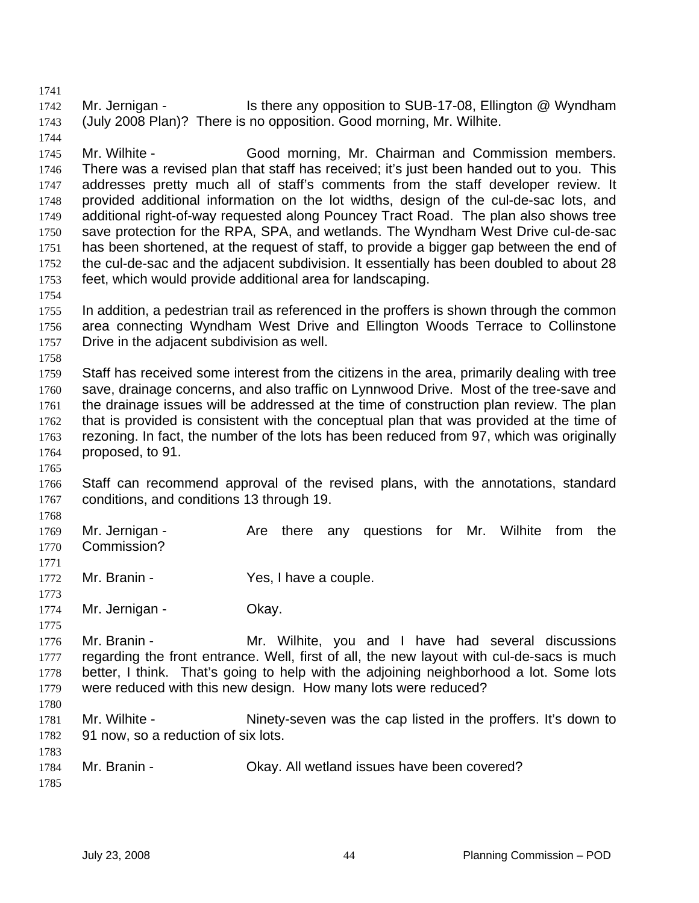1742 1743 Mr. Jernigan - Is there any opposition to SUB-17-08, Ellington @ Wyndham (July 2008 Plan)? There is no opposition. Good morning, Mr. Wilhite.

1745 1746 1747 1748 1749 1750 1751 1752 1753 Mr. Wilhite - Good morning, Mr. Chairman and Commission members. There was a revised plan that staff has received; it's just been handed out to you. This addresses pretty much all of staff's comments from the staff developer review. It provided additional information on the lot widths, design of the cul-de-sac lots, and additional right-of-way requested along Pouncey Tract Road. The plan also shows tree save protection for the RPA, SPA, and wetlands. The Wyndham West Drive cul-de-sac has been shortened, at the request of staff, to provide a bigger gap between the end of the cul-de-sac and the adjacent subdivision. It essentially has been doubled to about 28 feet, which would provide additional area for landscaping.

1755 1756 1757 In addition, a pedestrian trail as referenced in the proffers is shown through the common area connecting Wyndham West Drive and Ellington Woods Terrace to Collinstone Drive in the adjacent subdivision as well.

1758

1754

1741

1744

1759 1760 1761 1762 1763 1764 Staff has received some interest from the citizens in the area, primarily dealing with tree save, drainage concerns, and also traffic on Lynnwood Drive. Most of the tree-save and the drainage issues will be addressed at the time of construction plan review. The plan that is provided is consistent with the conceptual plan that was provided at the time of rezoning. In fact, the number of the lots has been reduced from 97, which was originally proposed, to 91.

1765

1768

1766 1767 Staff can recommend approval of the revised plans, with the annotations, standard conditions, and conditions 13 through 19.

1769 1770 1771 Mr. Jernigan - Are there any questions for Mr. Wilhite from the Commission?

- 1772 Mr. Branin - Yes, I have a couple.
- 1773 1774

1775

1783

Mr. Jernigan - Ckay.

1776 1777 1778 1779 1780 Mr. Branin - The Mr. Wilhite, you and I have had several discussions regarding the front entrance. Well, first of all, the new layout with cul-de-sacs is much better, I think. That's going to help with the adjoining neighborhood a lot. Some lots were reduced with this new design. How many lots were reduced?

1781 1782 Mr. Wilhite - Ninety-seven was the cap listed in the proffers. It's down to 91 now, so a reduction of six lots.

| 1784 | Mr. Branin - | Okay. All wetland issues have been covered? |
|------|--------------|---------------------------------------------|
| 1785 |              |                                             |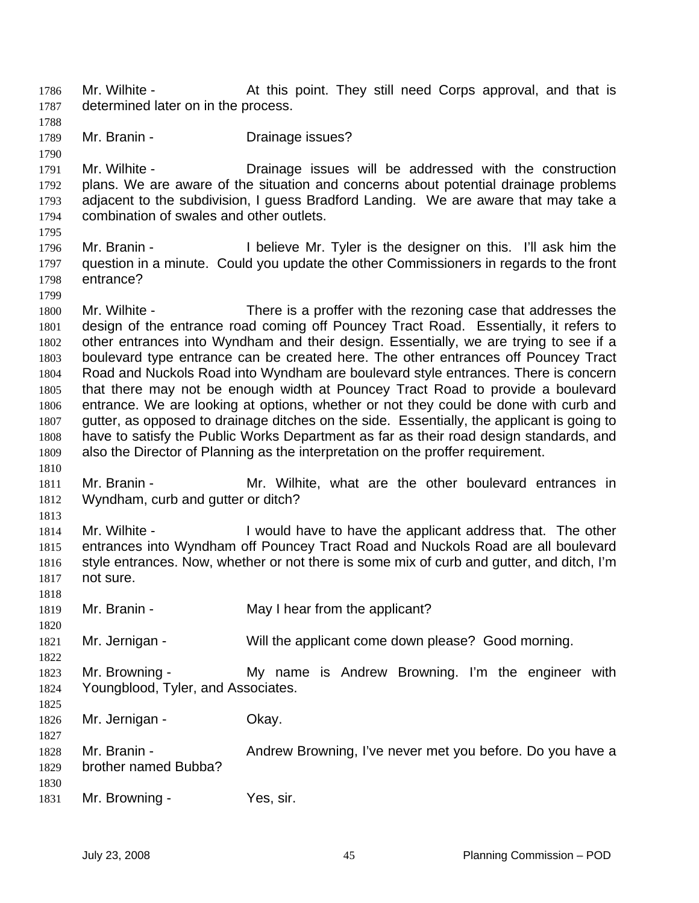Mr. Wilhite - At this point. They still need Corps approval, and that is determined later on in the process. 1786 1787

- 1788
- 1789 Mr. Branin - **Drainage issues?**

1790 1791 1792 1793 1794 Mr. Wilhite - The Drainage issues will be addressed with the construction plans. We are aware of the situation and concerns about potential drainage problems adjacent to the subdivision, I guess Bradford Landing. We are aware that may take a combination of swales and other outlets.

1795

1796 1797 1798 Mr. Branin - I believe Mr. Tyler is the designer on this. I'll ask him the question in a minute. Could you update the other Commissioners in regards to the front entrance?

1799 1800 1801 1802 1803 1804 1805 1806 1807 1808 1809 Mr. Wilhite - There is a proffer with the rezoning case that addresses the design of the entrance road coming off Pouncey Tract Road. Essentially, it refers to other entrances into Wyndham and their design. Essentially, we are trying to see if a boulevard type entrance can be created here. The other entrances off Pouncey Tract Road and Nuckols Road into Wyndham are boulevard style entrances. There is concern that there may not be enough width at Pouncey Tract Road to provide a boulevard entrance. We are looking at options, whether or not they could be done with curb and gutter, as opposed to drainage ditches on the side. Essentially, the applicant is going to have to satisfy the Public Works Department as far as their road design standards, and also the Director of Planning as the interpretation on the proffer requirement.

1811 1812 Mr. Branin - The Mr. Wilhite, what are the other boulevard entrances in Wyndham, curb and gutter or ditch?

1813

1818

1820

1822

1827

1810

1814 1815 1816 1817 Mr. Wilhite - The state of l would have to have the applicant address that. The other entrances into Wyndham off Pouncey Tract Road and Nuckols Road are all boulevard style entrances. Now, whether or not there is some mix of curb and gutter, and ditch, I'm not sure.

1819 Mr. Branin - May I hear from the applicant?

1821 Mr. Jernigan - Will the applicant come down please? Good morning.

1823 1824 1825 Mr. Browning - The My name is Andrew Browning. I'm the engineer with Youngblood, Tyler, and Associates.

1826 Mr. Jernigan - Ckay.

- 1828 1829 1830 Mr. Branin - **Andrew Browning, I've never met you before.** Do you have a brother named Bubba?
- 1831 Mr. Browning - Yes, sir.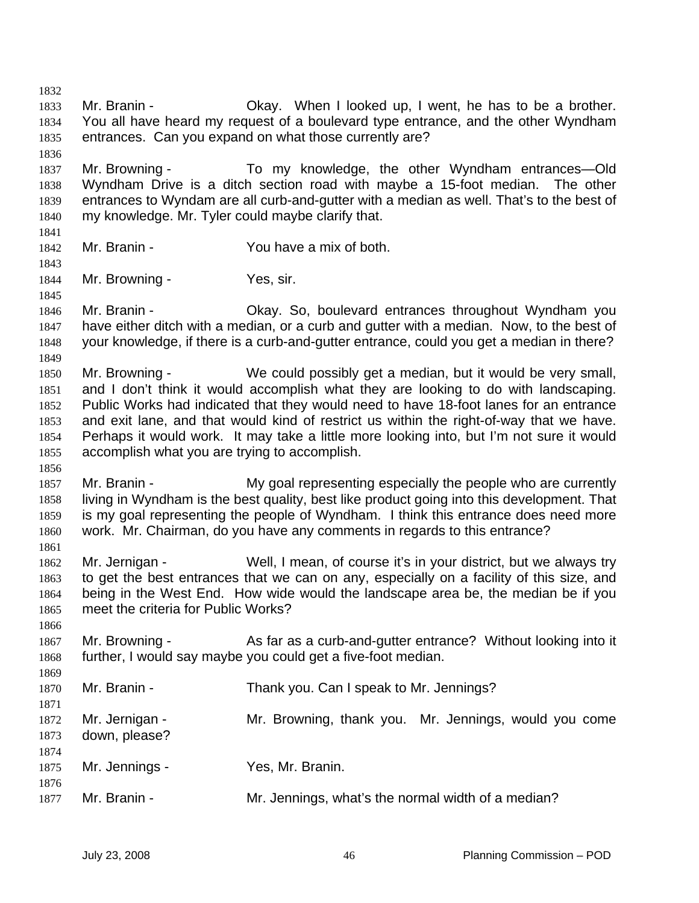1832 1833 1834 1835 1836 1837 1838 1839 1840 1841 1842 1843 1844 1845 1846 1847 1848 1849 1850 1851 1852 1853 1854 1855 1856 1857 1858 1859 1860 1861 1862 1863 1864 1865 1866 1867 1868 1869 1870 1871 1872 1873 1874 1875 1876 1877 Mr. Branin - Ckay. When I looked up, I went, he has to be a brother. You all have heard my request of a boulevard type entrance, and the other Wyndham entrances. Can you expand on what those currently are? Mr. Browning - To my knowledge, the other Wyndham entrances—Old Wyndham Drive is a ditch section road with maybe a 15-foot median. The other entrances to Wyndam are all curb-and-gutter with a median as well. That's to the best of my knowledge. Mr. Tyler could maybe clarify that. Mr. Branin - The You have a mix of both. Mr. Browning - Yes, sir. Mr. Branin - Okay. So, boulevard entrances throughout Wyndham you have either ditch with a median, or a curb and gutter with a median. Now, to the best of your knowledge, if there is a curb-and-gutter entrance, could you get a median in there? Mr. Browning - We could possibly get a median, but it would be very small, and I don't think it would accomplish what they are looking to do with landscaping. Public Works had indicated that they would need to have 18-foot lanes for an entrance and exit lane, and that would kind of restrict us within the right-of-way that we have. Perhaps it would work. It may take a little more looking into, but I'm not sure it would accomplish what you are trying to accomplish. Mr. Branin - My goal representing especially the people who are currently living in Wyndham is the best quality, best like product going into this development. That is my goal representing the people of Wyndham. I think this entrance does need more work. Mr. Chairman, do you have any comments in regards to this entrance? Mr. Jernigan - Well, I mean, of course it's in your district, but we always try to get the best entrances that we can on any, especially on a facility of this size, and being in the West End. How wide would the landscape area be, the median be if you meet the criteria for Public Works? Mr. Browning - As far as a curb-and-gutter entrance? Without looking into it further, I would say maybe you could get a five-foot median. Mr. Branin - Thank you. Can I speak to Mr. Jennings? Mr. Jernigan - The Mr. Browning, thank you. Mr. Jennings, would you come down, please? Mr. Jennings - Yes, Mr. Branin. Mr. Branin - The Mr. Jennings, what's the normal width of a median?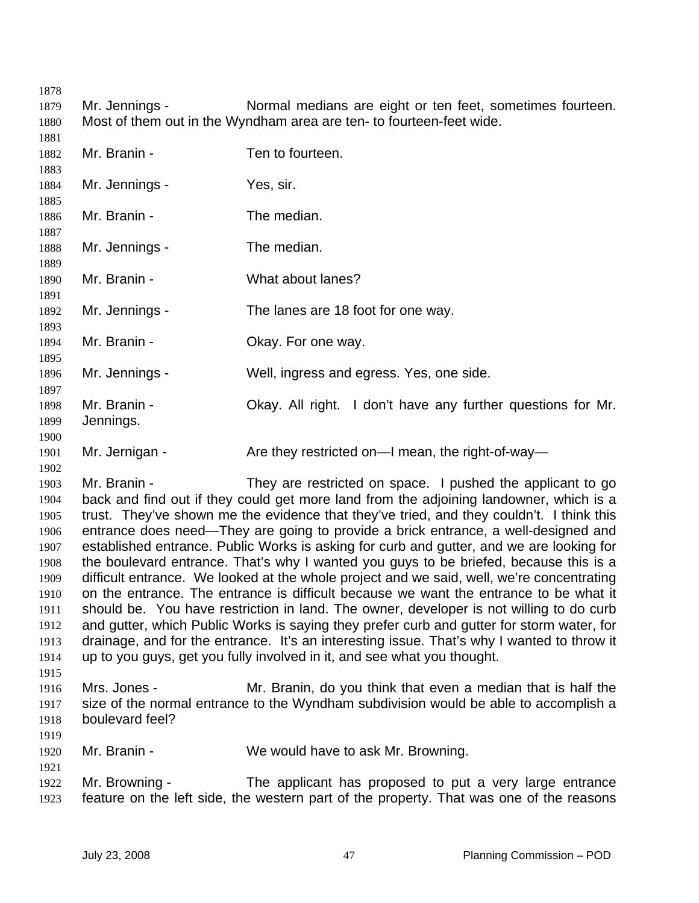1879 1880 Mr. Jennings - Normal medians are eight or ten feet, sometimes fourteen. Most of them out in the Wyndham area are ten- to fourteen-feet wide.

| 1881         |                                                                                            |                                                                                                                                                      |  |
|--------------|--------------------------------------------------------------------------------------------|------------------------------------------------------------------------------------------------------------------------------------------------------|--|
| 1882         | Mr. Branin -                                                                               | Ten to fourteen.                                                                                                                                     |  |
| 1883         |                                                                                            |                                                                                                                                                      |  |
| 1884         | Mr. Jennings -                                                                             | Yes, sir.                                                                                                                                            |  |
| 1885         |                                                                                            |                                                                                                                                                      |  |
| 1886         | Mr. Branin -                                                                               | The median.                                                                                                                                          |  |
| 1887         |                                                                                            |                                                                                                                                                      |  |
| 1888         | Mr. Jennings -                                                                             | The median.                                                                                                                                          |  |
| 1889         | Mr. Branin -                                                                               | What about lanes?                                                                                                                                    |  |
| 1890<br>1891 |                                                                                            |                                                                                                                                                      |  |
| 1892         | Mr. Jennings -                                                                             | The lanes are 18 foot for one way.                                                                                                                   |  |
| 1893         |                                                                                            |                                                                                                                                                      |  |
| 1894         | Mr. Branin -                                                                               | Okay. For one way.                                                                                                                                   |  |
| 1895         |                                                                                            |                                                                                                                                                      |  |
| 1896         | Mr. Jennings -                                                                             | Well, ingress and egress. Yes, one side.                                                                                                             |  |
| 1897         |                                                                                            |                                                                                                                                                      |  |
| 1898         | Mr. Branin -                                                                               | Okay. All right. I don't have any further questions for Mr.                                                                                          |  |
| 1899         | Jennings.                                                                                  |                                                                                                                                                      |  |
| 1900         |                                                                                            |                                                                                                                                                      |  |
| 1901         | Mr. Jernigan -                                                                             | Are they restricted on—I mean, the right-of-way—                                                                                                     |  |
| 1902         |                                                                                            |                                                                                                                                                      |  |
| 1903         | Mr. Branin -                                                                               | They are restricted on space. I pushed the applicant to go                                                                                           |  |
| 1904         |                                                                                            | back and find out if they could get more land from the adjoining landowner, which is a                                                               |  |
| 1905         |                                                                                            | trust. They've shown me the evidence that they've tried, and they couldn't. I think this                                                             |  |
| 1906         |                                                                                            | entrance does need—They are going to provide a brick entrance, a well-designed and                                                                   |  |
| 1907         |                                                                                            | established entrance. Public Works is asking for curb and gutter, and we are looking for                                                             |  |
| 1908         |                                                                                            | the boulevard entrance. That's why I wanted you guys to be briefed, because this is a                                                                |  |
| 1909         |                                                                                            | difficult entrance. We looked at the whole project and we said, well, we're concentrating                                                            |  |
| 1910         |                                                                                            | on the entrance. The entrance is difficult because we want the entrance to be what it                                                                |  |
| 1911         |                                                                                            | should be. You have restriction in land. The owner, developer is not willing to do curb                                                              |  |
| 1912         | and gutter, which Public Works is saying they prefer curb and gutter for storm water, for  |                                                                                                                                                      |  |
| 1913         | drainage, and for the entrance. It's an interesting issue. That's why I wanted to throw it |                                                                                                                                                      |  |
| 1914         |                                                                                            | up to you guys, get you fully involved in it, and see what you thought.                                                                              |  |
| 1915         |                                                                                            |                                                                                                                                                      |  |
| 1916         | Mrs. Jones -                                                                               | Mr. Branin, do you think that even a median that is half the<br>size of the normal entrance to the Wyndham subdivision would be able to accomplish a |  |
| 1917         | boulevard feel?                                                                            |                                                                                                                                                      |  |
| 1918<br>1919 |                                                                                            |                                                                                                                                                      |  |
| 1920         | Mr. Branin -                                                                               | We would have to ask Mr. Browning.                                                                                                                   |  |
| 1921         |                                                                                            |                                                                                                                                                      |  |
|              |                                                                                            |                                                                                                                                                      |  |

1922 1923 Mr. Browning - The applicant has proposed to put a very large entrance feature on the left side, the western part of the property. That was one of the reasons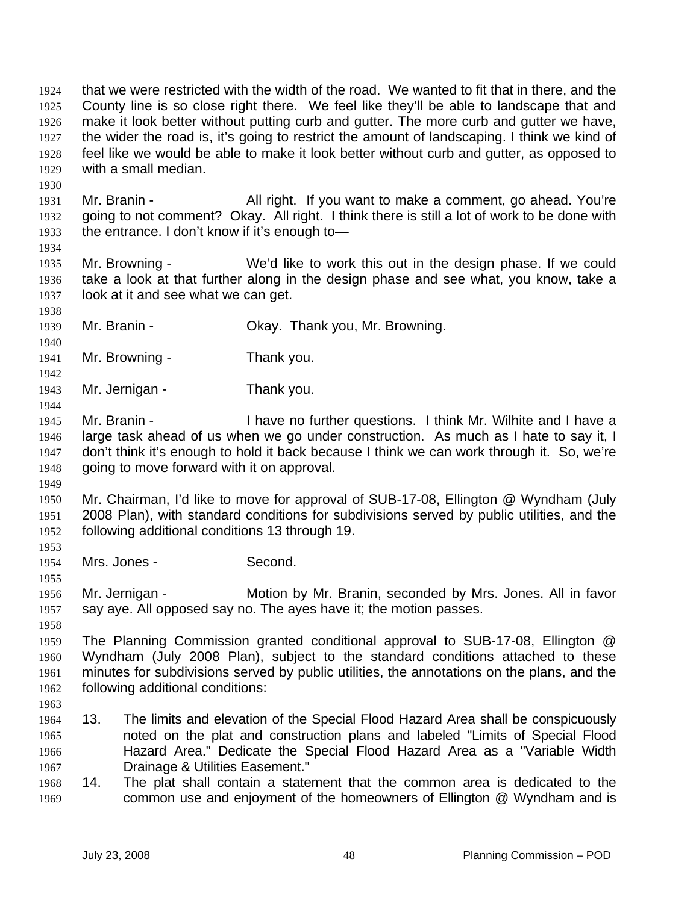that we were restricted with the width of the road. We wanted to fit that in there, and the County line is so close right there. We feel like they'll be able to landscape that and make it look better without putting curb and gutter. The more curb and gutter we have, the wider the road is, it's going to restrict the amount of landscaping. I think we kind of feel like we would be able to make it look better without curb and gutter, as opposed to with a small median. 1924 1925 1926 1927 1928 1929

1931 1932 1933 Mr. Branin - All right. If you want to make a comment, go ahead. You're going to not comment? Okay. All right. I think there is still a lot of work to be done with the entrance. I don't know if it's enough to—

1935 1936 1937 Mr. Browning - We'd like to work this out in the design phase. If we could take a look at that further along in the design phase and see what, you know, take a look at it and see what we can get.

- 1939 Mr. Branin - Ckay. Thank you, Mr. Browning.
- 1941 Mr. Browning - Thank you.
- 1943 Mr. Jernigan - Thank you.
- 1945 1946 1947 1948 Mr. Branin - Thave no further questions. I think Mr. Wilhite and I have a large task ahead of us when we go under construction. As much as I hate to say it, I don't think it's enough to hold it back because I think we can work through it. So, we're going to move forward with it on approval.
- 1950 1951 1952 Mr. Chairman, I'd like to move for approval of SUB-17-08, Ellington @ Wyndham (July 2008 Plan), with standard conditions for subdivisions served by public utilities, and the following additional conditions 13 through 19.
- 1954 Mrs. Jones - Second.

1956 1957 Mr. Jernigan - Motion by Mr. Branin, seconded by Mrs. Jones. All in favor say aye. All opposed say no. The ayes have it; the motion passes.

1959 1960 1961 1962 The Planning Commission granted conditional approval to SUB-17-08, Ellington @ Wyndham (July 2008 Plan), subject to the standard conditions attached to these minutes for subdivisions served by public utilities, the annotations on the plans, and the following additional conditions:

1963

1930

1934

1938

1940

1942

1944

1949

1953

1955

- 1964 1965 1966 1967 13. The limits and elevation of the Special Flood Hazard Area shall be conspicuously noted on the plat and construction plans and labeled "Limits of Special Flood Hazard Area." Dedicate the Special Flood Hazard Area as a "Variable Width Drainage & Utilities Easement."
- 1968 1969 14. The plat shall contain a statement that the common area is dedicated to the common use and enjoyment of the homeowners of Ellington @ Wyndham and is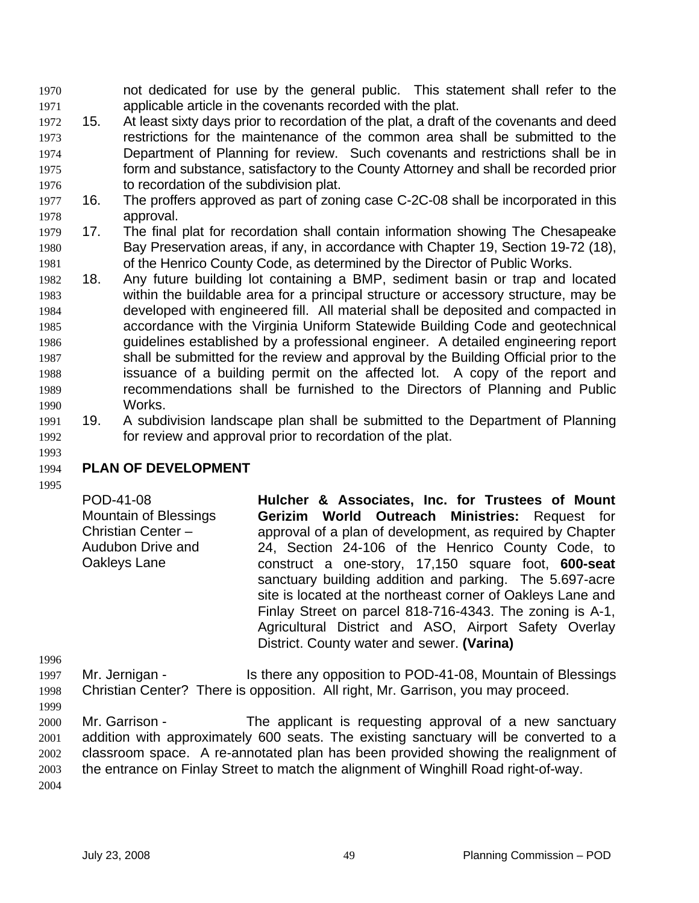not dedicated for use by the general public. This statement shall refer to the applicable article in the covenants recorded with the plat. 1970 1971

- 1972 1973 1974 1975 1976 15. At least sixty days prior to recordation of the plat, a draft of the covenants and deed restrictions for the maintenance of the common area shall be submitted to the Department of Planning for review. Such covenants and restrictions shall be in form and substance, satisfactory to the County Attorney and shall be recorded prior to recordation of the subdivision plat.
- 1977 1978 16. The proffers approved as part of zoning case C-2C-08 shall be incorporated in this approval.
- 1979 1980 1981 17. The final plat for recordation shall contain information showing The Chesapeake Bay Preservation areas, if any, in accordance with Chapter 19, Section 19-72 (18), of the Henrico County Code, as determined by the Director of Public Works.
- 1982 1983 1984 1985 1986 1987 1988 1989 1990 18. Any future building lot containing a BMP, sediment basin or trap and located within the buildable area for a principal structure or accessory structure, may be developed with engineered fill. All material shall be deposited and compacted in accordance with the Virginia Uniform Statewide Building Code and geotechnical guidelines established by a professional engineer. A detailed engineering report shall be submitted for the review and approval by the Building Official prior to the issuance of a building permit on the affected lot. A copy of the report and recommendations shall be furnished to the Directors of Planning and Public Works.
- 1991 1992 19. A subdivision landscape plan shall be submitted to the Department of Planning for review and approval prior to recordation of the plat.

### 1994 **PLAN OF DEVELOPMENT**

1993

1995

1996

POD-41-08 Mountain of Blessings Christian Center – Audubon Drive and Oakleys Lane **Hulcher & Associates, Inc. for Trustees of Mount Gerizim World Outreach Ministries:** Request for approval of a plan of development, as required by Chapter 24, Section 24-106 of the Henrico County Code, to construct a one-story, 17,150 square foot, **600-seat** sanctuary building addition and parking. The 5.697-acre site is located at the northeast corner of Oakleys Lane and Finlay Street on parcel 818-716-4343. The zoning is A-1, Agricultural District and ASO, Airport Safety Overlay District. County water and sewer. **(Varina)** 

1997 1998 Mr. Jernigan - Is there any opposition to POD-41-08, Mountain of Blessings Christian Center? There is opposition. All right, Mr. Garrison, you may proceed.

1999 2000 2001 2002 2003 2004 Mr. Garrison - The applicant is requesting approval of a new sanctuary addition with approximately 600 seats. The existing sanctuary will be converted to a classroom space. A re-annotated plan has been provided showing the realignment of the entrance on Finlay Street to match the alignment of Winghill Road right-of-way.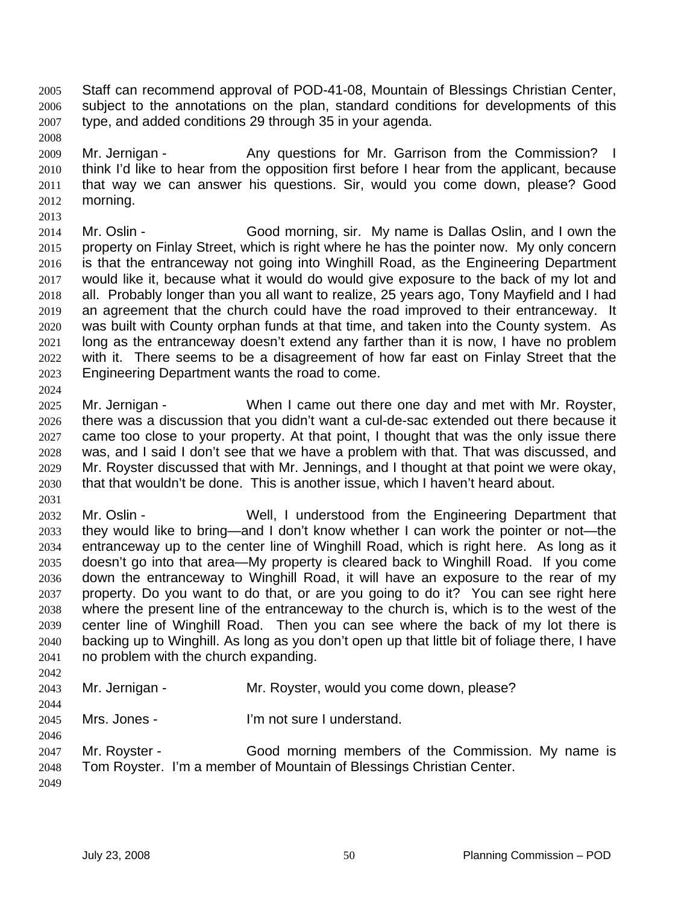Staff can recommend approval of POD-41-08, Mountain of Blessings Christian Center, subject to the annotations on the plan, standard conditions for developments of this type, and added conditions 29 through 35 in your agenda. 2005 2006 2007

2009 2010 2011 2012 2013 Mr. Jernigan - Any questions for Mr. Garrison from the Commission? I think I'd like to hear from the opposition first before I hear from the applicant, because that way we can answer his questions. Sir, would you come down, please? Good morning.

2014 2015 2016 2017 2018 2019 2020 2021 2022 2023 2024 Mr. Oslin - Good morning, sir. My name is Dallas Oslin, and I own the property on Finlay Street, which is right where he has the pointer now. My only concern is that the entranceway not going into Winghill Road, as the Engineering Department would like it, because what it would do would give exposure to the back of my lot and all. Probably longer than you all want to realize, 25 years ago, Tony Mayfield and I had an agreement that the church could have the road improved to their entranceway. It was built with County orphan funds at that time, and taken into the County system. As long as the entranceway doesn't extend any farther than it is now, I have no problem with it. There seems to be a disagreement of how far east on Finlay Street that the Engineering Department wants the road to come.

2025 2026 2027 2028 2029 2030 Mr. Jernigan - When I came out there one day and met with Mr. Royster, there was a discussion that you didn't want a cul-de-sac extended out there because it came too close to your property. At that point, I thought that was the only issue there was, and I said I don't see that we have a problem with that. That was discussed, and Mr. Royster discussed that with Mr. Jennings, and I thought at that point we were okay, that that wouldn't be done. This is another issue, which I haven't heard about.

2031

2008

2032 2033 2034 2035 2036 2037 2038 2039 2040 2041 Mr. Oslin - Well, I understood from the Engineering Department that they would like to bring—and I don't know whether I can work the pointer or not—the entranceway up to the center line of Winghill Road, which is right here. As long as it doesn't go into that area—My property is cleared back to Winghill Road. If you come down the entranceway to Winghill Road, it will have an exposure to the rear of my property. Do you want to do that, or are you going to do it? You can see right here where the present line of the entranceway to the church is, which is to the west of the center line of Winghill Road. Then you can see where the back of my lot there is backing up to Winghill. As long as you don't open up that little bit of foliage there, I have no problem with the church expanding.

- 2042 2043 2044 2045 2046 Mr. Jernigan - The Mr. Royster, would you come down, please? Mrs. Jones - I'm not sure I understand.
- 2047 2048 2049 Mr. Royster - Good morning members of the Commission. My name is Tom Royster. I'm a member of Mountain of Blessings Christian Center.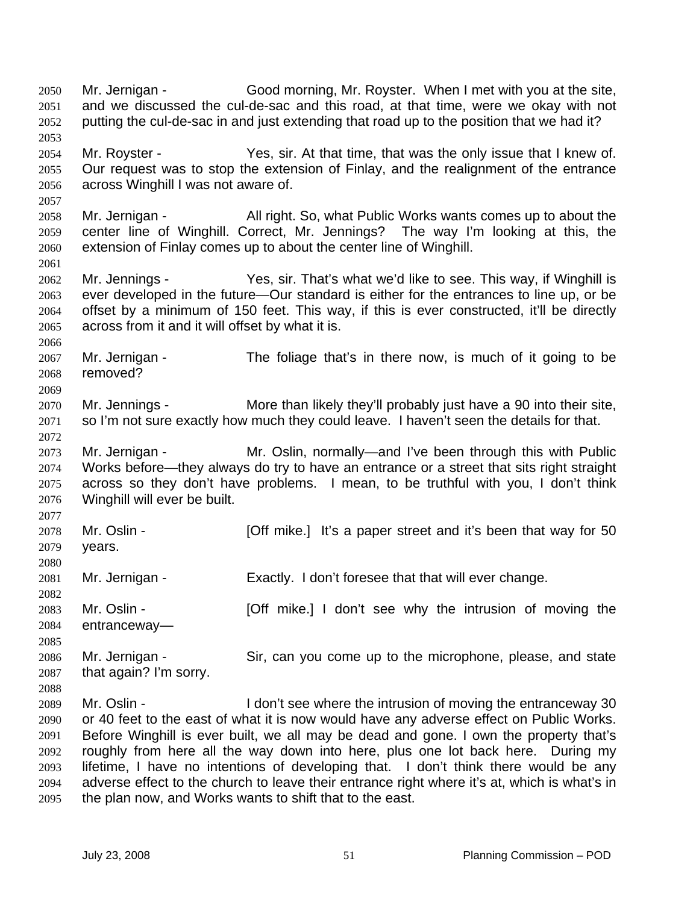Mr. Jernigan - Good morning, Mr. Royster. When I met with you at the site, and we discussed the cul-de-sac and this road, at that time, were we okay with not putting the cul-de-sac in and just extending that road up to the position that we had it? 2050 2051 2052 2053 2054 2055 2056 2057 2058 2059 2060 2061 2062 2063 2064 2065 2066 2067 2068 2069 2070 2071 2072 2073 2074 2075 2076 2077 2078 2079 2080 2081 2082 2083 2084 2085 2086 2087 2088 2089 2090 2091 2092 2093 2094 Mr. Royster - Yes, sir. At that time, that was the only issue that I knew of. Our request was to stop the extension of Finlay, and the realignment of the entrance across Winghill I was not aware of. Mr. Jernigan - All right. So, what Public Works wants comes up to about the center line of Winghill. Correct, Mr. Jennings? The way I'm looking at this, the extension of Finlay comes up to about the center line of Winghill. Mr. Jennings - Yes, sir. That's what we'd like to see. This way, if Winghill is ever developed in the future—Our standard is either for the entrances to line up, or be offset by a minimum of 150 feet. This way, if this is ever constructed, it'll be directly across from it and it will offset by what it is. Mr. Jernigan - The foliage that's in there now, is much of it going to be removed? Mr. Jennings - More than likely they'll probably just have a 90 into their site, so I'm not sure exactly how much they could leave. I haven't seen the details for that. Mr. Jernigan - The Mr. Oslin, normally—and I've been through this with Public Works before—they always do try to have an entrance or a street that sits right straight across so they don't have problems. I mean, to be truthful with you, I don't think Winghill will ever be built. Mr. Oslin - **[Off mike.]** It's a paper street and it's been that way for 50 years. Mr. Jernigan - Exactly. I don't foresee that that will ever change. Mr. Oslin - **[Off mike.]** I don't see why the intrusion of moving the entranceway— Mr. Jernigan - Sir, can you come up to the microphone, please, and state that again? I'm sorry. Mr. Oslin - I don't see where the intrusion of moving the entranceway 30 or 40 feet to the east of what it is now would have any adverse effect on Public Works. Before Winghill is ever built, we all may be dead and gone. I own the property that's roughly from here all the way down into here, plus one lot back here. During my lifetime, I have no intentions of developing that. I don't think there would be any adverse effect to the church to leave their entrance right where it's at, which is what's in

2095 the plan now, and Works wants to shift that to the east.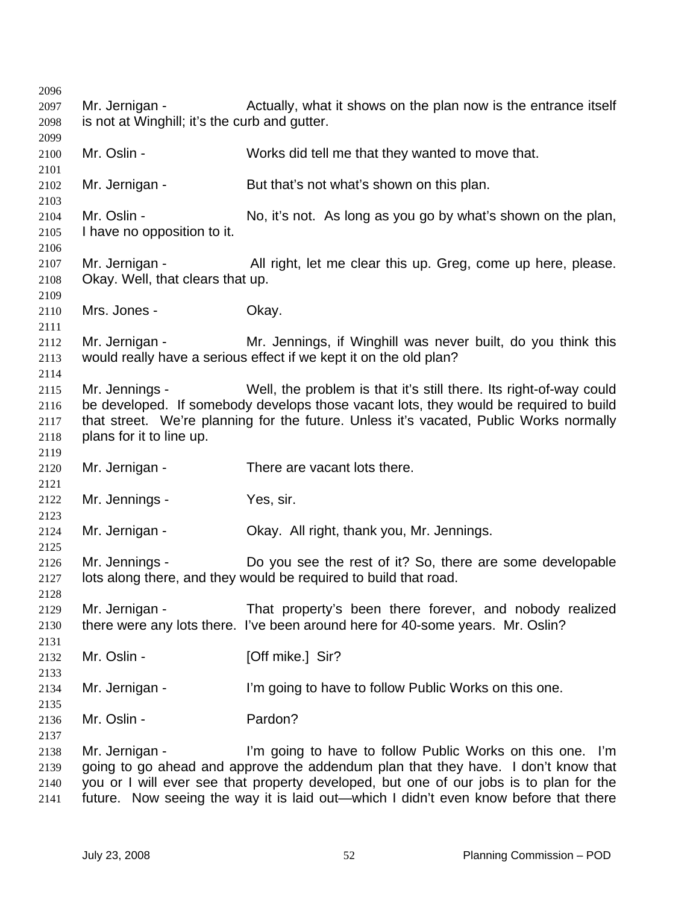Mr. Jernigan - Actually, what it shows on the plan now is the entrance itself is not at Winghill; it's the curb and gutter. Mr. Oslin - Works did tell me that they wanted to move that. Mr. Jernigan - But that's not what's shown on this plan. Mr. Oslin - No, it's not. As long as you go by what's shown on the plan, I have no opposition to it. Mr. Jernigan - All right, let me clear this up. Greg, come up here, please. Okay. Well, that clears that up. Mrs. Jones - Ckay. Mr. Jernigan - The Mr. Jennings, if Winghill was never built, do you think this would really have a serious effect if we kept it on the old plan? Mr. Jennings - Well, the problem is that it's still there. Its right-of-way could be developed. If somebody develops those vacant lots, they would be required to build that street. We're planning for the future. Unless it's vacated, Public Works normally plans for it to line up. Mr. Jernigan - There are vacant lots there. Mr. Jennings - Yes, sir. Mr. Jernigan - Ckay. All right, thank you, Mr. Jennings. Mr. Jennings - Do you see the rest of it? So, there are some developable lots along there, and they would be required to build that road. Mr. Jernigan - That property's been there forever, and nobody realized there were any lots there. I've been around here for 40-some years. Mr. Oslin? Mr. Oslin - **[Off mike.]** Sir? Mr. Jernigan - I'm going to have to follow Public Works on this one. Mr. Oslin - Pardon? Mr. Jernigan - I'm going to have to follow Public Works on this one. I'm going to go ahead and approve the addendum plan that they have. I don't know that you or I will ever see that property developed, but one of our jobs is to plan for the future. Now seeing the way it is laid out—which I didn't even know before that there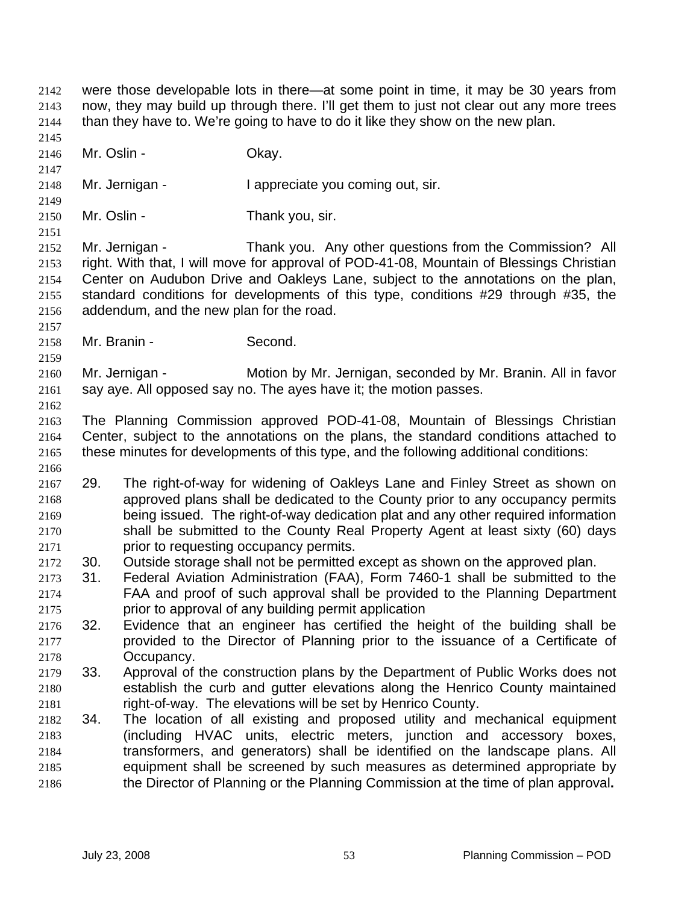were those developable lots in there—at some point in time, it may be 30 years from now, they may build up through there. I'll get them to just not clear out any more trees than they have to. We're going to have to do it like they show on the new plan. 2142 2143 2144 2145 2146 2147 2148 2149 2150 2151 2152 2153 2154 2155 2156 2157 2158 2159 2160 2161 2162 2163 2164 2165 2166 2168 2169 2170 2171 2174 2175 2177 2178 2180 2181 2183 2184 2185 2186 Mr. Oslin - Chav. Mr. Jernigan - I appreciate you coming out, sir. Mr. Oslin - Thank you, sir. Mr. Jernigan - Thank you. Any other questions from the Commission? All right. With that, I will move for approval of POD-41-08, Mountain of Blessings Christian Center on Audubon Drive and Oakleys Lane, subject to the annotations on the plan, standard conditions for developments of this type, conditions #29 through #35, the addendum, and the new plan for the road. Mr. Branin - Second. Mr. Jernigan - Motion by Mr. Jernigan, seconded by Mr. Branin. All in favor say aye. All opposed say no. The ayes have it; the motion passes. The Planning Commission approved POD-41-08, Mountain of Blessings Christian Center, subject to the annotations on the plans, the standard conditions attached to these minutes for developments of this type, and the following additional conditions: 2167 29. The right-of-way for widening of Oakleys Lane and Finley Street as shown on approved plans shall be dedicated to the County prior to any occupancy permits being issued. The right-of-way dedication plat and any other required information shall be submitted to the County Real Property Agent at least sixty (60) days prior to requesting occupancy permits. 2172 30. Outside storage shall not be permitted except as shown on the approved plan. 2173 31. Federal Aviation Administration (FAA), Form 7460-1 shall be submitted to the FAA and proof of such approval shall be provided to the Planning Department prior to approval of any building permit application 2176 32. Evidence that an engineer has certified the height of the building shall be provided to the Director of Planning prior to the issuance of a Certificate of Occupancy. 2179 33. Approval of the construction plans by the Department of Public Works does not establish the curb and gutter elevations along the Henrico County maintained right-of-way. The elevations will be set by Henrico County. 2182 34. The location of all existing and proposed utility and mechanical equipment (including HVAC units, electric meters, junction and accessory boxes, transformers, and generators) shall be identified on the landscape plans. All equipment shall be screened by such measures as determined appropriate by the Director of Planning or the Planning Commission at the time of plan approval**.**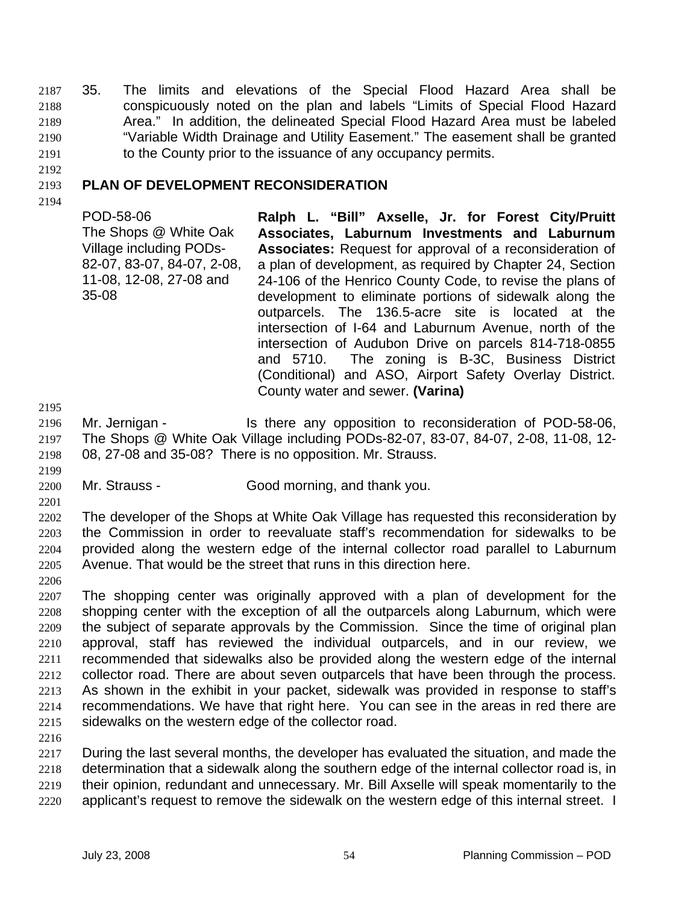2187 35. The limits and elevations of the Special Flood Hazard Area shall be conspicuously noted on the plan and labels "Limits of Special Flood Hazard Area." In addition, the delineated Special Flood Hazard Area must be labeled "Variable Width Drainage and Utility Easement." The easement shall be granted to the County prior to the issuance of any occupancy permits. 2188 2189 2190 2191

2192

#### 2193 **PLAN OF DEVELOPMENT RECONSIDERATION**

2194

POD-58-06 The Shops @ White Oak Village including PODs-82-07, 83-07, 84-07, 2-08, 11-08, 12-08, 27-08 and 35-08

**Ralph L. "Bill" Axselle, Jr. for Forest City/Pruitt Associates, Laburnum Investments and Laburnum Associates:** Request for approval of a reconsideration of a plan of development, as required by Chapter 24, Section 24-106 of the Henrico County Code, to revise the plans of development to eliminate portions of sidewalk along the outparcels. The 136.5-acre site is located at the intersection of I-64 and Laburnum Avenue, north of the intersection of Audubon Drive on parcels 814-718-0855 and 5710. The zoning is B-3C, Business District (Conditional) and ASO, Airport Safety Overlay District. County water and sewer. **(Varina)** 

2195

2201

2206

2196 2197 Mr. Jernigan - Is there any opposition to reconsideration of POD-58-06, The Shops @ White Oak Village including PODs-82-07, 83-07, 84-07, 2-08, 11-08, 12-

2198 2199 08, 27-08 and 35-08? There is no opposition. Mr. Strauss.

2200 Mr. Strauss - Good morning, and thank you.

2202 2203 2204 2205 The developer of the Shops at White Oak Village has requested this reconsideration by the Commission in order to reevaluate staff's recommendation for sidewalks to be provided along the western edge of the internal collector road parallel to Laburnum Avenue. That would be the street that runs in this direction here.

2207 2208 2209 2210 2211 2212 2213 2214 2215 The shopping center was originally approved with a plan of development for the shopping center with the exception of all the outparcels along Laburnum, which were the subject of separate approvals by the Commission. Since the time of original plan approval, staff has reviewed the individual outparcels, and in our review, we recommended that sidewalks also be provided along the western edge of the internal collector road. There are about seven outparcels that have been through the process. As shown in the exhibit in your packet, sidewalk was provided in response to staff's recommendations. We have that right here. You can see in the areas in red there are sidewalks on the western edge of the collector road.

2216

2217 2218 2219 2220 During the last several months, the developer has evaluated the situation, and made the determination that a sidewalk along the southern edge of the internal collector road is, in their opinion, redundant and unnecessary. Mr. Bill Axselle will speak momentarily to the applicant's request to remove the sidewalk on the western edge of this internal street. I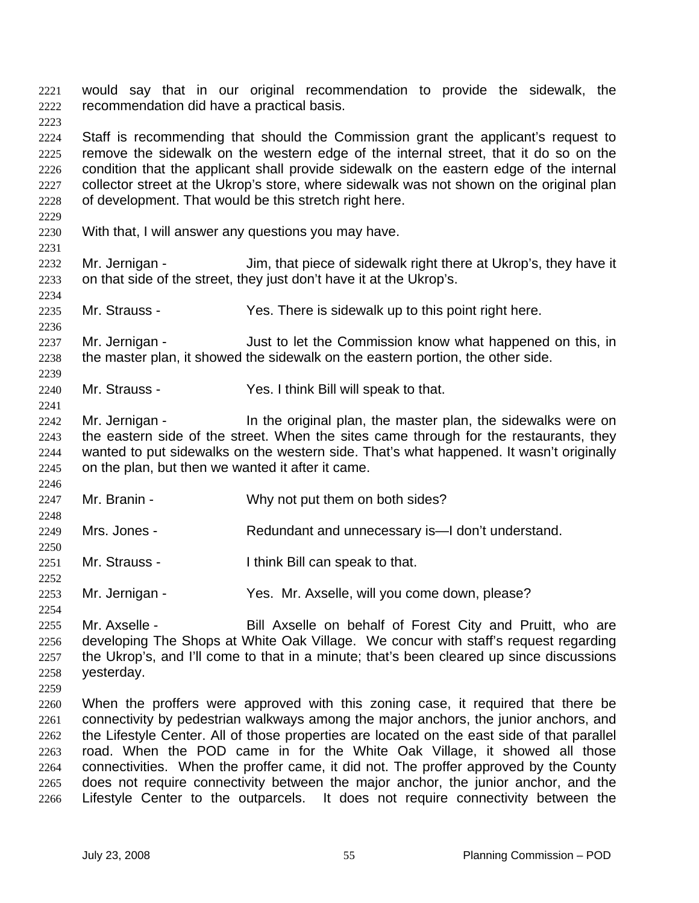would say that in our original recommendation to provide the sidewalk, the recommendation did have a practical basis. 2221 2222

2224 2225 2226 2227 2228 Staff is recommending that should the Commission grant the applicant's request to remove the sidewalk on the western edge of the internal street, that it do so on the condition that the applicant shall provide sidewalk on the eastern edge of the internal collector street at the Ukrop's store, where sidewalk was not shown on the original plan of development. That would be this stretch right here.

2230 With that, I will answer any questions you may have.

2232 2233 Mr. Jernigan - Jim, that piece of sidewalk right there at Ukrop's, they have it on that side of the street, they just don't have it at the Ukrop's.

2235 Mr. Strauss - Yes. There is sidewalk up to this point right here.

2237 2238 Mr. Jernigan - Just to let the Commission know what happened on this, in the master plan, it showed the sidewalk on the eastern portion, the other side.

- 2240 Mr. Strauss - Yes. I think Bill will speak to that.
- 2242 2243 2244 2245 Mr. Jernigan - In the original plan, the master plan, the sidewalks were on the eastern side of the street. When the sites came through for the restaurants, they wanted to put sidewalks on the western side. That's what happened. It wasn't originally on the plan, but then we wanted it after it came.
- 2247 Mr. Branin - Why not put them on both sides?
- 2249 Mrs. Jones - Redundant and unnecessary is—I don't understand.
- 2251 Mr. Strauss - I think Bill can speak to that.
- 2253 Mr. Jernigan - Yes. Mr. Axselle, will you come down, please?

2255 2256 2257 2258 Mr. Axselle - Bill Axselle on behalf of Forest City and Pruitt, who are developing The Shops at White Oak Village. We concur with staff's request regarding the Ukrop's, and I'll come to that in a minute; that's been cleared up since discussions yesterday.

2259

2223

2229

2231

2234

2236

2239

2241

2246

2248

2250

2252

2254

2260 2261 2262 2263 2264 2265 2266 When the proffers were approved with this zoning case, it required that there be connectivity by pedestrian walkways among the major anchors, the junior anchors, and the Lifestyle Center. All of those properties are located on the east side of that parallel road. When the POD came in for the White Oak Village, it showed all those connectivities. When the proffer came, it did not. The proffer approved by the County does not require connectivity between the major anchor, the junior anchor, and the Lifestyle Center to the outparcels. It does not require connectivity between the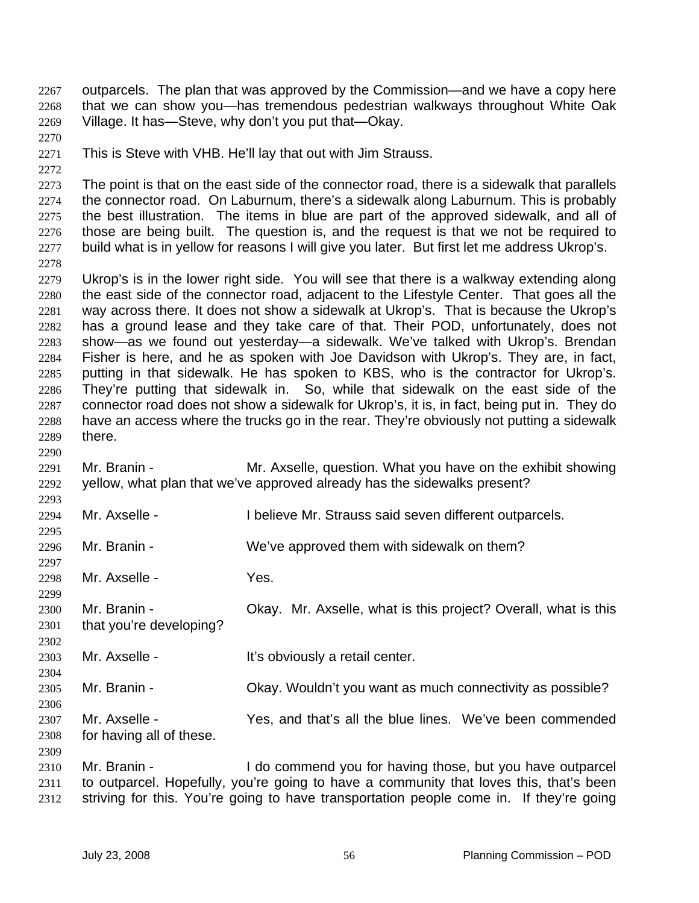outparcels. The plan that was approved by the Commission—and we have a copy here that we can show you—has tremendous pedestrian walkways throughout White Oak Village. It has—Steve, why don't you put that—Okay. 2267 2268 2269

- 2271 This is Steve with VHB. He'll lay that out with Jim Strauss.
- 2272

2278

2290

2293

2295

2297

2299

2302

2304

2306

2309

2270

2273 2274 2275 2276 2277 The point is that on the east side of the connector road, there is a sidewalk that parallels the connector road. On Laburnum, there's a sidewalk along Laburnum. This is probably the best illustration. The items in blue are part of the approved sidewalk, and all of those are being built. The question is, and the request is that we not be required to build what is in yellow for reasons I will give you later. But first let me address Ukrop's.

2279 2280 2281 2282 2283 2284 2285 2286 2287 2288 2289 Ukrop's is in the lower right side. You will see that there is a walkway extending along the east side of the connector road, adjacent to the Lifestyle Center. That goes all the way across there. It does not show a sidewalk at Ukrop's. That is because the Ukrop's has a ground lease and they take care of that. Their POD, unfortunately, does not show—as we found out yesterday—a sidewalk. We've talked with Ukrop's. Brendan Fisher is here, and he as spoken with Joe Davidson with Ukrop's. They are, in fact, putting in that sidewalk. He has spoken to KBS, who is the contractor for Ukrop's. They're putting that sidewalk in. So, while that sidewalk on the east side of the connector road does not show a sidewalk for Ukrop's, it is, in fact, being put in. They do have an access where the trucks go in the rear. They're obviously not putting a sidewalk there.

- 2291 2292 Mr. Branin - **Mr. Axselle, question.** What you have on the exhibit showing yellow, what plan that we've approved already has the sidewalks present?
- 2294 Mr. Axselle - **I** believe Mr. Strauss said seven different outparcels.
- 2296 Mr. Branin - We've approved them with sidewalk on them?
- 2298 Mr. Axselle - Yes.
- 2300 2301 Mr. Branin - Ckay. Mr. Axselle, what is this project? Overall, what is this that you're developing?
- 2303 Mr. Axselle - The Mult's obviously a retail center.
- 2305 Mr. Branin - Chay. Wouldn't you want as much connectivity as possible?
- 2307 2308 Mr. Axselle - Yes, and that's all the blue lines. We've been commended for having all of these.
- 2310 2311 2312 Mr. Branin - I do commend you for having those, but you have outparcel to outparcel. Hopefully, you're going to have a community that loves this, that's been striving for this. You're going to have transportation people come in. If they're going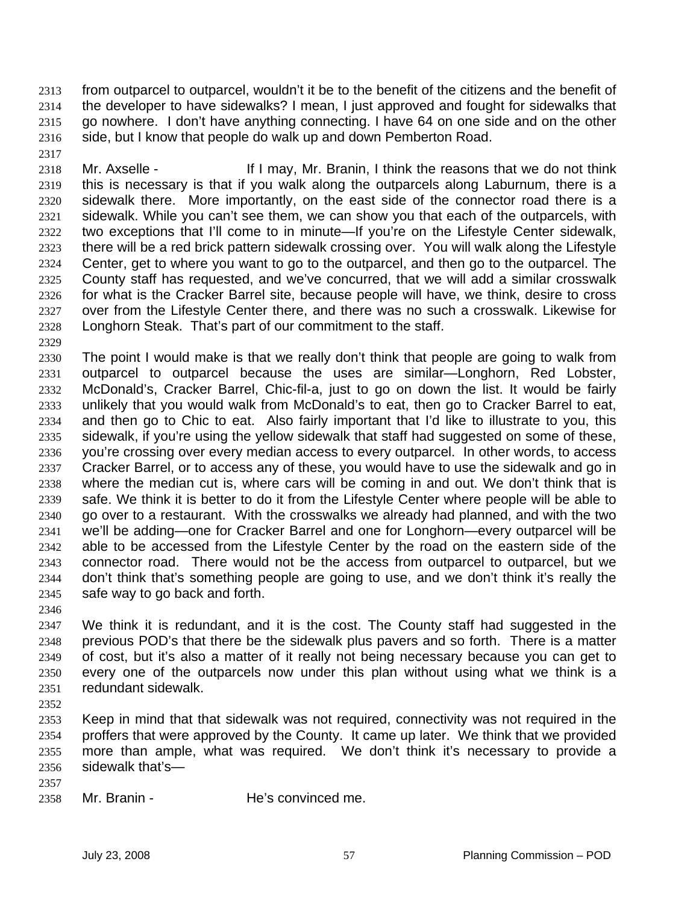from outparcel to outparcel, wouldn't it be to the benefit of the citizens and the benefit of the developer to have sidewalks? I mean, I just approved and fought for sidewalks that go nowhere. I don't have anything connecting. I have 64 on one side and on the other side, but I know that people do walk up and down Pemberton Road. 2313 2314 2315 2316

- 2318 2319 2320 2321 2322 2323 2324 2325 2326 2327 2328 Mr. Axselle - If I may, Mr. Branin, I think the reasons that we do not think this is necessary is that if you walk along the outparcels along Laburnum, there is a sidewalk there. More importantly, on the east side of the connector road there is a sidewalk. While you can't see them, we can show you that each of the outparcels, with two exceptions that I'll come to in minute—If you're on the Lifestyle Center sidewalk, there will be a red brick pattern sidewalk crossing over. You will walk along the Lifestyle Center, get to where you want to go to the outparcel, and then go to the outparcel. The County staff has requested, and we've concurred, that we will add a similar crosswalk for what is the Cracker Barrel site, because people will have, we think, desire to cross over from the Lifestyle Center there, and there was no such a crosswalk. Likewise for Longhorn Steak. That's part of our commitment to the staff.
- 2329

2317

- 2330 2331 2332 2333 2334 2335 2336 2337 2338 2339 2340 2341 2342 2343 2344 2345 The point I would make is that we really don't think that people are going to walk from outparcel to outparcel because the uses are similar—Longhorn, Red Lobster, McDonald's, Cracker Barrel, Chic-fil-a, just to go on down the list. It would be fairly unlikely that you would walk from McDonald's to eat, then go to Cracker Barrel to eat, and then go to Chic to eat. Also fairly important that I'd like to illustrate to you, this sidewalk, if you're using the yellow sidewalk that staff had suggested on some of these, you're crossing over every median access to every outparcel. In other words, to access Cracker Barrel, or to access any of these, you would have to use the sidewalk and go in where the median cut is, where cars will be coming in and out. We don't think that is safe. We think it is better to do it from the Lifestyle Center where people will be able to go over to a restaurant. With the crosswalks we already had planned, and with the two we'll be adding—one for Cracker Barrel and one for Longhorn—every outparcel will be able to be accessed from the Lifestyle Center by the road on the eastern side of the connector road. There would not be the access from outparcel to outparcel, but we don't think that's something people are going to use, and we don't think it's really the safe way to go back and forth.
- 2346

2347 2348 2349 2350 2351 We think it is redundant, and it is the cost. The County staff had suggested in the previous POD's that there be the sidewalk plus pavers and so forth. There is a matter of cost, but it's also a matter of it really not being necessary because you can get to every one of the outparcels now under this plan without using what we think is a redundant sidewalk.

2352

2353 2354 2355 2356 Keep in mind that that sidewalk was not required, connectivity was not required in the proffers that were approved by the County. It came up later. We think that we provided more than ample, what was required. We don't think it's necessary to provide a sidewalk that's—

- 2357
- 2358 Mr. Branin - The's convinced me.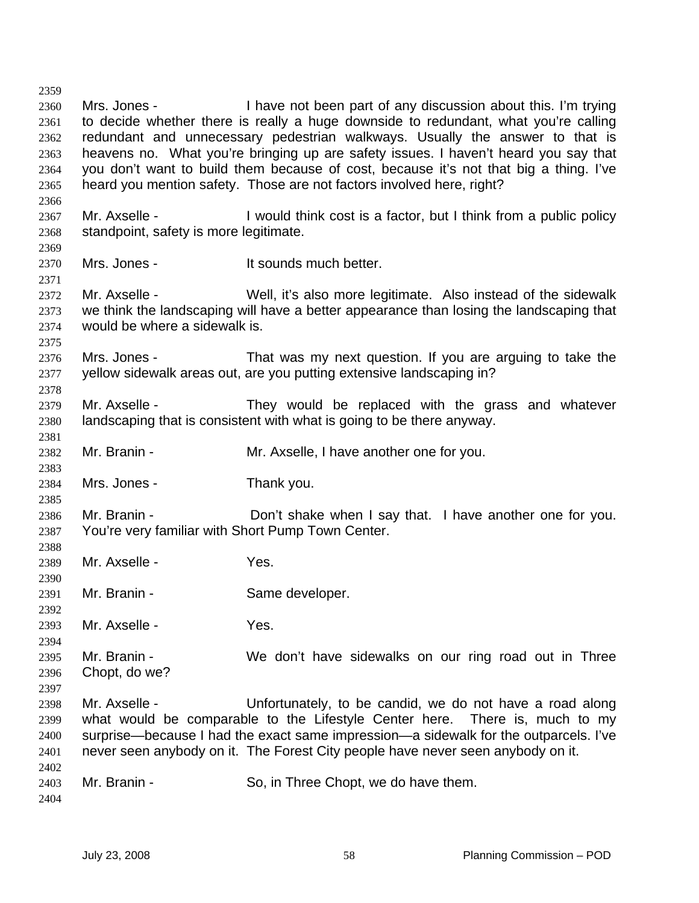2359 2360 2361 2362 2363 2364 2365 2366 2367 2368 2369 2370 2371 2372 2373 2374 2375 2376 2377 2378 2379 2380 2381 2382 2383 2384 2385 2386 2387 2388 2389 2390 2391 2392 2393 2394 2395 2396 2397 2398 2399 2400 2401 2402 2403 2404 Mrs. Jones - I have not been part of any discussion about this. I'm trying to decide whether there is really a huge downside to redundant, what you're calling redundant and unnecessary pedestrian walkways. Usually the answer to that is heavens no. What you're bringing up are safety issues. I haven't heard you say that you don't want to build them because of cost, because it's not that big a thing. I've heard you mention safety. Those are not factors involved here, right? Mr. Axselle - I would think cost is a factor, but I think from a public policy standpoint, safety is more legitimate. Mrs. Jones - The Mrs. Jones - The Mrs. Jones - It sounds much better. Mr. Axselle - Well, it's also more legitimate. Also instead of the sidewalk we think the landscaping will have a better appearance than losing the landscaping that would be where a sidewalk is. Mrs. Jones - That was my next question. If you are arguing to take the yellow sidewalk areas out, are you putting extensive landscaping in? Mr. Axselle - They would be replaced with the grass and whatever landscaping that is consistent with what is going to be there anyway. Mr. Branin - Mr. Axselle, I have another one for you. Mrs. Jones - Thank you. Mr. Branin - Don't shake when I say that. I have another one for you. You're very familiar with Short Pump Town Center. Mr. Axselle - Yes. Mr. Branin - Same developer. Mr. Axselle - Yes. Mr. Branin - We don't have sidewalks on our ring road out in Three Chopt, do we? Mr. Axselle - The Unfortunately, to be candid, we do not have a road along what would be comparable to the Lifestyle Center here. There is, much to my surprise—because I had the exact same impression—a sidewalk for the outparcels. I've never seen anybody on it. The Forest City people have never seen anybody on it. Mr. Branin - So, in Three Chopt, we do have them.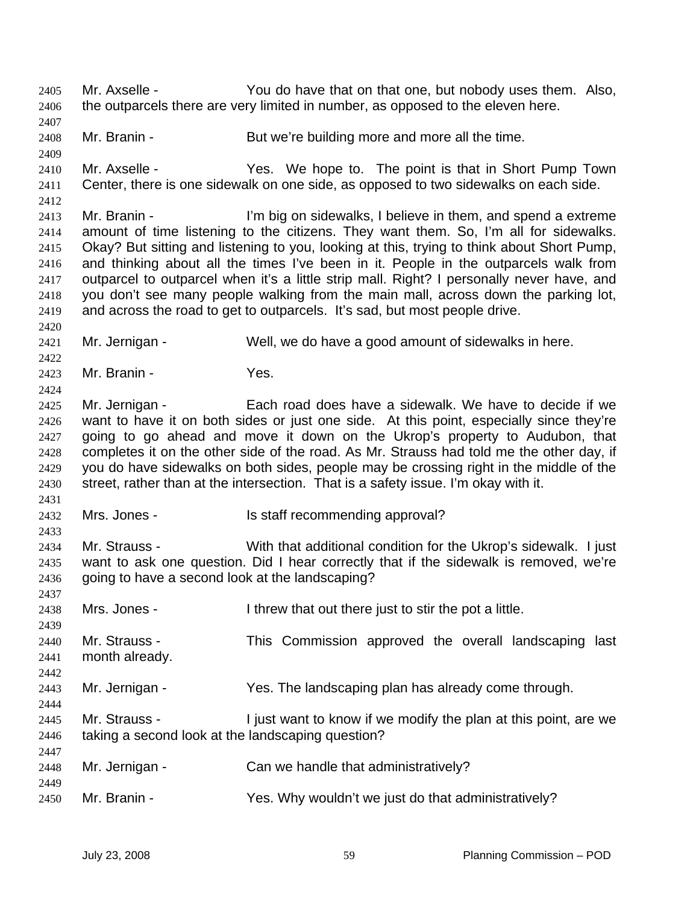Mr. Axselle - You do have that on that one, but nobody uses them. Also, the outparcels there are very limited in number, as opposed to the eleven here. 2405 2406 2407 2408 2409 2410 2411 2412 2413 2414 2415 2416 2417 2418 2419 2420 2421 2422 2423 2424 2425 2426 2427 2428 2429 2430 2431 2432 2433 2434 2435 2436 2437 2438 2439 2440 2441 2442 2443 2444 2445 2446 2447 2448 2449 2450 Mr. Branin - But we're building more and more all the time. Mr. Axselle - The Yes. We hope to. The point is that in Short Pump Town Center, there is one sidewalk on one side, as opposed to two sidewalks on each side. Mr. Branin - I'm big on sidewalks, I believe in them, and spend a extreme amount of time listening to the citizens. They want them. So, I'm all for sidewalks. Okay? But sitting and listening to you, looking at this, trying to think about Short Pump, and thinking about all the times I've been in it. People in the outparcels walk from outparcel to outparcel when it's a little strip mall. Right? I personally never have, and you don't see many people walking from the main mall, across down the parking lot, and across the road to get to outparcels. It's sad, but most people drive. Mr. Jernigan - Well, we do have a good amount of sidewalks in here. Mr. Branin - Yes. Mr. Jernigan - Each road does have a sidewalk. We have to decide if we want to have it on both sides or just one side. At this point, especially since they're going to go ahead and move it down on the Ukrop's property to Audubon, that completes it on the other side of the road. As Mr. Strauss had told me the other day, if you do have sidewalks on both sides, people may be crossing right in the middle of the street, rather than at the intersection. That is a safety issue. I'm okay with it. Mrs. Jones - Is staff recommending approval? Mr. Strauss - With that additional condition for the Ukrop's sidewalk. I just want to ask one question. Did I hear correctly that if the sidewalk is removed, we're going to have a second look at the landscaping? Mrs. Jones - I threw that out there just to stir the pot a little. Mr. Strauss - This Commission approved the overall landscaping last month already. Mr. Jernigan - Yes. The landscaping plan has already come through. Mr. Strauss - I just want to know if we modify the plan at this point, are we taking a second look at the landscaping question? Mr. Jernigan - Can we handle that administratively? Mr. Branin - The State of Yes. Why wouldn't we just do that administratively?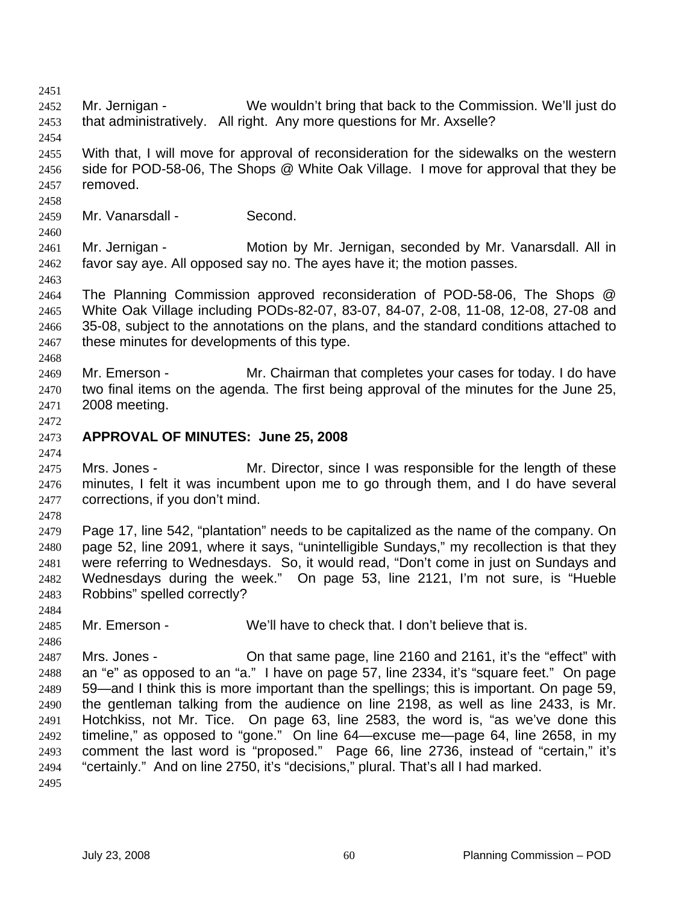2451 2452 2453 2454 2455 2456 2457 2458 2459 2460 2461 2462 2463 2464 2465 2466 2467 2468 2469 2470 2471 2472 2473 2474 2475 2476 2477 2478 2479 2480 2481 2482 2483 2484 2485 2486 2487 2488 2489 2490 2491 2492 2493 2494 2495 Mr. Jernigan - We wouldn't bring that back to the Commission. We'll just do that administratively. All right. Any more questions for Mr. Axselle? With that, I will move for approval of reconsideration for the sidewalks on the western side for POD-58-06, The Shops @ White Oak Village. I move for approval that they be removed. Mr. Vanarsdall - Second. Mr. Jernigan - Motion by Mr. Jernigan, seconded by Mr. Vanarsdall. All in favor say aye. All opposed say no. The ayes have it; the motion passes. The Planning Commission approved reconsideration of POD-58-06, The Shops @ White Oak Village including PODs-82-07, 83-07, 84-07, 2-08, 11-08, 12-08, 27-08 and 35-08, subject to the annotations on the plans, and the standard conditions attached to these minutes for developments of this type. Mr. Emerson - Mr. Chairman that completes your cases for today. I do have two final items on the agenda. The first being approval of the minutes for the June 25, 2008 meeting. **APPROVAL OF MINUTES: June 25, 2008**  Mrs. Jones - Mr. Director, since I was responsible for the length of these minutes, I felt it was incumbent upon me to go through them, and I do have several corrections, if you don't mind. Page 17, line 542, "plantation" needs to be capitalized as the name of the company. On page 52, line 2091, where it says, "unintelligible Sundays," my recollection is that they were referring to Wednesdays. So, it would read, "Don't come in just on Sundays and Wednesdays during the week." On page 53, line 2121, I'm not sure, is "Hueble Robbins" spelled correctly? Mr. Emerson - We'll have to check that. I don't believe that is. Mrs. Jones - Chritia 1 ame page, line 2160 and 2161, it's the "effect" with an "e" as opposed to an "a." I have on page 57, line 2334, it's "square feet." On page 59—and I think this is more important than the spellings; this is important. On page 59, the gentleman talking from the audience on line 2198, as well as line 2433, is Mr. Hotchkiss, not Mr. Tice. On page 63, line 2583, the word is, "as we've done this timeline," as opposed to "gone." On line 64—excuse me—page 64, line 2658, in my comment the last word is "proposed." Page 66, line 2736, instead of "certain," it's "certainly." And on line 2750, it's "decisions," plural. That's all I had marked.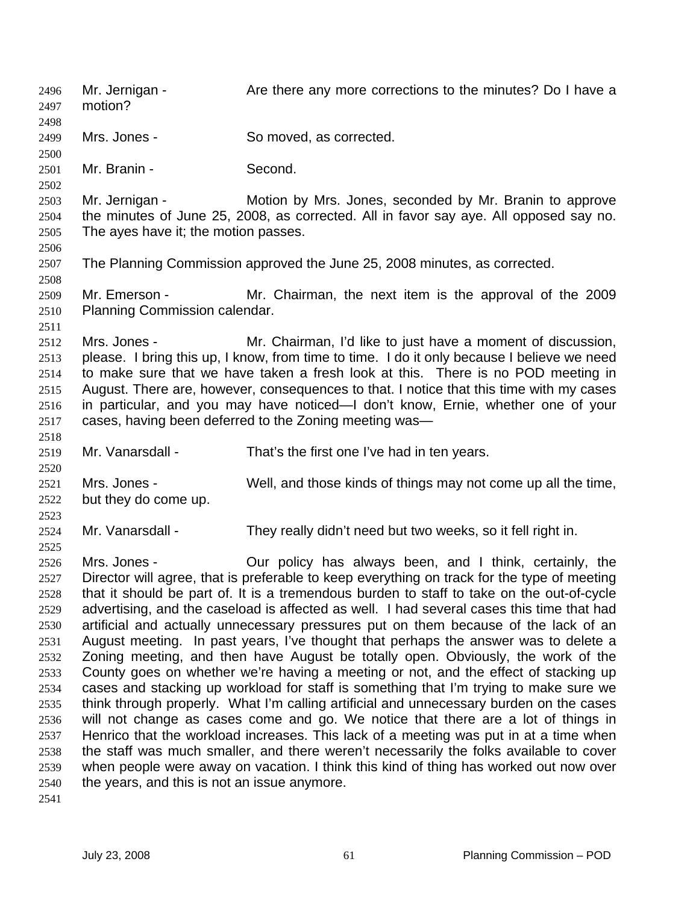Mr. Jernigan - The State there any more corrections to the minutes? Do I have a motion? 2496 2497 2498 2499 2500 2501 2502 2503 2504 2505 2506 2507 2508 2509 2510 2511 2512 2513 2514 2515 2516 2517 2518 2519 2520 2521 2522 2523 2524 2525 2526 2527 2528 2529 2530 2531 2532 2533 2534 2535 2536 2537 2538 2539 2540 2541 Mrs. Jones - So moved, as corrected. Mr. Branin - Second. Mr. Jernigan - **Motion by Mrs. Jones, seconded by Mr. Branin to approve** the minutes of June 25, 2008, as corrected. All in favor say aye. All opposed say no. The ayes have it; the motion passes. The Planning Commission approved the June 25, 2008 minutes, as corrected. Mr. Emerson - Mr. Chairman, the next item is the approval of the 2009 Planning Commission calendar. Mrs. Jones - Mr. Chairman, I'd like to just have a moment of discussion, please. I bring this up, I know, from time to time. I do it only because I believe we need to make sure that we have taken a fresh look at this. There is no POD meeting in August. There are, however, consequences to that. I notice that this time with my cases in particular, and you may have noticed—I don't know, Ernie, whether one of your cases, having been deferred to the Zoning meeting was— Mr. Vanarsdall - That's the first one I've had in ten years. Mrs. Jones - Well, and those kinds of things may not come up all the time, but they do come up. Mr. Vanarsdall - They really didn't need but two weeks, so it fell right in. Mrs. Jones - Our policy has always been, and I think, certainly, the Director will agree, that is preferable to keep everything on track for the type of meeting that it should be part of. It is a tremendous burden to staff to take on the out-of-cycle advertising, and the caseload is affected as well. I had several cases this time that had artificial and actually unnecessary pressures put on them because of the lack of an August meeting. In past years, I've thought that perhaps the answer was to delete a Zoning meeting, and then have August be totally open. Obviously, the work of the County goes on whether we're having a meeting or not, and the effect of stacking up cases and stacking up workload for staff is something that I'm trying to make sure we think through properly. What I'm calling artificial and unnecessary burden on the cases will not change as cases come and go. We notice that there are a lot of things in Henrico that the workload increases. This lack of a meeting was put in at a time when the staff was much smaller, and there weren't necessarily the folks available to cover when people were away on vacation. I think this kind of thing has worked out now over the years, and this is not an issue anymore.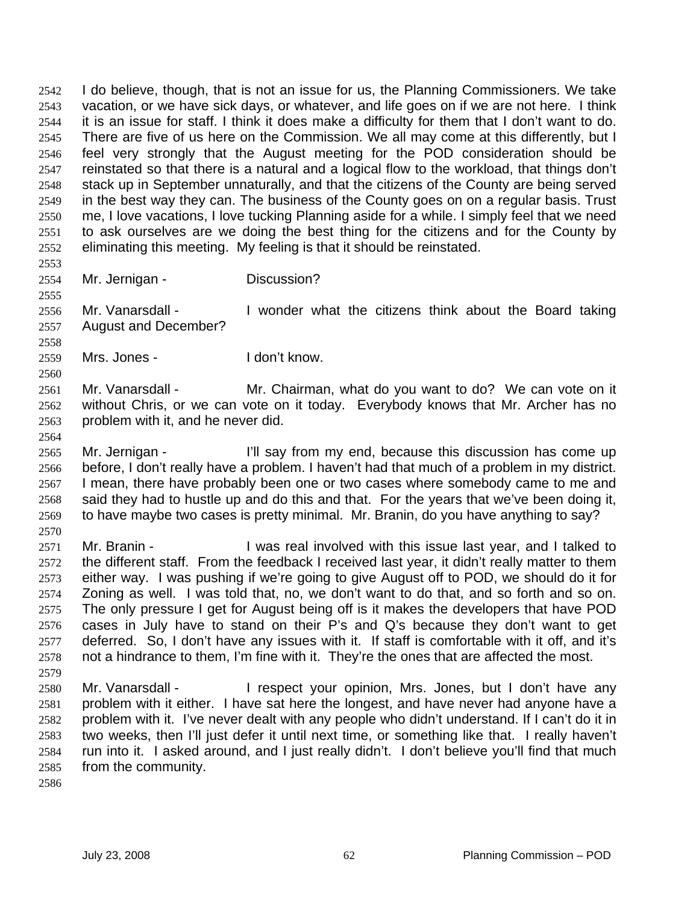I do believe, though, that is not an issue for us, the Planning Commissioners. We take vacation, or we have sick days, or whatever, and life goes on if we are not here. I think it is an issue for staff. I think it does make a difficulty for them that I don't want to do. There are five of us here on the Commission. We all may come at this differently, but I feel very strongly that the August meeting for the POD consideration should be reinstated so that there is a natural and a logical flow to the workload, that things don't stack up in September unnaturally, and that the citizens of the County are being served in the best way they can. The business of the County goes on on a regular basis. Trust me, I love vacations, I love tucking Planning aside for a while. I simply feel that we need to ask ourselves are we doing the best thing for the citizens and for the County by eliminating this meeting. My feeling is that it should be reinstated. 2542 2543 2544 2545 2546 2547 2548 2549 2550 2551 2552

2553 2554

2555

2558

2560

2570

Mr. Jernigan - Discussion?

2556 2557 Mr. Vanarsdall - I wonder what the citizens think about the Board taking August and December?

2559 Mrs. Jones - The Mrs. I don't know.

2561 2562 2563 Mr. Vanarsdall - Mr. Chairman, what do you want to do? We can vote on it without Chris, or we can vote on it today. Everybody knows that Mr. Archer has no problem with it, and he never did.

- 2564 2565 2566 2567 2568 2569 Mr. Jernigan - I'll say from my end, because this discussion has come up before, I don't really have a problem. I haven't had that much of a problem in my district. I mean, there have probably been one or two cases where somebody came to me and said they had to hustle up and do this and that. For the years that we've been doing it, to have maybe two cases is pretty minimal. Mr. Branin, do you have anything to say?
- 2571 2572 2573 2574 2575 2576 2577 2578 2579 Mr. Branin - The Musical involved with this issue last year, and I talked to the different staff. From the feedback I received last year, it didn't really matter to them either way. I was pushing if we're going to give August off to POD, we should do it for Zoning as well. I was told that, no, we don't want to do that, and so forth and so on. The only pressure I get for August being off is it makes the developers that have POD cases in July have to stand on their P's and Q's because they don't want to get deferred. So, I don't have any issues with it. If staff is comfortable with it off, and it's not a hindrance to them, I'm fine with it. They're the ones that are affected the most.
- 2580 2581 2582 2583 2584 2585 Mr. Vanarsdall - The Spect your opinion, Mrs. Jones, but I don't have any problem with it either. I have sat here the longest, and have never had anyone have a problem with it. I've never dealt with any people who didn't understand. If I can't do it in two weeks, then I'll just defer it until next time, or something like that. I really haven't run into it. I asked around, and I just really didn't. I don't believe you'll find that much from the community.
- 2586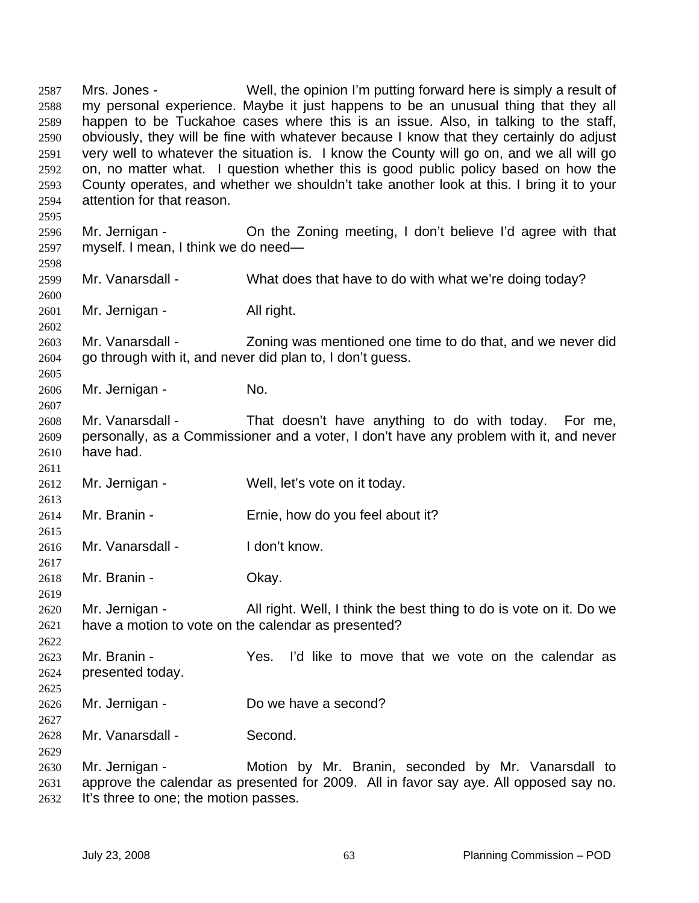Mrs. Jones - Well, the opinion I'm putting forward here is simply a result of my personal experience. Maybe it just happens to be an unusual thing that they all happen to be Tuckahoe cases where this is an issue. Also, in talking to the staff, obviously, they will be fine with whatever because I know that they certainly do adjust very well to whatever the situation is. I know the County will go on, and we all will go on, no matter what. I question whether this is good public policy based on how the County operates, and whether we shouldn't take another look at this. I bring it to your attention for that reason. 2587 2588 2589 2590 2591 2592 2593 2594 2595 2596 2597 2598 2599 2600 2601 2602 2603 2604 2605 2606 2607 2608 2609 2610 2611 2612 2613 2614 2615 2616 2617 2618 2619 2620 2621 2622 2623 2624 2625 2626 2627 2628 2629 2630 2631 2632 Mr. Jernigan - Christen Christella Zoning meeting, I don't believe I'd agree with that myself. I mean, I think we do need— Mr. Vanarsdall - What does that have to do with what we're doing today? Mr. Jernigan - All right. Mr. Vanarsdall - Zoning was mentioned one time to do that, and we never did go through with it, and never did plan to, I don't guess. Mr. Jernigan - No. Mr. Vanarsdall - That doesn't have anything to do with today. For me, personally, as a Commissioner and a voter, I don't have any problem with it, and never have had. Mr. Jernigan - Well, let's vote on it today. Mr. Branin - Ernie, how do you feel about it? Mr. Vanarsdall - I don't know. Mr. Branin - Chay. Mr. Jernigan - All right. Well, I think the best thing to do is vote on it. Do we have a motion to vote on the calendar as presented? Mr. Branin - Yes. I'd like to move that we vote on the calendar as presented today. Mr. Jernigan - Do we have a second? Mr. Vanarsdall - Second. Mr. Jernigan - The Motion by Mr. Branin, seconded by Mr. Vanarsdall to approve the calendar as presented for 2009. All in favor say aye. All opposed say no.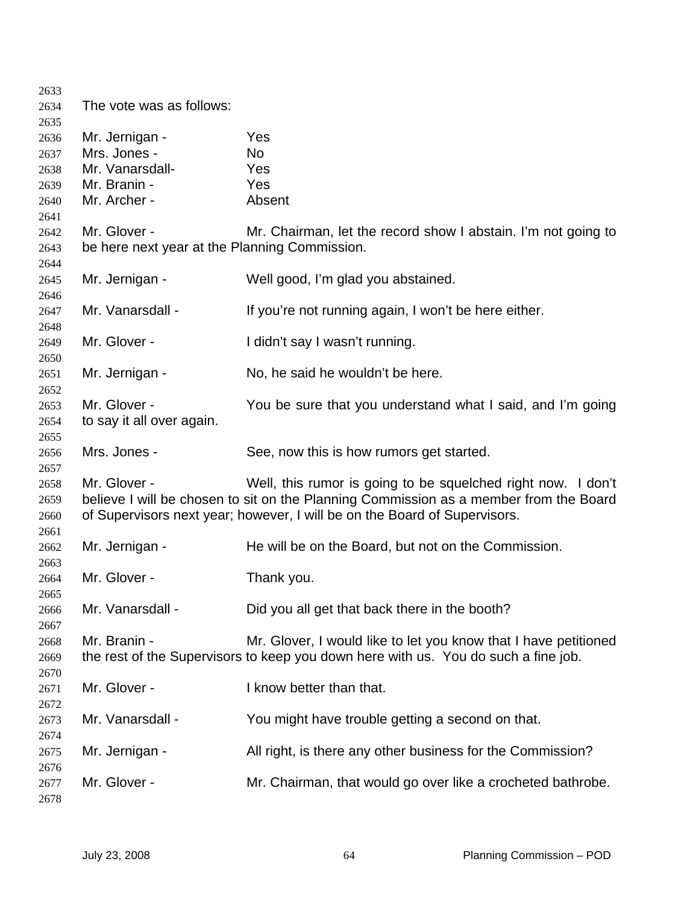| 2633 |                                               |                                                                                       |
|------|-----------------------------------------------|---------------------------------------------------------------------------------------|
| 2634 | The vote was as follows:                      |                                                                                       |
| 2635 |                                               |                                                                                       |
| 2636 | Mr. Jernigan -                                | Yes                                                                                   |
| 2637 | Mrs. Jones -                                  | No                                                                                    |
| 2638 | Mr. Vanarsdall-                               | Yes                                                                                   |
| 2639 | Mr. Branin -                                  | Yes                                                                                   |
| 2640 | Mr. Archer -                                  | Absent                                                                                |
| 2641 |                                               |                                                                                       |
| 2642 | Mr. Glover -                                  | Mr. Chairman, let the record show I abstain. I'm not going to                         |
| 2643 | be here next year at the Planning Commission. |                                                                                       |
| 2644 |                                               |                                                                                       |
| 2645 | Mr. Jernigan -                                | Well good, I'm glad you abstained.                                                    |
| 2646 |                                               |                                                                                       |
| 2647 | Mr. Vanarsdall -                              | If you're not running again, I won't be here either.                                  |
| 2648 |                                               |                                                                                       |
| 2649 | Mr. Glover -                                  | I didn't say I wasn't running.                                                        |
| 2650 |                                               |                                                                                       |
| 2651 | Mr. Jernigan -                                | No, he said he wouldn't be here.                                                      |
| 2652 |                                               |                                                                                       |
| 2653 | Mr. Glover -                                  | You be sure that you understand what I said, and I'm going                            |
| 2654 | to say it all over again.                     |                                                                                       |
| 2655 |                                               |                                                                                       |
| 2656 | Mrs. Jones -                                  | See, now this is how rumors get started.                                              |
| 2657 |                                               |                                                                                       |
| 2658 | Mr. Glover -                                  | Well, this rumor is going to be squelched right now. I don't                          |
| 2659 |                                               | believe I will be chosen to sit on the Planning Commission as a member from the Board |
| 2660 |                                               | of Supervisors next year; however, I will be on the Board of Supervisors.             |
| 2661 |                                               |                                                                                       |
| 2662 | Mr. Jernigan -                                | He will be on the Board, but not on the Commission.                                   |
| 2663 |                                               |                                                                                       |
| 2664 | Mr. Glover -                                  | Thank you.                                                                            |
| 2665 |                                               |                                                                                       |
| 2666 | Mr. Vanarsdall -                              | Did you all get that back there in the booth?                                         |
| 2667 |                                               |                                                                                       |
| 2668 | Mr. Branin -                                  | Mr. Glover, I would like to let you know that I have petitioned                       |
|      |                                               |                                                                                       |
| 2669 |                                               | the rest of the Supervisors to keep you down here with us. You do such a fine job.    |
| 2670 | Mr. Glover -                                  | I know better than that.                                                              |
| 2671 |                                               |                                                                                       |
| 2672 |                                               |                                                                                       |
| 2673 | Mr. Vanarsdall -                              | You might have trouble getting a second on that.                                      |
| 2674 |                                               |                                                                                       |
| 2675 | Mr. Jernigan -                                | All right, is there any other business for the Commission?                            |
| 2676 |                                               |                                                                                       |
| 2677 | Mr. Glover -                                  | Mr. Chairman, that would go over like a crocheted bathrobe.                           |
| 2678 |                                               |                                                                                       |